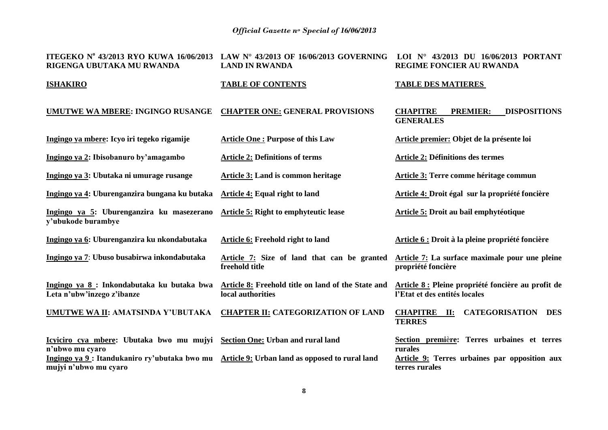| ITEGEKO Nº 43/2013 RYO KUWA 16/06/2013<br>RIGENGA UBUTAKA MU RWANDA                                                                                                                 | LAW N° 43/2013 OF 16/06/2013 GOVERNING<br><b>LAND IN RWANDA</b>         | LOI Nº 43/2013 DU 16/06/2013 PORTANT<br><b>REGIME FONCIER AU RWANDA</b>                                                   |
|-------------------------------------------------------------------------------------------------------------------------------------------------------------------------------------|-------------------------------------------------------------------------|---------------------------------------------------------------------------------------------------------------------------|
| <b>ISHAKIRO</b>                                                                                                                                                                     | <b>TABLE OF CONTENTS</b>                                                | <b>TABLE DES MATIERES</b>                                                                                                 |
| UMUTWE WA MBERE: INGINGO RUSANGE                                                                                                                                                    | <b>CHAPTER ONE: GENERAL PROVISIONS</b>                                  | <b>CHAPITRE</b><br><b>PREMIER:</b><br><b>DISPOSITIONS</b><br><b>GENERALES</b>                                             |
| Ingingo ya mbere: Icyo iri tegeko rigamije                                                                                                                                          | <b>Article One: Purpose of this Law</b>                                 | Article premier: Objet de la présente loi                                                                                 |
| Ingingo ya 2: Ibisobanuro by'amagambo                                                                                                                                               | <b>Article 2: Definitions of terms</b>                                  | <b>Article 2: Définitions des termes</b>                                                                                  |
| Ingingo ya 3: Ubutaka ni umurage rusange                                                                                                                                            | Article 3: Land is common heritage                                      | Article 3: Terre comme héritage commun                                                                                    |
| Ingingo ya 4: Uburenganzira bungana ku butaka                                                                                                                                       | Article 4: Equal right to land                                          | Article 4: Droit égal sur la propriété foncière                                                                           |
| Ingingo ya 5: Uburenganzira ku masezerano<br>y'ubukode burambye                                                                                                                     | Article 5: Right to emphyteutic lease                                   | Article 5: Droit au bail emphytéotique                                                                                    |
| Ingingo ya 6: Uburenganzira ku nkondabutaka                                                                                                                                         | Article 6: Freehold right to land                                       | Article 6 : Droit à la pleine propriété foncière                                                                          |
| Ingingo ya 7: Ubuso busabirwa inkondabutaka                                                                                                                                         | Article 7: Size of land that can be granted<br>freehold title           | Article 7: La surface maximale pour une pleine<br>propriété foncière                                                      |
| Ingingo ya 8 : Inkondabutaka ku butaka bwa<br>Leta n'ubw'inzego z'ibanze                                                                                                            | Article 8: Freehold title on land of the State and<br>local authorities | Article 8 : Pleine propriété foncière au profit de<br>l'Etat et des entités locales                                       |
| UMUTWE WA II: AMATSINDA Y'UBUTAKA                                                                                                                                                   | <b>CHAPTER II: CATEGORIZATION OF LAND</b>                               | <b>CHAPITRE</b> II:<br><b>CATEGORISATION</b><br><b>DES</b><br><b>TERRES</b>                                               |
| Icyiciro cya mbere: Ubutaka bwo mu mujyi<br>n'ubwo mu cyaro<br>Ingingo ya 9: Itandukaniro ry'ubutaka bwo mu Article 9: Urban land as opposed to rural land<br>mujyi n'ubwo mu cyaro | <b>Section One: Urban and rural land</b>                                | Section première: Terres urbaines et terres<br>rurales<br>Article 9: Terres urbaines par opposition aux<br>terres rurales |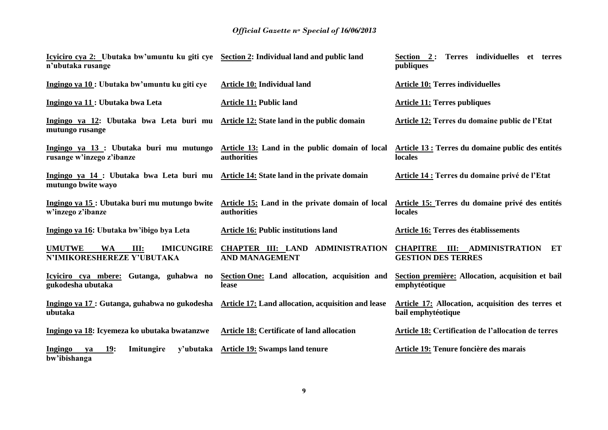| Icyiciro cya 2: Ubutaka bw'umuntu ku giti cye Section 2: Individual land and public land<br>n'ubutaka rusange |                                                                | Terres individuelles<br>Section 2:<br>et terres<br>publiques            |
|---------------------------------------------------------------------------------------------------------------|----------------------------------------------------------------|-------------------------------------------------------------------------|
| Ingingo ya 10 : Ubutaka bw'umuntu ku giti cye                                                                 | Article 10: Individual land                                    | <b>Article 10: Terres individuelles</b>                                 |
| Ingingo ya 11 : Ubutaka bwa Leta                                                                              | <b>Article 11: Public land</b>                                 | <b>Article 11: Terres publiques</b>                                     |
| Ingingo ya 12: Ubutaka bwa Leta buri mu<br>mutungo rusange                                                    | Article 12: State land in the public domain                    | <b>Article 12: Terres du domaine public de l'Etat</b>                   |
| Ingingo ya 13 : Ubutaka buri mu mutungo<br>rusange w'inzego z'ibanze                                          | Article 13: Land in the public domain of local<br>authorities  | Article 13 : Terres du domaine public des entités<br>locales            |
| Ingingo ya 14 : Ubutaka bwa Leta buri mu Article 14: State land in the private domain<br>mutungo bwite wayo   |                                                                | Article 14 : Terres du domaine privé de l'Etat                          |
| Ingingo ya 15 : Ubutaka buri mu mutungo bwite<br>w'inzego z'ibanze                                            | Article 15: Land in the private domain of local<br>authorities | Article 15: Terres du domaine privé des entités<br>locales              |
| Ingingo ya 16: Ubutaka bw'ibigo bya Leta                                                                      | <b>Article 16: Public institutions land</b>                    | Article 16: Terres des établissements                                   |
| <b>UMUTWE</b><br><b>IMICUNGIRE</b><br><b>WA</b><br>III:<br>N'IMIKORESHEREZE Y'UBUTAKA                         | CHAPTER III: LAND ADMINISTRATION<br><b>AND MANAGEMENT</b>      | <b>CHAPITRE III: ADMINISTRATION ET</b><br><b>GESTION DES TERRES</b>     |
| Icyiciro cya mbere: Gutanga, guhabwa no<br>gukodesha ubutaka                                                  | Section One: Land allocation, acquisition and<br>lease         | Section première: Allocation, acquisition et bail<br>emphytéotique      |
| Ingingo ya 17 : Gutanga, guhabwa no gukodesha Article 17: Land allocation, acquisition and lease<br>ubutaka   |                                                                | Article 17: Allocation, acquisition des terres et<br>bail emphytéotique |
| Ingingo ya 18: Icyemeza ko ubutaka bwatanzwe                                                                  | Article 18: Certificate of land allocation                     | Article 18: Certification de l'allocation de terres                     |
| Ingingo<br>19:<br>Imitungire<br>y'ubutaka<br>ya<br>bw'ibishanga                                               | <b>Article 19: Swamps land tenure</b>                          | Article 19: Tenure foncière des marais                                  |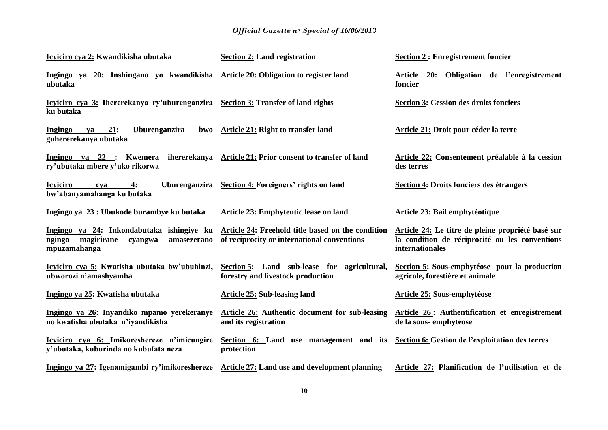| Icyiciro cya 2: Kwandikisha ubutaka                                                                                  | <b>Section 2: Land registration</b>                                                              | <b>Section 2: Enregistrement foncier</b>                                                                               |
|----------------------------------------------------------------------------------------------------------------------|--------------------------------------------------------------------------------------------------|------------------------------------------------------------------------------------------------------------------------|
| Ingingo ya 20: Inshingano yo kwandikisha Article 20: Obligation to register land<br>ubutaka                          |                                                                                                  | Article 20: Obligation de l'enregistrement<br>foncier                                                                  |
| Icyiciro cya 3: Ihererekanya ry'uburenganzira Section 3: Transfer of land rights<br>ku butaka                        |                                                                                                  | <b>Section 3: Cession des droits fonciers</b>                                                                          |
| 21:<br>Uburenganzira<br><b>Ingingo</b><br>bwo<br>ya<br>guhererekanya ubutaka                                         | Article 21: Right to transfer land                                                               | <b>Article 21: Droit pour céder la terre</b>                                                                           |
| Ingingo ya 22 : Kwemera ihererekanya Article 21: Prior consent to transfer of land<br>ry'ubutaka mbere y'uko rikorwa |                                                                                                  | Article 22: Consentement préalable à la cession<br>des terres                                                          |
| <b>Icyiciro</b><br>$\overline{4}$ :<br>cva<br>bw'abanyamahanga ku butaka                                             | Uburenganzira Section 4: Foreigners' rights on land                                              | <b>Section 4: Droits fonciers des étrangers</b>                                                                        |
| Ingingo ya 23 : Ubukode burambye ku butaka                                                                           | Article 23: Emphyteutic lease on land                                                            | Article 23: Bail emphytéotique                                                                                         |
| Ingingo ya 24: Inkondabutaka ishingiye ku<br>ngingo<br>magirirane<br>cyangwa<br>amasezerano<br>mpuzamahanga          | Article 24: Freehold title based on the condition<br>of reciprocity or international conventions | Article 24: Le titre de pleine propriété basé sur<br>la condition de réciprocité ou les conventions<br>internationales |
| Icyiciro cya 5: Kwatisha ubutaka bw'ubuhinzi,<br>ubworozi n'amashyamba                                               | Section 5: Land sub-lease for agricultural,<br>forestry and livestock production                 | Section 5: Sous-emphytéose pour la production<br>agricole, forestière et animale                                       |
| Ingingo ya 25: Kwatisha ubutaka                                                                                      | <b>Article 25: Sub-leasing land</b>                                                              | <b>Article 25: Sous-emphytéose</b>                                                                                     |
| Ingingo ya 26: Inyandiko mpamo yerekeranye<br>no kwatisha ubutaka n'iyandikisha                                      | <b>Article 26:</b> Authentic document for sub-leasing<br>and its registration                    | Article 26: Authentification et enregistrement<br>de la sous-emphytéose                                                |
| Icyiciro cya 6: Imikoreshereze n'imicungire<br>y'ubutaka, kuburinda no kubufata neza                                 | Section 6: Land use management and its<br>protection                                             | Section 6: Gestion de l'exploitation des terres                                                                        |
| Ingingo ya 27: Igenamigambi ry'imikoreshereze Article 27: Land use and development planning                          |                                                                                                  | Article 27: Planification de l'utilisation et de                                                                       |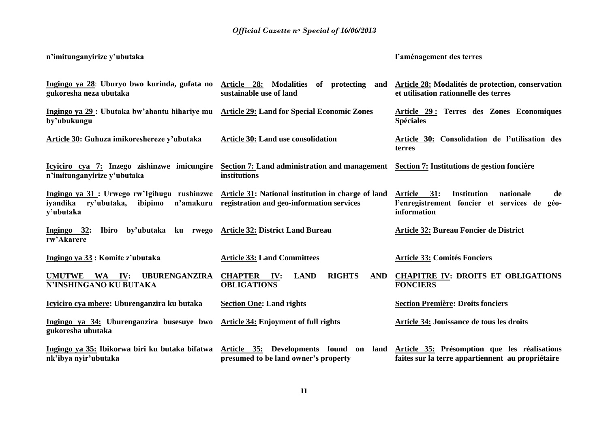**n'imitunganyirize y'ubutaka**

**l'aménagement des terres** 

| gukoresha neza ubutaka                                                                                                                            | Ingingo ya 28: Uburyo bwo kurinda, gufata no Article 28: Modalities of protecting and Article 28: Modalités de protection, conservation<br>sustainable use of land | et utilisation rationnelle des terres                                                                                     |
|---------------------------------------------------------------------------------------------------------------------------------------------------|--------------------------------------------------------------------------------------------------------------------------------------------------------------------|---------------------------------------------------------------------------------------------------------------------------|
| Ingingo ya 29 : Ubutaka bw'ahantu hihariye mu Article 29: Land for Special Economic Zones<br>by'ubukungu                                          |                                                                                                                                                                    | Article 29: Terres des Zones Economiques<br><b>Spéciales</b>                                                              |
| Article 30: Guhuza imikoreshereze y'ubutaka                                                                                                       | <b>Article 30: Land use consolidation</b>                                                                                                                          | Article 30: Consolidation de l'utilisation des<br>terres                                                                  |
| Icyiciro cya 7: Inzego zishinzwe imicungire<br>n'imitunganyirize y'ubutaka                                                                        | Section 7: Land administration and management<br>institutions                                                                                                      | Section 7: Institutions de gestion foncière                                                                               |
| Ingingo ya 31 : Urwego rw'Igihugu rushinzwe Article 31: National institution in charge of land<br>iyandika<br>ry'ubutaka,<br>ibipimo<br>y'ubutaka | n'amakuru registration and geo-information services                                                                                                                | 31:<br><b>Institution</b><br>Article<br>nationale<br>de<br>l'enregistrement foncier et services de<br>géo-<br>information |
| Ingingo 32:<br><b>Ibiro</b><br>rw'Akarere                                                                                                         | by'ubutaka ku rwego Article 32: District Land Bureau                                                                                                               | Article 32: Bureau Foncier de District                                                                                    |
| Ingingo ya 33 : Komite z'ubutaka                                                                                                                  | <b>Article 33: Land Committees</b>                                                                                                                                 | <b>Article 33: Comités Fonciers</b>                                                                                       |
| UMUTWE WA IV:<br><b>UBURENGANZIRA</b><br>N'INSHINGANO KU BUTAKA                                                                                   | <b>RIGHTS</b><br><b>CHAPTER</b><br>IV:<br><b>LAND</b><br>AND<br><b>OBLIGATIONS</b>                                                                                 | <b>CHAPITRE IV: DROITS ET OBLIGATIONS</b><br><b>FONCIERS</b>                                                              |
| Icyiciro cya mbere: Uburenganzira ku butaka                                                                                                       | <b>Section One: Land rights</b>                                                                                                                                    | <b>Section Première: Droits fonciers</b>                                                                                  |
| Ingingo ya 34: Uburenganzira busesuye bwo Article 34: Enjoyment of full rights<br>gukoresha ubutaka                                               |                                                                                                                                                                    | Article 34: Jouissance de tous les droits                                                                                 |
| Ingingo ya 35: Ibikorwa biri ku butaka bifatwa<br>nk'ibya nyir'ubutaka                                                                            | Article 35: Developments found on land<br>presumed to be land owner's property                                                                                     | Article 35: Présomption que les réalisations<br>faites sur la terre appartiennent au propriétaire                         |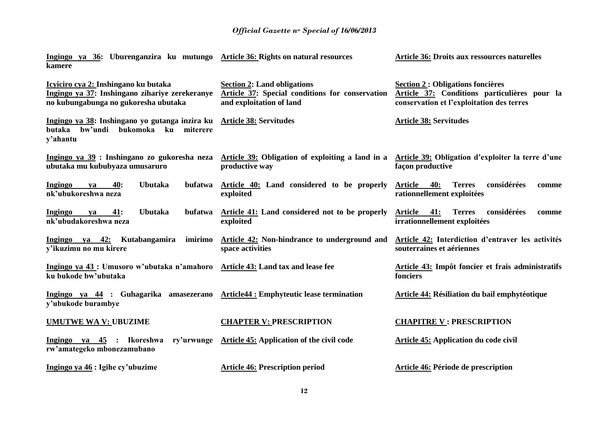| Ingingo ya 36: Uburenganzira ku mutungo Article 36: Rights on natural resources<br>kamere                                      |                                                                                                                                                                   | <b>Article 36: Droits aux ressources naturelles</b>                                                                                   |
|--------------------------------------------------------------------------------------------------------------------------------|-------------------------------------------------------------------------------------------------------------------------------------------------------------------|---------------------------------------------------------------------------------------------------------------------------------------|
| Icyiciro cya 2: Inshingano ku butaka<br>Ingingo ya 37: Inshingano zihariye zerekeranye<br>no kubungabunga no gukoresha ubutaka | <b>Section 2: Land obligations</b><br>Article 37: Special conditions for conservation<br>and exploitation of land                                                 | <b>Section 2 : Obligations foncières</b><br>Article 37: Conditions particulières pour la<br>conservation et l'exploitation des terres |
| Ingingo ya 38: Inshingano yo gutanga inzira ku Article 38: Servitudes<br>butaka bw'undi<br>bukomoka ku<br>miterere<br>y'ahantu |                                                                                                                                                                   | <b>Article 38: Servitudes</b>                                                                                                         |
| ubutaka mu kububyaza umusaruro                                                                                                 | Ingingo ya 39 : Inshingano zo gukoresha neza Article 39: Obligation of exploiting a land in a Article 39: Obligation d'exploiter la terre d'une<br>productive way | façon productive                                                                                                                      |
| Ingingo<br>40:<br><b>Ubutaka</b><br>bufatwa<br>ya<br>nk'ubukoreshwa neza                                                       | Article 40: Land considered to be properly<br>exploited                                                                                                           | considérées<br>Article<br>40:<br><b>Terres</b><br>comme<br>rationnellement exploitées                                                 |
| 41:<br><b>Ubutaka</b><br>bufatwa<br><b>Ingingo</b><br>va<br>nk'ubudakoreshwa neza                                              | Article 41: Land considered not to be properly<br>exploited                                                                                                       | considérées<br><b>Article</b><br>41:<br><b>Terres</b><br>comme<br>irrationnellement exploitées                                        |
| Ingingo ya 42: Kutabangamira<br>imirimo<br>v'ikuzimu no mu kirere                                                              | Article 42: Non-hindrance to underground and<br>space activities                                                                                                  | Article 42: Interdiction d'entraver les activités<br>souterraines et aériennes                                                        |
| Ingingo ya 43 : Umusoro w'ubutaka n'amahoro Article 43: Land tax and lease fee<br>ku bukode bw'ubutaka                         |                                                                                                                                                                   | Article 43: Impôt foncier et frais administratifs<br>fonciers                                                                         |
| Ingingo ya 44 : Guhagarika amasezerano<br>y'ubukode burambye                                                                   | <b>Article44 : Emphyteutic lease termination</b>                                                                                                                  | <b>Article 44: Résiliation du bail emphytéotique</b>                                                                                  |
| <b>UMUTWE WA V: UBUZIME</b>                                                                                                    | <b>CHAPTER V: PRESCRIPTION</b>                                                                                                                                    | <b>CHAPITRE V: PRESCRIPTION</b>                                                                                                       |
| Ingingo ya 45 : Ikoreshwa<br>ry'urwunge<br>rw'amategeko mbonezamubano                                                          | <b>Article 45: Application of the civil code</b>                                                                                                                  | <b>Article 45: Application du code civil</b>                                                                                          |
| Ingingo ya 46 : Igihe cy'ubuzime                                                                                               | <b>Article 46: Prescription period</b>                                                                                                                            | <b>Article 46: Période de prescription</b>                                                                                            |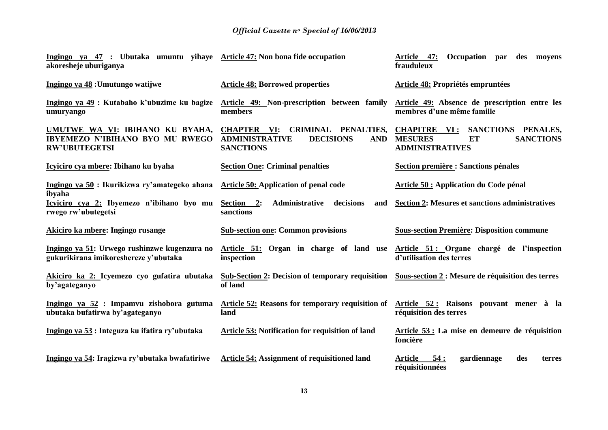| Ingingo ya 47 : Ubutaka umuntu yihaye Article 47: Non bona fide occupation<br>akoresheje uburiganya |                                                                                                                          | Article 47:<br>Occupation<br>des moyens<br>par<br>frauduleux                                                    |
|-----------------------------------------------------------------------------------------------------|--------------------------------------------------------------------------------------------------------------------------|-----------------------------------------------------------------------------------------------------------------|
| Ingingo ya 48 : Umutungo watijwe                                                                    | <b>Article 48: Borrowed properties</b>                                                                                   | Article 48: Propriétés empruntées                                                                               |
| Ingingo ya 49 : Kutabaho k'ubuzime ku bagize<br>umuryango                                           | Article 49: Non-prescription between family<br>members                                                                   | Article 49: Absence de prescription entre les<br>membres d'une même famille                                     |
| UMUTWE WA VI: IBIHANO KU BYAHA,<br><b>IBYEMEZO N'IBIHANO BYO MU RWEGO</b><br><b>RW'UBUTEGETSI</b>   | <b>CHAPTER VI:</b><br>CRIMINAL PENALTIES,<br><b>DECISIONS</b><br><b>ADMINISTRATIVE</b><br><b>AND</b><br><b>SANCTIONS</b> | <b>CHAPITRE</b> VI:<br>SANCTIONS PENALES,<br><b>SANCTIONS</b><br><b>MESURES</b><br>ET<br><b>ADMINISTRATIVES</b> |
| Icyiciro cya mbere: Ibihano ku byaha                                                                | <b>Section One: Criminal penalties</b>                                                                                   | <b>Section première : Sanctions pénales</b>                                                                     |
| Ingingo ya 50 : Ikurikizwa ry'amategeko ahana<br>ibyaha                                             | <b>Article 50: Application of penal code</b>                                                                             | Article 50 : Application du Code pénal                                                                          |
| Icyiciro cya 2: Ibyemezo n'ibihano byo mu<br>rwego rw'ubutegetsi                                    | Section 2:<br>Administrative<br>decisions<br>and<br>sanctions                                                            | <b>Section 2: Mesures et sanctions administratives</b>                                                          |
| Akiciro ka mbere: Ingingo rusange                                                                   | <b>Sub-section one: Common provisions</b>                                                                                | <b>Sous-section Première: Disposition commune</b>                                                               |
| Ingingo ya 51: Urwego rushinzwe kugenzura no<br>gukurikirana imikoreshereze y'ubutaka               | Article 51: Organ in charge of land use<br>inspection                                                                    | Article 51: Organe chargé de l'inspection<br>d'utilisation des terres                                           |
| Akiciro ka 2: Icyemezo cyo gufatira ubutaka<br>by'agateganyo                                        | <b>Sub-Section 2: Decision of temporary requisition</b><br>of land                                                       | Sous-section 2 : Mesure de réquisition des terres                                                               |
| Ingingo ya 52 : Impamvu zishobora gutuma<br>ubutaka bufatirwa by'agateganyo                         | Article 52: Reasons for temporary requisition of<br>land                                                                 | Article 52: Raisons pouvant mener à la<br>réquisition des terres                                                |
| Ingingo ya 53: Integuza ku ifatira ry'ubutaka                                                       | Article 53: Notification for requisition of land                                                                         | Article 53 : La mise en demeure de réquisition<br>foncière                                                      |
| Ingingo ya 54: Iragizwa ry'ubutaka bwafatiriwe                                                      | <b>Article 54: Assignment of requisitioned land</b>                                                                      | Article<br>54:<br>gardiennage<br>des<br>terres<br>réquisitionnées                                               |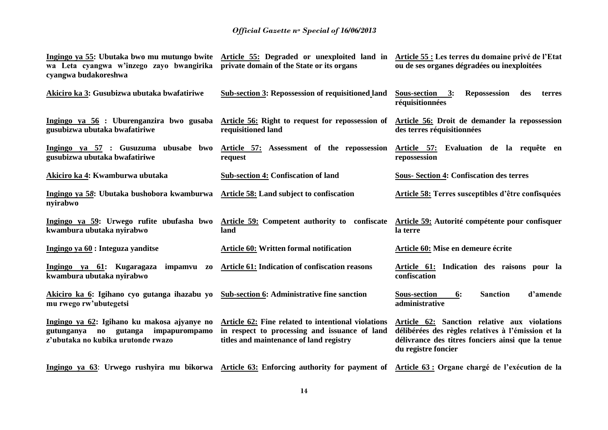| wa Leta cyangwa w'inzego zayo bwangirika private domain of the State or its organs<br>cyangwa budakoreshwa               | Ingingo ya 55: Ubutaka bwo mu mutungo bwite Article 55: Degraded or unexploited land in Article 55: Les terres du domaine privé de l'Etat                     | ou de ses organes dégradées ou inexploitées                                                                                                                                    |
|--------------------------------------------------------------------------------------------------------------------------|---------------------------------------------------------------------------------------------------------------------------------------------------------------|--------------------------------------------------------------------------------------------------------------------------------------------------------------------------------|
| Akiciro ka 3: Gusubizwa ubutaka bwafatiriwe                                                                              | <b>Sub-section 3: Repossession of requisitioned land</b>                                                                                                      | Sous-section 3:<br><b>Repossession</b><br>des<br>terres<br>réquisitionnées                                                                                                     |
| gusubizwa ubutaka bwafatiriwe                                                                                            | Ingingo ya 56 : Uburenganzira bwo gusaba Article 56: Right to request for repossession of Article 56: Droit de demander la repossession<br>requisitioned land | des terres réquisitionnées                                                                                                                                                     |
| gusubizwa ubutaka bwafatiriwe                                                                                            | Ingingo ya 57 : Gusuzuma ubusabe bwo Article 57: Assessment of the repossession<br>request                                                                    | Article 57: Evaluation de la requête en<br>repossession                                                                                                                        |
| Akiciro ka 4: Kwamburwa ubutaka                                                                                          | <b>Sub-section 4: Confiscation of land</b>                                                                                                                    | <b>Sous-Section 4: Confiscation des terres</b>                                                                                                                                 |
| Ingingo ya 58: Ubutaka bushobora kwamburwa<br>nyirabwo                                                                   | Article 58: Land subject to confiscation                                                                                                                      | Article 58: Terres susceptibles d'être confisquées                                                                                                                             |
| Ingingo ya 59: Urwego rufite ubufasha bwo<br>kwambura ubutaka nyirabwo                                                   | Article 59: Competent authority to confiscate<br>land                                                                                                         | Article 59: Autorité compétente pour confisquer<br>la terre                                                                                                                    |
| Ingingo ya 60 : Integuza yanditse                                                                                        | <b>Article 60: Written formal notification</b>                                                                                                                | Article 60: Mise en demeure écrite                                                                                                                                             |
| Ingingo ya 61: Kugaragaza impamvu zo Article 61: Indication of confiscation reasons<br>kwambura ubutaka nyirabwo         |                                                                                                                                                               | Article 61: Indication des raisons pour la<br>confiscation                                                                                                                     |
| Akiciro ka 6: Igihano cyo gutanga ihazabu yo Sub-section 6: Administrative fine sanction<br>mu rwego rw'ubutegetsi       |                                                                                                                                                               | <b>Sanction</b><br>d'amende<br><b>Sous-section</b><br>6:<br>administrative                                                                                                     |
| Ingingo ya 62: Igihano ku makosa ajyanye no<br>gutunganya no gutanga impapurompamo<br>z'ubutaka no kubika urutonde rwazo | Article 62: Fine related to intentional violations<br>in respect to processing and issuance of land<br>titles and maintenance of land registry                | Article 62: Sanction relative aux violations<br>délibérées des règles relatives à l'émission et la<br>délivrance des titres fonciers ainsi que la tenue<br>du registre foncier |
|                                                                                                                          | Ingingo ya 63: Urwego rushyira mu bikorwa Article 63: Enforcing authority for payment of Article 63: Organe chargé de l'exécution de la                       |                                                                                                                                                                                |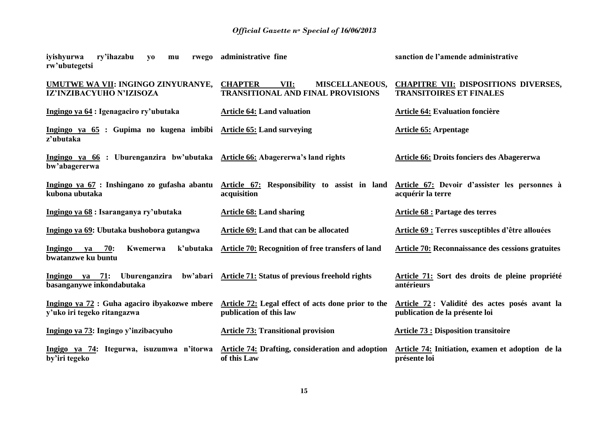| ry'ihazabu<br>iyishyurwa<br>rwego<br>y <sub>0</sub><br>mu<br>rw'ubutegetsi                     | administrative fine                                                                                                        | sanction de l'amende administrative                                              |
|------------------------------------------------------------------------------------------------|----------------------------------------------------------------------------------------------------------------------------|----------------------------------------------------------------------------------|
| UMUTWE WA VII: INGINGO ZINYURANYE, CHAPTER<br>IZ'INZIBACYUHO N'IZISOZA                         | VII:<br><b>MISCELLANEOUS,</b><br><b>TRANSITIONAL AND FINAL PROVISIONS</b>                                                  | <b>CHAPITRE VII: DISPOSITIONS DIVERSES,</b><br><b>TRANSITOIRES ET FINALES</b>    |
| Ingingo ya 64 : Igenagaciro ry'ubutaka                                                         | <b>Article 64: Land valuation</b>                                                                                          | <b>Article 64: Evaluation foncière</b>                                           |
| Ingingo ya 65 : Gupima no kugena imbibi Article 65: Land surveying<br>z'ubutaka                |                                                                                                                            | <b>Article 65: Arpentage</b>                                                     |
| Ingingo ya 66 : Uburenganzira bw'ubutaka Article 66: Abagererwa's land rights<br>bw'abagererwa |                                                                                                                            | Article 66: Droits fonciers des Abagererwa                                       |
| kubona ubutaka                                                                                 | Ingingo ya 67 : Inshingano zo gufasha abantu Article 67: Responsibility to assist in land<br>acquisition                   | Article 67: Devoir d'assister les personnes à<br>acquérir la terre               |
| Ingingo ya 68 : Isaranganya ry'ubutaka                                                         | <b>Article 68: Land sharing</b>                                                                                            | <b>Article 68 : Partage des terres</b>                                           |
| Ingingo ya 69: Ubutaka bushobora gutangwa                                                      | Article 69: Land that can be allocated                                                                                     | <b>Article 69 : Terres susceptibles d'être allouées</b>                          |
| <b>Ingingo</b><br>Kwemerwa<br>k'ubutaka<br>70:<br><b>va</b><br>bwatanzwe ku buntu              | Article 70: Recognition of free transfers of land                                                                          | Article 70: Reconnaissance des cessions gratuites                                |
| Ingingo ya 71:<br>basanganywe inkondabutaka                                                    | Uburenganzira bw'abari Article 71: Status of previous freehold rights                                                      | Article 71: Sort des droits de pleine propriété<br>antérieurs                    |
| y'uko iri tegeko ritangazwa                                                                    | Ingingo ya 72 : Guha agaciro ibyakozwe mbere Article 72: Legal effect of acts done prior to the<br>publication of this law | Article 72 : Validité des actes posés avant la<br>publication de la présente loi |
| Ingingo ya 73: Ingingo y'inzibacyuho                                                           | <b>Article 73: Transitional provision</b>                                                                                  | <b>Article 73 : Disposition transitoire</b>                                      |
| by'iri tegeko                                                                                  | Ingigo ya 74: Itegurwa, isuzumwa n'itorwa Article 74: Drafting, consideration and adoption<br>of this Law                  | Article 74: Initiation, examen et adoption de la<br>présente loi                 |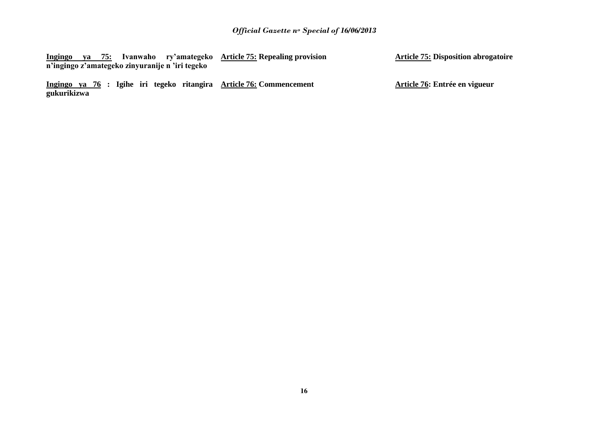|  |  |                                                 | Ingingo ya 75: Ivanwaho ry'amategeko Article 75: Repealing provision | <b>Article 75: Disposition abroga</b> |
|--|--|-------------------------------------------------|----------------------------------------------------------------------|---------------------------------------|
|  |  | n'ingingo z'amategeko zinyuranije n 'iri tegeko |                                                                      |                                       |

**Ingingo ya 76 : Igihe iri tegeko ritangira gukurikizwa Article 76: Commencement** **Article 75: Disposition abrogatoire** 

**Article 76: Entrée en vigueur**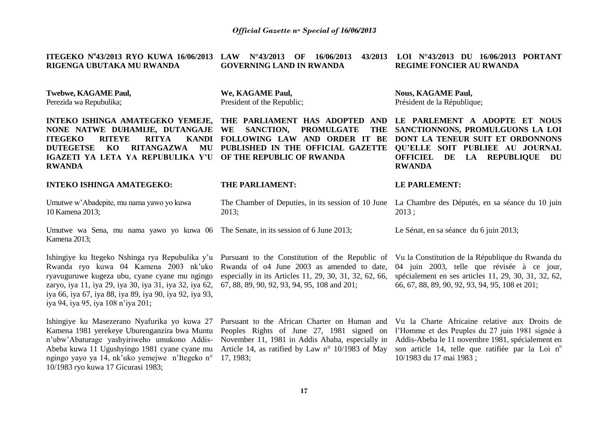| ITEGEKO Nº43/2013 RYO KUWA 16/06/2013 LAW Nº43/2013 OF 16/06/2013<br>RIGENGA UBUTAKA MU RWANDA                                                                                                                                                                                      | 43/2013<br><b>GOVERNING LAND IN RWANDA</b>                                                                                                                                                                                                              | LOI N°43/2013 DU 16/06/2013 PORTANT<br><b>REGIME FONCIER AU RWANDA</b>                                                                                                                                                                                                                                                        |
|-------------------------------------------------------------------------------------------------------------------------------------------------------------------------------------------------------------------------------------------------------------------------------------|---------------------------------------------------------------------------------------------------------------------------------------------------------------------------------------------------------------------------------------------------------|-------------------------------------------------------------------------------------------------------------------------------------------------------------------------------------------------------------------------------------------------------------------------------------------------------------------------------|
| <b>Twebwe, KAGAME Paul,</b><br>Perezida wa Repubulika;                                                                                                                                                                                                                              | We, KAGAME Paul,<br>President of the Republic;                                                                                                                                                                                                          | <b>Nous, KAGAME Paul,</b><br>Président de la République;                                                                                                                                                                                                                                                                      |
| NONE NATWE DUHAMIJE, DUTANGAJE WE<br><b>ITEGEKO</b><br><b>RITEYE</b><br><b>RITYA</b><br><b>DUTEGETSE</b><br>KO<br><b>RITANGAZWA</b><br>MU<br>IGAZETI YA LETA YA REPUBULIKA Y'U OF THE REPUBLIC OF RWANDA<br><b>RWANDA</b>                                                           | INTEKO ISHINGA AMATEGEKO YEMEJE, THE PARLIAMENT HAS ADOPTED AND<br><b>SANCTION,</b><br><b>PROMULGATE</b><br><b>THE</b><br>KANDI FOLLOWING LAW AND ORDER IT BE<br>PUBLISHED IN THE OFFICIAL GAZETTE                                                      | LE PARLEMENT A ADOPTE ET NOUS<br>SANCTIONNONS, PROMULGUONS LA LOI<br>DONT LA TENEUR SUIT ET ORDONNONS<br><b>QU'ELLE SOIT PUBLIEE AU JOURNAL</b><br><b>OFFICIEL</b><br>DE LA REPUBLIQUE<br>DU<br><b>RWANDA</b>                                                                                                                 |
| <b>INTEKO ISHINGA AMATEGEKO:</b>                                                                                                                                                                                                                                                    | THE PARLIAMENT:                                                                                                                                                                                                                                         | <b>LE PARLEMENT:</b>                                                                                                                                                                                                                                                                                                          |
| Umutwe w'Abadepite, mu nama yawo yo kuwa<br>10 Kamena 2013;                                                                                                                                                                                                                         | 2013;                                                                                                                                                                                                                                                   | The Chamber of Deputies, in its session of 10 June La Chambre des Députés, en sa séance du 10 juin<br>2013;                                                                                                                                                                                                                   |
| Umutwe wa Sena, mu nama yawo yo kuwa 06 The Senate, in its session of 6 June 2013;<br>Kamena 2013;                                                                                                                                                                                  |                                                                                                                                                                                                                                                         | Le Sénat, en sa séance du 6 juin 2013;                                                                                                                                                                                                                                                                                        |
| Rwanda ryo kuwa 04 Kamena 2003 nk'uko<br>ryavuguruwe kugeza ubu, cyane cyane mu ngingo<br>zaryo, iya 11, iya 29, iya 30, iya 31, iya 32, iya 62,<br>iya 66, iya 67, iya 88, iya 89, iya 90, iya 92, iya 93,<br>iya 94, iya 95, iya 108 n'iya 201;                                   | Ishingiye ku Itegeko Nshinga rya Repubulika y'u Pursuant to the Constitution of the Republic of<br>Rwanda of 04 June 2003 as amended to date,<br>especially in its Articles 11, 29, 30, 31, 32, 62, 66,<br>67, 88, 89, 90, 92, 93, 94, 95, 108 and 201; | Vu la Constitution de la République du Rwanda du<br>04 juin 2003, telle que révisée à ce jour,<br>spécialement en ses articles 11, 29, 30, 31, 32, 62,<br>66, 67, 88, 89, 90, 92, 93, 94, 95, 108 et 201;                                                                                                                     |
| Ishingiye ku Masezerano Nyafurika yo kuwa 27<br>Kamena 1981 yerekeye Uburenganzira bwa Muntu<br>n'ubw'Abaturage yashyiriweho umukono Addis-<br>Abeba kuwa 11 Ugushyingo 1981 cyane cyane mu<br>ngingo yayo ya 14, nk'uko yemejwe n'Itegeko n°<br>10/1983 ryo kuwa 17 Gicurasi 1983; | Pursuant to the African Charter on Human and<br>Article 14, as ratified by Law $n^{\circ}$ 10/1983 of May<br>17, 1983;                                                                                                                                  | Vu la Charte Africaine relative aux Droits de<br>Peoples Rights of June 27, 1981 signed on l'Homme et des Peuples du 27 juin 1981 signée à<br>November 11, 1981 in Addis Ababa, especially in Addis-Abeba le 11 novembre 1981, spécialement en<br>son article 14, telle que ratifiée par la Loi n°<br>10/1983 du 17 mai 1983; |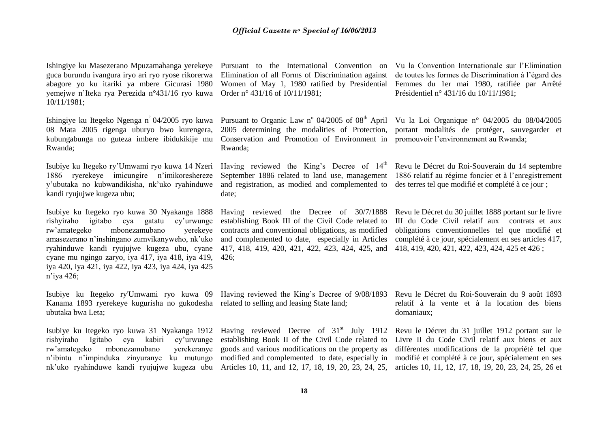Ishingiye ku Masezerano Mpuzamahanga yerekeye guca burundu ivangura iryo ari ryo ryose rikorerwa abagore yo ku itariki ya mbere Gicurasi 1980 yemejwe n'Iteka rya Perezida n°431/16 ryo kuwa 10/11/1981;

Ishingiye ku Itegeko Ngenga n<sup>º</sup>04/2005 ryo kuwa 08 Mata 2005 rigenga uburyo bwo kurengera, kubungabunga no guteza imbere ibidukikije mu Rwanda;

Isubiye ku Itegeko ry'Umwami ryo kuwa 14 Nzeri 1886 ryerekeye imicungire n'imikoreshereze y'ubutaka no kubwandikisha, nk'uko ryahinduwe kandi ryujujwe kugeza ubu;

Isubiye ku Itegeko ryo kuwa 30 Nyakanga 1888 rishyiraho igitabo cya gatatu cy'urwunge rw'amategeko mbonezamubano yerekeye amasezerano n'inshingano zumvikanyweho, nk'uko ryahinduwe kandi ryujujwe kugeza ubu, cyane cyane mu ngingo zaryo, iya 417, iya 418, iya 419, iya 420, iya 421, iya 422, iya 423, iya 424, iya 425 n'iya 426;

Kanama 1893 ryerekeye kugurisha no gukodesha related to selling and leasing State land; ubutaka bwa Leta;

rishyiraho Igitabo cya kabiri cy'urwunge rw'amategeko mbonezamubano yerekeranye n'ibintu n'impinduka zinyuranye ku mutungo nk'uko ryahinduwe kandi ryujujwe kugeza ubu Articles 10, 11, and 12, 17, 18, 19, 20, 23, 24, 25,

Elimination of all Forms of Discrimination against Women of May 1, 1980 ratified by Presidential Order n° 431/16 of 10/11/1981;

Conservation and Promotion of Environment in promouvoir l'environnement au Rwanda; Rwanda;

Having reviewed the King's Decree of  $14<sup>th</sup>$ September 1886 related to land use, management and registration, as modied and complemented to date;

Having reviewed the Decree of 30/7/1888 establishing Book III of the Civil Code related to contracts and conventional obligations, as modified and complemented to date, especially in Articles 417, 418, 419, 420, 421, 422, 423, 424, 425, and 426;

Pursuant to the International Convention on Vu la Convention Internationale sur l'Elimination de toutes les formes de Discrimination à l'égard des Femmes du 1er mai 1980, ratifiée par Arrêté Présidentiel n° 431/16 du 10/11/1981;

Pursuant to Organic Law n° 04/2005 of 08<sup>th</sup> April Vu la Loi Organique n° 04/2005 du 08/04/2005 2005 determining the modalities of Protection, portant modalités de protéger, sauvegarder et

> Revu le Décret du Roi-Souverain du 14 septembre 1886 relatif au régime foncier et à l'enregistrement des terres tel que modifié et complété à ce jour ;

> Revu le Décret du 30 juillet 1888 portant sur le livre III du Code Civil relatif aux contrats et aux obligations conventionnelles tel que modifié et complété à ce jour, spécialement en ses articles 417, 418, 419, 420, 421, 422, 423, 424, 425 et 426 ;

Isubiye ku Itegeko ry'Umwami ryo kuwa 09 Having reviewed the King's Decree of 9/08/1893

Isubiye ku Itegeko ryo kuwa 31 Nyakanga 1912 Having reviewed Decree of 31<sup>st</sup> July 1912 establishing Book II of the Civil Code related to goods and various modifications on the property as modified and complemented to date, especially in

Revu le Décret du Roi-Souverain du 9 août 1893 relatif à la vente et à la location des biens domaniaux;

Revu le Décret du 31 juillet 1912 portant sur le Livre II du Code Civil relatif aux biens et aux différentes modifications de la propriété tel que modifié et complété à ce jour, spécialement en ses articles 10, 11, 12, 17, 18, 19, 20, 23, 24, 25, 26 et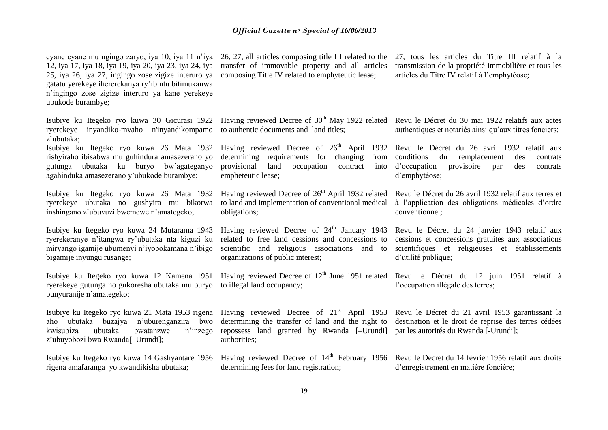cyane cyane mu ngingo zaryo, iya 10, iya 11 n'iya 26, 27, all articles composing title III related to the 12, iya 17, iya 18, iya 19, iya 20, iya 23, iya 24, iya 25, iya 26, iya 27, ingingo zose zigize interuro ya gatatu yerekeye ihererekanya ry'ibintu bitimukanwa n'ingingo zose zigize interuro ya kane yerekeye ubukode burambye;

Isubiye ku Itegeko ryo kuwa 30 Gicurasi 1922 ryerekeye inyandiko-mvaho n'inyandikompamo z'ubutaka;

Isubiye ku Itegeko ryo kuwa 26 Mata 1932 rishyiraho ibisabwa mu guhindura amasezerano yo gutunga ubutaka ku buryo bw'agateganyo agahinduka amasezerano y'ubukode burambye;

Isubiye ku Itegeko ryo kuwa 26 Mata 1932 ryerekeye ubutaka no gushyira mu bikorwa inshingano z'ubuvuzi bwemewe n'amategeko;

Isubiye ku Itegeko ryo kuwa 24 Mutarama 1943 ryerekeranye n'itangwa ry'ubutaka nta kiguzi ku miryango igamije ubumenyi n'iyobokamana n'ibigo bigamije inyungu rusange;

Isubiye ku Itegeko ryo kuwa 12 Kamena 1951 ryerekeye gutunga no gukoresha ubutaka mu buryo to illegal land occupancy; bunyuranije n'amategeko;

Isubiye ku Itegeko ryo kuwa 21 Mata 1953 rigena aho ubutaka buzajya n'uburenganzira bwo kwisubiza ubutaka bwatanzwe n'inzego z'ubuyobozi bwa Rwanda[–Urundi];

Isubiye ku Itegeko ryo kuwa 14 Gashyantare 1956 rigena amafaranga yo kwandikisha ubutaka;

transfer of immovable property and all articles composing Title IV related to emphyteutic lease;

27, tous les articles du Titre III relatif à la transmission de la propriété immobilière et tous les articles du Titre IV relatif à l'emphytéose;

Having reviewed Decree of 30<sup>th</sup> May 1922 related Revu le Décret du 30 mai 1922 relatifs aux actes to authentic documents and land titles;

determining requirements for changing from provisional land occupation contract empheteutic lease;

Having reviewed Decree of  $26<sup>th</sup>$  April 1932 related to land and implementation of conventional medical obligations;

Having reviewed Decree of  $24<sup>th</sup>$  January 1943 related to free land cessions and concessions to scientific and religious associations and to organizations of public interest;

Having reviewed Decree of  $21<sup>st</sup>$  April 1953 determining the transfer of land and the right to repossess land granted by Rwanda [–Urundi] authorities;

Having reviewed Decree of 14<sup>th</sup> February 1956 Revu le Décret du 14 février 1956 relatif aux droits determining fees for land registration;

authentiques et notariés ainsi qu'aux titres fonciers;

Having reviewed Decree of 26<sup>th</sup> April 1932 Revu le Décret du 26 avril 1932 relatif aux conditions du remplacement des contrats d'occupation provisoire par des contrats d'emphytéose;

> Revu le Décret du 26 avril 1932 relatif aux terres et à l'application des obligations médicales d'ordre conventionnel;

> Revu le Décret du 24 janvier 1943 relatif aux cessions et concessions gratuites aux associations scientifiques et religieuses et établissements d'utilité publique;

Having reviewed Decree of  $12<sup>th</sup>$  June 1951 related Revu le Décret du 12 juin 1951 relatif à l'occupation illégale des terres;

> Revu le Décret du 21 avril 1953 garantissant la destination et le droit de reprise des terres cédées par les autorités du Rwanda [-Urundi];

d'enregistrement en matière foncière;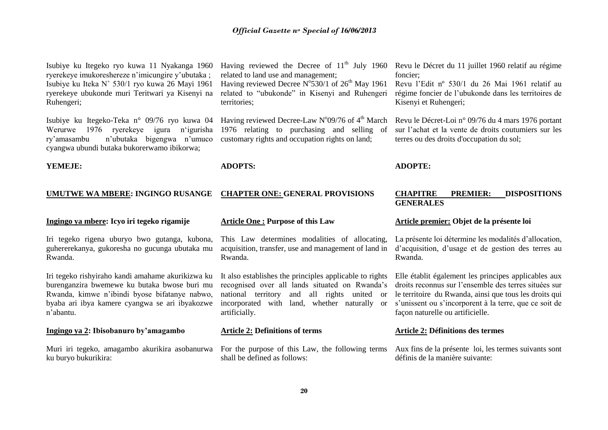Isubiye ku Itegeko ryo kuwa 11 Nyakanga 1960 ryerekeye imukoreshereze n'imicungire y'ubutaka ; Isubiye ku Iteka N˚ 530/1 ryo kuwa 26 Mayi 1961 ryerekeye ubukonde muri Teritwari ya Kisenyi na Ruhengeri;

Isubiye ku Itegeko-Teka n° 09/76 ryo kuwa 04 Werurwe 1976 ryerekeye igura n'igurisha ry'amasambu n'ubutaka bigengwa n'umuco cyangwa ubundi butaka bukorerwamo ibikorwa;

Having reviewed the Decree of  $11<sup>th</sup>$  July 1960 related to land use and management; Having reviewed Decree  $N^{\circ}$ 530/1 of 26<sup>th</sup> May 1961

related to "ubukonde" in Kisenyi and Ruhengeri territories;

Having reviewed Decree-Law N°09/76 of  $4<sup>th</sup>$  March 1976 relating to purchasing and selling of customary rights and occupation rights on land;

**YEMEJE:**

#### **UMUTWE WA MBERE: INGINGO RUSANGE [CHAPTER ONE: GENERAL PROVISIONS](http://www.amategeko.net/display_rubrique.php?ActDo=all&Information_ID=692&Parent_ID=3068403&type=public&Langue_ID=An&rubID=3068406#a3068406)**

#### **Ingingo ya mbere: Icyo iri tegeko rigamije**

Iri tegeko rigena uburyo bwo gutanga, kubona, guhererekanya, gukoresha no gucunga ubutaka mu Rwanda.

Iri tegeko rishyiraho kandi amahame akurikizwa ku burenganzira bwemewe ku butaka bwose buri mu Rwanda, kimwe n'ibindi byose bifatanye nabwo, byaba ari ibya kamere cyangwa se ari ibyakozwe n'abantu.

#### **Ingingo ya 2: Ibisobanuro by'amagambo**

ku buryo bukurikira:

#### **Article One : Purpose of this Law**

**ADOPTS:** 

This Law determines modalities of allocating, acquisition, transfer, use and management of land in Rwanda.

It also establishes the principles applicable to rights recognised over all lands situated on Rwanda's national territory and all rights united or incorporated with land, whether naturally or artificially.

#### **Article 2: Definitions of terms**

Muri iri tegeko, amagambo akurikira asobanurwa For the purpose of this Law, the following terms shall be defined as follows:

Revu le Décret du 11 juillet 1960 relatif au régime foncier;

Revu l'Edit nº 530/1 du 26 Mai 1961 relatif au régime foncier de l'ubukonde dans les territoires de Kisenyi et Ruhengeri;

[Revu le Décret-Loi n° 09/76 du 4 mars 1976 portant](http://www.amategeko.net/display_rubrique.php?Information_ID=164&Parent_ID=1805&type=public&Langue_ID=Fr)  [sur l'achat et la vente de](http://www.amategeko.net/display_rubrique.php?Information_ID=164&Parent_ID=1805&type=public&Langue_ID=Fr) droits coutumiers sur les [terres ou des droits d'occupation du sol;](http://www.amategeko.net/display_rubrique.php?Information_ID=164&Parent_ID=1805&type=public&Langue_ID=Fr)

#### **ADOPTE:**

#### **CHAPITRE PREMIER: DISPOSITIONS GENERALES**

#### **Article premier: Objet de la présente loi**

La présente loi détermine les modalités d'allocation, d'acquisition, d'usage et de gestion des terres au Rwanda.

Elle établit également les principes applicables aux droits reconnus sur l'ensemble des terres situées sur le territoire du Rwanda, ainsi que tous les droits qui s'unissent ou s'incorporent à la terre, que ce soit de façon naturelle ou artificielle.

#### **Article 2: Définitions des termes**

Aux fins de la présente loi, les termes suivants sont définis de la manière suivante: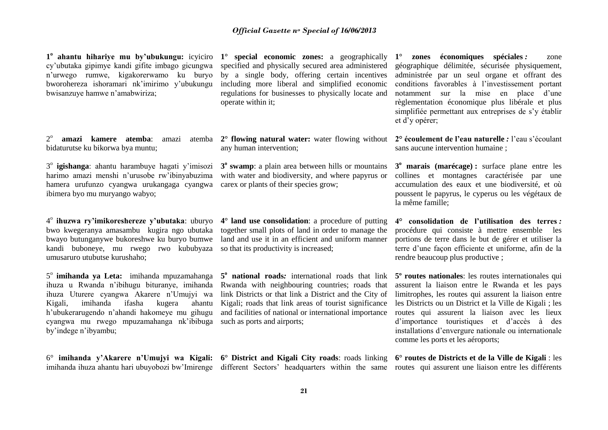**1 o ahantu hihariye mu by'ubukungu:** icyiciro cy'ubutaka gipimye kandi gifite imbago gicungwa n'urwego rumwe, kigakorerwamo ku buryo bworohereza ishoramari nk'imirimo y'ubukungu bwisanzuye hamwe n'amabwiriza;

 $2^{\circ}$ bidaturutse ku bikorwa bya muntu;

3° igishanga: ahantu harambuye hagati y'imisozi harimo amazi menshi n'urusobe rw'ibinyabuzima hamera urufunzo cyangwa urukangaga cyangwa ibimera byo mu muryango wabyo;

4 o **ihuzwa ry'imikoreshereze y'ubutaka**: uburyo bwo kwegeranya amasambu kugira ngo ubutaka bwayo butunganywe bukoreshwe ku buryo bumwe kandi buboneye, mu rwego rwo kububyaza umusaruro utubutse kurushaho;

5<sup>°</sup> imihanda ya Leta: imihanda mpuzamahanga ihuza u Rwanda n'ibihugu bituranye, imihanda ihuza Uturere cyangwa Akarere n'Umujyi wa Kigali, imihanda ifasha kugera ahantu h'ubukerarugendo n'ahandi hakomeye mu gihugu cyangwa mu rwego mpuzamahanga nk'ibibuga such as ports and airports; by'indege n'ibyambu;

6° **imihanda y'Akarere n'Umujyi wa Kigali: 6° District and Kigali City roads**: roads linking **6° routes de Districts et de la Ville de Kigali** : les

**1° special economic zones:** a geographically specified and physically secured area administered by a single body, offering certain incentives including more liberal and simplified economic regulations for businesses to physically locate and operate within it;

**amazi kamere atemba**: amazi atemba **2° flowing natural water:** water flowing without any human intervention;

> **3 o swamp**: a plain area between hills or mountains with water and biodiversity, and where papyrus or carex or plants of their species grow;

> **4° land use consolidation**: a procedure of putting together small plots of land in order to manage the land and use it in an efficient and uniform manner so that its productivity is increased;

> **5 o national roads***:* international roads that link Rwanda with neighbouring countries; roads that link Districts or that link a District and the City of Kigali; roads that link areas of tourist significance and facilities of national or international importance

**1° zones économiques spéciales** *:* zone géographique délimitée, sécurisée physiquement, administrée par un seul organe et offrant des conditions favorables à l'investissement portant notamment sur la mise en place d'une règlementation économique plus libérale et plus simplifiée permettant aux entreprises de s'y établir et d'y opérer;

**2° écoulement de l'eau naturelle** *:* l'eau s'écoulant sans aucune intervention humaine ;

**3 <sup>o</sup> marais (marécage) :** surface plane entre les collines et montagnes caractérisée par une accumulation des eaux et une biodiversité, et où poussent le papyrus, le cyperus ou les végétaux de la même famille;

**4° consolidation de l'utilisation des terres** *:*  procédure qui consiste à mettre ensemble les portions de terre dans le but de gérer et utiliser la terre d'une façon efficiente et uniforme, afin de la rendre beaucoup plus productive ;

**5º routes nationales**: les routes internationales qui assurent la liaison entre le Rwanda et les pays limitrophes, les routes qui assurent la liaison entre les Districts ou un District et la Ville de Kigali ; les routes qui assurent la liaison avec les lieux d'importance touristiques et d'accès à des installations d'envergure nationale ou internationale comme les ports et les aéroports;

imihanda ihuza ahantu hari ubuyobozi bw'Imirenge different Sectors' headquarters within the same routes qui assurent une liaison entre les différents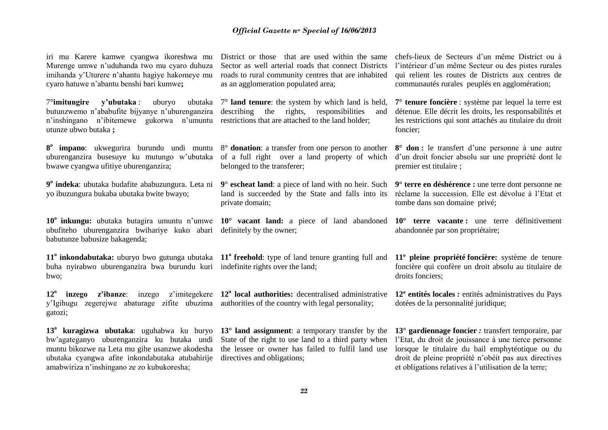iri mu Karere kamwe cyangwa ikoreshwa mu Murenge umwe n'uduhanda two mu cyaro duhuza imihanda y'Uturere n'ahantu hagiye hakomeye mu cyaro hatuwe n'abantu benshi bari kumwe**;**

7°**imitungire y'ubutaka** : uburyo ubutaka butunzwemo n'ababufite bijyanye n'uburenganzira n'inshingano n'ibitemewe gukorwa n'umuntu restrictions that are attached to the land holder; utunze ubwo butaka **;**

**8 o impano**: ukwegurira burundu undi muntu 8° **donation**: a transfer from one person to another uburenganzira busesuye ku mutungo w'ubutaka bwawe cyangwa ufitiye uburenganzira;

**9 o indeka**: ubutaka budafite ababuzungura. Leta ni yo ibuzungura bukaba ubutaka bwite bwayo;

ubufiteho uburenganzira bwihariye kuko abari babutunze babusize bakagenda;

11<sup>°</sup> inkondabutaka: uburyo bwo gutunga ubutaka 11<sup>°</sup> freehold: type of land tenure granting full and buha nyirabwo uburenganzira bwa burundu kuri indefinite rights over the land; bwo;

**12<sup>o</sup> inzego z'ibanze**: inzego z'imitegekere **12<sup>o</sup> local authorities:** decentralised administrative y'Igihugu zegerejwe abaturage zifite ubuzima authorities of the country with legal personality; gatozi;

**13<sup>o</sup> kuragizwa ubutaka**: uguhabwa ku buryo **13° land assignment**: a temporary transfer by the bw'agateganyo uburenganzira ku butaka undi muntu bikozwe na Leta mu gihe usanzwe akodesha the lessee or owner has failed to fulfil land use ubutaka cyangwa afite inkondabutaka atubahirije directives and obligations; amabwiriza n'inshingano ze zo kubukoresha;

District or those that are used within the same Sector as well arterial roads that connect Districts roads to rural community centres that are inhabited as an agglomeration populated area;

7° **land tenure**: the system by which land is held, describing the rights, responsibilities and

of a full right over a land property of which belonged to the transferer;

**9**° **escheat land**: a piece of land with no heir. Such land is succeeded by the State and falls into its private domain;

definitely by the owner;

State of the right to use land to a third party when

chefs-lieux de Secteurs d'un même District ou à l'intérieur d'un même Secteur ou des pistes rurales qui relient les routes de Districts aux centres de communautés rurales peuplés en agglomération;

**7° tenure foncière** : système par lequel la terre est détenue. Elle décrit les droits, les responsabilités et les restrictions qui sont attachés au titulaire du droit foncier;

**8° don :** le transfert d'une personne à une autre d'un droit foncier absolu sur une propriété dont le premier est titulaire ;

**9° terre en déshérence :** une terre dont personne ne réclame la succession. Elle est dévolue à l'Etat et tombe dans son domaine privé;

**10<sup>o</sup> inkungu:** ubutaka butagira umuntu n'umwe **10° vacant land:** a piece of land abandoned **10° terre vacante :** une terre définitivement abandonnée par son propriétaire;

> **11º pleine propriété foncière:** système de tenure foncière qui confère un droit absolu au titulaire de droits fonciers;

> **12º entités locales :** entités administratives du Pays dotées de la personnalité juridique;

> **13° gardiennage foncier** *:* transfert temporaire, par l'Etat, du droit de jouissance à une tierce personne lorsque le titulaire du bail emphytéotique ou du droit de pleine propriété n'obéit pas aux directives et obligations relatives à l'utilisation de la terre;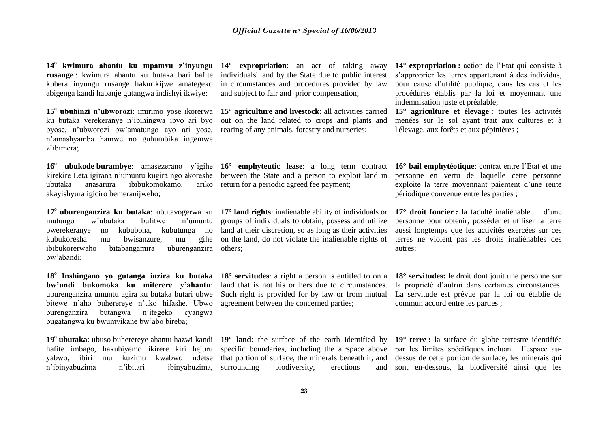**14<sup>o</sup> kwimura abantu ku mpamvu z'inyungu rusange** : kwimura abantu ku butaka bari bafite kubera inyungu rusange hakurikijwe amategeko abigenga kandi habanje gutangwa indishyi ikwiye;

**15<sup>o</sup> ubuhinzi n'ubworozi**: imirimo yose ikorerwa ku butaka yerekeranye n'ibihingwa ibyo ari byo byose, n'ubworozi bw'amatungo ayo ari yose, n'amashyamba hamwe no guhumbika ingemwe z'ibimera;

**16<sup>o</sup> ubukode burambye**: amasezerano y'igihe **16° emphyteutic lease**: a long term contract kirekire Leta igirana n'umuntu kugira ngo akoreshe between the State and a person to exploit land in ubutaka anasarura ibibukomokamo, akayishyura igiciro bemeranijweho;

mutungo w'ubutaka bufitwe n'umuntu bwerekeranye no kububona, kubutunga no kubukoresha mu bwisanzure, mu gihe ibibukorerwaho bitabangamira bw'abandi; uburenganzira others;

**18<sup>o</sup> Inshingano yo gutanga inzira ku butaka bw'undi bukomoka ku miterere y'ahantu**: uburenganzira umuntu agira ku butaka butari ubwe bitewe n'aho buherereye n'uko hifashe. Ubwo burenganzira butangwa n'itegeko cyangwa bugatangwa ku bwumvikane bw'abo bireba;

**19<sup>o</sup> ubutaka**: ubuso buherereye ahantu hazwi kandi hafite imbago, hakubiyemo ikirere kiri hejuru yabwo, ibiri mu kuzimu kwabwo ndetse n'ibinyabuzima n'ibitari ibinyabuzima,

**14° expropriation**: an act of taking away individuals' land by the State due to public interest in circumstances and procedures provided by law and subject to fair and prior compensation;

**15° agriculture and livestock**: all activities carried out on the land related to crops and plants and rearing of any animals, forestry and nurseries;

ariko return for a periodic agreed fee payment;

**17<sup>o</sup> uburenganzira ku butaka**: ubutavogerwa ku **17° land rights**: inalienable ability of individuals or groups of individuals to obtain, possess and utilize land at their discretion, so as long as their activities on the land, do not violate the inalienable rights of

> **18° servitudes**: a right a person is entitled to on a land that is not his or hers due to circumstances. Such right is provided for by law or from mutual agreement between the concerned parties;

> that portion of surface, the minerals beneath it, and surrounding biodiversity, erections

**14° expropriation :** action de l'Etat qui consiste à s'approprier les terres appartenant à des individus, pour cause d'utilité publique, dans les cas et les procédures établis par la loi et moyennant une indemnisation juste et préalable;

**15° agriculture et élevage :** toutes les activités menées sur le sol ayant trait aux cultures et à l'élevage, aux forêts et aux pépinières ;

**16° bail emphytéotique**: contrat entre l'Etat et une personne en vertu de laquelle cette personne exploite la terre moyennant paiement d'une rente périodique convenue entre les parties ;

**17° droit foncier** *:* la faculté inaliénable d'une personne pour obtenir, posséder et utiliser la terre aussi longtemps que les activités exercées sur ces terres ne violent pas les droits inaliénables des autres;

**18° servitudes:** le droit dont jouit une personne sur la propriété d'autrui dans certaines circonstances. La servitude est prévue par la loi ou établie de commun accord entre les parties ;

**19° land**: the surface of the earth identified by **19° terre :** la surface du globe terrestre identifiée specific boundaries, including the airspace above par les limites spécifiques incluant l'espace audessus de cette portion de surface, les minerais qui sont en-dessous, la biodiversité ainsi que les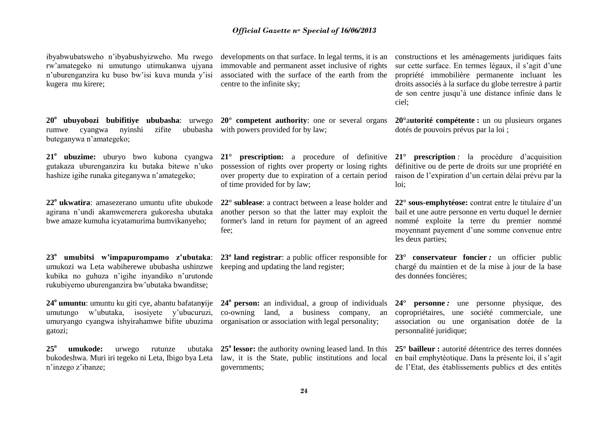ibyabwubatsweho n'ibyabushyizweho. Mu rwego rw'amategeko ni umutungo utimukanwa ujyana n'uburenganzira ku buso bw'isi kuva munda y'isi kugera mu kirere;

rumwe cyangwa nyinshi zifite ububasha with powers provided for by law; buteganywa n'amategeko;

**21<sup>o</sup> ubuzime:** uburyo bwo kubona cyangwa gutakaza uburenganzira ku butaka bitewe n'uko hashize igihe runaka giteganywa n'amategeko;

**22<sup>o</sup> ukwatira**: amasezerano umuntu ufite ubukode agirana n'undi akamwemerera gukoresha ubutaka bwe amaze kumuha icyatamurima bumvikanyeho;

**23<sup>o</sup> umubitsi w'impapurompamo z'ubutaka**: umukozi wa Leta wabiherewe ububasha ushinzwe kubika no guhuza n'igihe inyandiko n'urutonde rukubiyemo uburenganzira bw'ubutaka bwanditse;

**24<sup>o</sup> umuntu**: umuntu ku giti cye, abantu bafatan**y**ije umutungo w'ubutaka, isosiyete y'ubucuruzi, umuryango cyangwa ishyirahamwe bifite ubuzima organisation or association with legal personality; gatozi;

**25<sup>o</sup> umukode:** urwego rutunze ubutaka bukodeshwa. Muri iri tegeko ni Leta, Ibigo bya Leta n'inzego z'ibanze;

developments on that surface. In legal terms, it is an immovable and permanent asset inclusive of rights associated with the surface of the earth from the centre to the infinite sky;

**20<sup>o</sup> ubuyobozi bubifitiye ububasha**: urwego **20° competent authority**: one or several organs

**21° prescription:** a procedure of definitive possession of rights over property or losing rights over property due to expiration of a certain period of time provided for by law;

**22° sublease**: a contract between a lease holder and another person so that the latter may exploit the former's land in return for payment of an agreed fee;

**23º land registrar**: a public officer responsible for keeping and updating the land register;

**24<sup>o</sup> person:** an individual, a group of individuals co-owning land, a business company, an

**25<sup>o</sup> lessor:** the authority owning leased land. In this law, it is the State, public institutions and local governments;

constructions et les aménagements juridiques faits sur cette surface. En termes légaux, il s'agit d'une propriété immobilière permanente incluant les droits associés à la surface du globe terrestre à partir de son centre jusqu'à une distance infinie dans le ciel;

**20°**a**utorité compétente :** un ou plusieurs organes dotés de pouvoirs prévus par la loi ;

**21° prescription** *:* la procédure d'acquisition définitive ou de perte de droits sur une propriété en raison de l'expiration d'un certain délai prévu par la loi;

**22° sous-emphytéose:** contrat entre le titulaire d'un bail et une autre personne en vertu duquel le dernier nommé exploite la terre du premier nommé moyennant payement d'une somme convenue entre les deux parties;

**23° conservateur foncier** *:* un officier public chargé du maintien et de la mise à jour de la base des données foncières;

**24° personne** *:* une personne physique, des copropriétaires, une société commerciale, une association ou une organisation dotée de la personnalité juridique;

**25° bailleur :** autorité détentrice des terres données en bail emphytéotique. Dans la présente loi, il s'agit de l'Etat, des établissements publics et des entités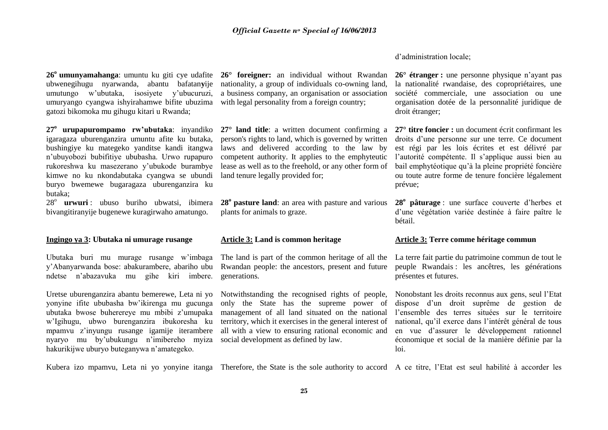d'administration locale;

ubwenegihugu nyarwanda, abantu bafatan**y**ije umutungo w'ubutaka, isosiyete y'ubucuruzi, umuryango cyangwa ishyirahamwe bifite ubuzima with legal personality from a foreign country; gatozi bikomoka mu gihugu kitari u Rwanda;

**27<sup>o</sup> urupapurompamo rw'ubutaka**: inyandiko igaragaza uburenganzira umuntu afite ku butaka, bushingiye ku mategeko yanditse kandi itangwa n'ubuyobozi bubifitiye ububasha. Urwo rupapuro rukoreshwa ku masezerano y'ubukode burambye kimwe no ku nkondabutaka cyangwa se ubundi buryo bwemewe bugaragaza uburenganzira ku butaka;

28<sup>°</sup> urwuri: ubuso buriho ubwatsi, ibimera bivangitiranyije bugenewe kuragirwaho amatungo.

#### **Ingingo ya 3: Ubutaka ni umurage rusange**

Ubutaka buri mu murage rusange w'imbaga y'Abanyarwanda bose: abakurambere, abariho ubu ndetse n'abazavuka mu gihe kiri imbere.

Uretse uburenganzira abantu bemerewe, Leta ni yo yonyine ifite ububasha bw'ikirenga mu gucunga ubutaka bwose buherereye mu mbibi z'umupaka w'Igihugu, ubwo burenganzira ibukoresha ku mpamvu z'inyungu rusange igamije iterambere nyaryo mu by'ubukungu n'imibereho myiza hakurikijwe uburyo buteganywa n'amategeko.

**26<sup>o</sup> umunyamahanga**: umuntu ku giti cye udafite **26° foreigner:** an individual without Rwandan nationality, a group of individuals co-owning land, a business company, an organisation or association

> **27° land title**: a written document confirming a person's rights to land, which is governed by written laws and delivered according to the law by competent authority. It applies to the emphyteutic lease as well as to the freehold, or any other form of land tenure legally provided for;

> **28<sup>o</sup> pasture land**: an area with pasture and various plants for animals to graze.

#### **Article 3: Land is common heritage**

The land is part of the common heritage of all the Rwandan people: the ancestors, present and future generations.

Notwithstanding the recognised rights of people, only the State has the supreme power of management of all land situated on the national territory, which it exercises in the general interest of all with a view to ensuring rational economic and social development as defined by law.

**26° étranger :** une personne physique n'ayant pas la nationalité rwandaise, des copropriétaires, une société commerciale, une association ou une organisation dotée de la personnalité juridique de droit étranger;

**27° titre foncier :** un document écrit confirmant les droits d'une personne sur une terre. Ce document est régi par les lois écrites et est délivré par l'autorité compétente. Il s'applique aussi bien au bail emphytéotique qu'à la pleine propriété foncière ou toute autre forme de tenure foncière légalement prévue;

**28<sup>o</sup> pâturage** : une surface couverte d'herbes et d'une végétation variée destinée à faire paître le bétail.

#### **Article 3: Terre comme héritage commun**

La terre fait partie du patrimoine commun de tout le peuple Rwandais : les ancêtres, les générations présentes et futures.

Nonobstant les droits reconnus aux gens, seul l'Etat dispose d'un droit suprême de gestion de l'ensemble des terres situées sur le territoire national, qu'il exerce dans l'intérêt général de tous en vue d'assurer le développement rationnel économique et social de la manière définie par la loi.

Kubera izo mpamvu, Leta ni yo yonyine itanga Therefore, the State is the sole authority to accord A ce titre, l'Etat est seul habilité à accorder les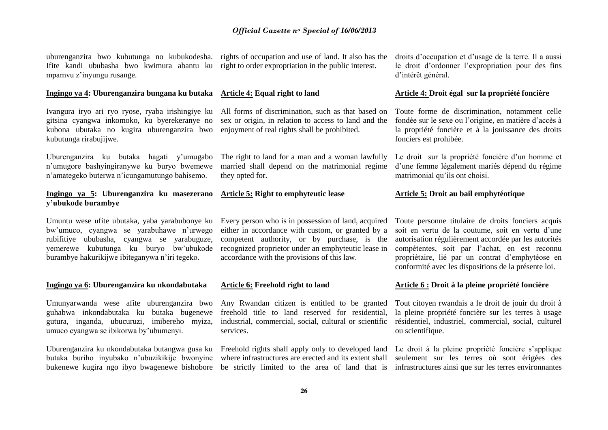uburenganzira bwo kubutunga no kubukodesha. rights of occupation and use of land. It also has the Ifite kandi ububasha bwo kwimura abantu ku right to order expropriation in the public interest. mpamvu z'inyungu rusange.

#### **Ingingo ya 4: Uburenganzira bungana ku butaka**

Ivangura iryo ari ryo ryose, ryaba irishingiye ku gitsina cyangwa inkomoko, ku byerekeranye no kubona ubutaka no kugira uburenganzira bwo kubutunga rirabujijwe.

Uburenganzira ku butaka hagati y'umugabo n'umugore bashyingiranywe ku buryo bwemewe n'amategeko buterwa n'icungamutungo bahisemo.

#### **Ingingo ya 5: Uburenganzira ku masezerano y'ubukode burambye**

Umuntu wese ufite ubutaka, yaba yarabubonye ku bw'umuco, cyangwa se yarabuhawe n'urwego rubifitiye ububasha, cyangwa se yarabuguze, yemerewe kubutunga ku buryo bw'ubukode burambye hakurikijwe ibiteganywa n'iri tegeko.

#### **Ingingo ya 6: Uburenganzira ku nkondabutaka**

Umunyarwanda wese afite uburenganzira bwo guhabwa inkondabutaka ku butaka bugenewe gutura, inganda, ubucuruzi, imibereho myiza, umuco cyangwa se ibikorwa by'ubumenyi.

Uburenganzira ku nkondabutaka butangwa gusa ku butaka buriho inyubako n'ubuzikikije bwonyine bukenewe kugira ngo ibyo bwagenewe bishobore be strictly limited to the area of land that is

#### **Article 4: Equal right to land**

All forms of discrimination, such as that based on sex or origin, in relation to access to land and the enjoyment of real rights shall be prohibited.

The right to land for a man and a woman lawfully married shall depend on the matrimonial regime they opted for.

# **Article 5: Right to emphyteutic lease**

Every person who is in possession of land, acquired either in accordance with custom, or granted by a competent authority, or by purchase, is the recognized proprietor under an emphyteutic lease in accordance with the provisions of this law.

#### **Article 6: Freehold right to land**

Any Rwandan citizen is entitled to be granted freehold title to land reserved for residential, industrial, commercial, social, cultural or scientific services.

Freehold rights shall apply only to developed land where infrastructures are erected and its extent shall droits d'occupation et d'usage de la terre. Il a aussi le droit d'ordonner l'expropriation pour des fins d'intérêt général.

#### **Article 4: Droit égal sur la propriété foncière**

Toute forme de discrimination, notamment celle fondée sur le sexe ou l'origine, en matière d'accès à la propriété foncière et à la jouissance des droits fonciers est prohibée.

Le droit sur la propriété foncière d'un homme et d'une femme légalement mariés dépend du régime matrimonial qu'ils ont choisi.

#### **Article 5: Droit au bail emphytéotique**

Toute personne titulaire de droits fonciers acquis soit en vertu de la coutume, soit en vertu d'une autorisation régulièrement accordée par les autorités compétentes, soit par l'achat, en est reconnu propriétaire, lié par un contrat d'emphytéose en conformité avec les dispositions de la présente loi.

#### **Article 6 : Droit à la pleine propriété foncière**

Tout citoyen rwandais a le droit de jouir du droit à la pleine propriété foncière sur les terres à usage résidentiel, industriel, commercial, social, culturel ou scientifique.

Le droit à la pleine propriété foncière s'applique seulement sur les terres où sont érigées des infrastructures ainsi que sur les terres environnantes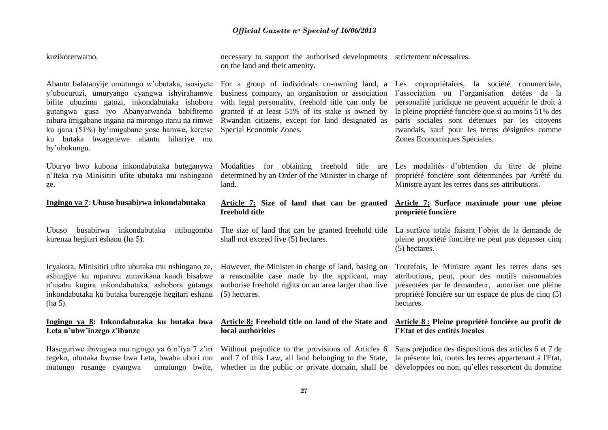| kuzikorerwamo.                                                                                                                                                                                                                                                                                                                                                  | necessary to support the authorised developments strictement nécessaires.<br>on the land and their amenity.                                                                                                                                                                              |                                                                                                                                                                                                                                                                                                                                                 |
|-----------------------------------------------------------------------------------------------------------------------------------------------------------------------------------------------------------------------------------------------------------------------------------------------------------------------------------------------------------------|------------------------------------------------------------------------------------------------------------------------------------------------------------------------------------------------------------------------------------------------------------------------------------------|-------------------------------------------------------------------------------------------------------------------------------------------------------------------------------------------------------------------------------------------------------------------------------------------------------------------------------------------------|
| Abantu bafatanyije umutungo w'ubutaka, isosiyete<br>y'ubucuruzi, umuryango cyangwa ishyirahamwe<br>bifite ubuzima gatozi, inkondabutaka ishobora<br>gutangwa gusa iyo Abanyarwanda babifitemo<br>nibura imigabane ingana na mirongo itanu na rimwe<br>ku ijana (51%) by'imigabane yose hamwe, keretse<br>ku butaka bwagenewe ahantu hihariye mu<br>by'ubukungu. | For a group of individuals co-owning land, a<br>business company, an organisation or association<br>with legal personality, freehold title can only be<br>granted if at least 51% of its stake is owned by<br>Rwandan citizens, except for land designated as<br>Special Economic Zones. | Les copropriétaires, la société commerciale,<br>l'association ou l'organisation dotées de la<br>personalité juridique ne peuvent acquérir le droit à<br>la pleine propriété foncière que si au moins 51% des<br>parts sociales sont détenues par les citoyens<br>rwandais, sauf pour les terres désignées comme<br>Zones Economiques Spéciales. |
| Uburyo bwo kubona inkondabutaka buteganywa<br>n'Iteka rya Minisitiri ufite ubutaka mu nshingano<br>ze.                                                                                                                                                                                                                                                          | Modalities for obtaining freehold title<br>are<br>determined by an Order of the Minister in charge of<br>land.                                                                                                                                                                           | Les modalités d'obtention du titre de pleine<br>propriété foncière sont déterminées par Arrêté du<br>Ministre ayant les terres dans ses attributions.                                                                                                                                                                                           |
| Ingingo ya 7: Ubuso busabirwa inkondabutaka                                                                                                                                                                                                                                                                                                                     | Article 7: Size of land that can be granted<br>freehold title                                                                                                                                                                                                                            | Article 7: Surface maximale pour une pleine<br>propriété foncière                                                                                                                                                                                                                                                                               |
| busabirwa inkondabutaka<br>ntibugomba<br><b>Ubuso</b><br>kurenza hegitari eshanu (ha 5).                                                                                                                                                                                                                                                                        | The size of land that can be granted freehold title<br>shall not exceed five (5) hectares.                                                                                                                                                                                               | La surface totale faisant l'objet de la demande de<br>pleine propriété foncière ne peut pas dépasser cinq<br>(5) hectares.                                                                                                                                                                                                                      |
| Icyakora, Minisitiri ufite ubutaka mu nshingano ze,<br>ashingiye ku mpamvu zumvikana kandi bisabwe<br>n'usaba kugira inkondabutaka, ashobora gutanga<br>inkondabutaka ku butaka burengeje hegitari eshanu<br>$(ha 5)$ .                                                                                                                                         | However, the Minister in charge of land, basing on<br>a reasonable case made by the applicant, may<br>authorise freehold rights on an area larger than five<br>(5) hectares.                                                                                                             | Toutefois, le Ministre ayant les terres dans ses<br>attributions, peut, pour des motifs raisonnables<br>présentées par le demandeur, autoriser une pleine<br>propriété foncière sur un espace de plus de cinq (5)<br>hectares.                                                                                                                  |
| Ingingo ya 8: Inkondabutaka ku butaka bwa<br>Leta n'ubw'inzego z'ibanze                                                                                                                                                                                                                                                                                         | <b>Article 8:</b> Freehold title on land of the State and<br>local authorities                                                                                                                                                                                                           | Article 8 : Pleine propriété foncière au profit de<br>l'Etat et des entités locales                                                                                                                                                                                                                                                             |
| Haseguriwe ibivugwa mu ngingo ya 6 n'iya 7 z'iri<br>tegeko, ubutaka bwose bwa Leta, bwaba uburi mu<br>umutungo bwite,<br>mutungo rusange cyangwa                                                                                                                                                                                                                | Without prejudice to the provisions of Articles 6<br>and 7 of this Law, all land belonging to the State,<br>whether in the public or private domain, shall be                                                                                                                            | Sans préjudice des dispositions des articles 6 et 7 de<br>la présente loi, toutes les terres appartenant à l'Etat,<br>développées ou non, qu'elles ressortent du domaine                                                                                                                                                                        |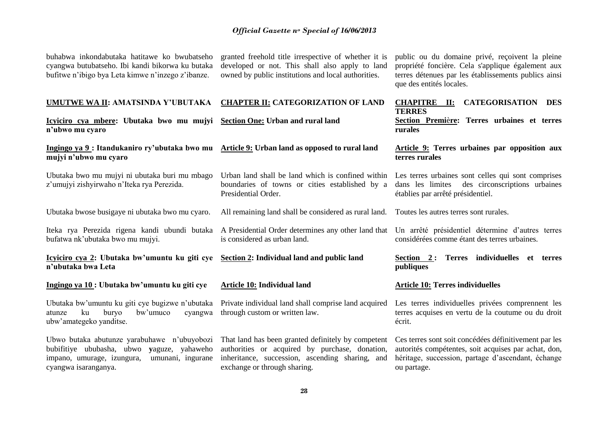buhabwa inkondabutaka hatitawe ko bwubatseho cyangwa butubatseho. Ibi kandi bikorwa ku butaka bufitwe n'ibigo bya Leta kimwe n'inzego z'ibanze.

granted freehold title irrespective of whether it is developed or not. This shall also apply to land owned by public institutions and local authorities.

public ou du domaine privé, reçoivent la pleine propriété foncière. Cela s'applique également aux terres détenues par les établissements publics ainsi que des entités locales.

| UMUTWE WA II: AMATSINDA Y'UBUTAKA CHAPTER II: CATEGORIZATION OF LAND                                                                                                 |                                                                                                                                                                                         | CHAPITRE II:<br><b>CATEGORISATION DES</b><br><b>TERRES</b>                                                                                                                         |
|----------------------------------------------------------------------------------------------------------------------------------------------------------------------|-----------------------------------------------------------------------------------------------------------------------------------------------------------------------------------------|------------------------------------------------------------------------------------------------------------------------------------------------------------------------------------|
| Icyiciro cya mbere: Ubutaka bwo mu mujyi Section One: Urban and rural land<br>n'ubwo mu cyaro                                                                        |                                                                                                                                                                                         | Section Première: Terres urbaines et terres<br>rurales                                                                                                                             |
| Ingingo ya 9 : Itandukaniro ry'ubutaka bwo mu Article 9: Urban land as opposed to rural land<br>mujyi n'ubwo mu cyaro                                                |                                                                                                                                                                                         | Article 9: Terres urbaines par opposition aux<br>terres rurales                                                                                                                    |
| Ubutaka bwo mu mujyi ni ubutaka buri mu mbago<br>z'umujyi zishyirwaho n'Iteka rya Perezida.                                                                          | Urban land shall be land which is confined within Les terres urbaines sont celles qui sont comprises<br>boundaries of towns or cities established by a<br>Presidential Order.           | des circonscriptions urbaines<br>dans les limites<br>établies par arrêté présidentiel.                                                                                             |
| Ubutaka bwose busigaye ni ubutaka bwo mu cyaro.                                                                                                                      | All remaining land shall be considered as rural land.                                                                                                                                   | Toutes les autres terres sont rurales.                                                                                                                                             |
| bufatwa nk'ubutaka bwo mu mujyi.                                                                                                                                     | Iteka rya Perezida rigena kandi ubundi butaka A Presidential Order determines any other land that<br>is considered as urban land.                                                       | Un arrêté présidentiel détermine d'autres terres<br>considérées comme étant des terres urbaines.                                                                                   |
| Icyiciro cya 2: Ubutaka bw'umuntu ku giti cye<br>n'ubutaka bwa Leta                                                                                                  | Section 2: Individual land and public land                                                                                                                                              | Terres individuelles et terres<br>Section 2:<br>publiques                                                                                                                          |
| Ingingo ya 10: Ubutaka bw'umuntu ku giti cye                                                                                                                         | Article 10: Individual land                                                                                                                                                             | <b>Article 10: Terres individuelles</b>                                                                                                                                            |
| Ubutaka bw'umuntu ku giti cye bugizwe n'ubutaka<br>ku<br>buryo<br>bw'umuco<br>atunze<br>cvangwa<br>ubw'amategeko yanditse.                                           | Private individual land shall comprise land acquired<br>through custom or written law.                                                                                                  | Les terres individuelles privées comprennent les<br>terres acquises en vertu de la coutume ou du droit<br>écrit.                                                                   |
| Ubwo butaka abutunze yarabuhawe n'ubuyobozi<br>bubifitiye ububasha, ubwo yaguze, yahaweho<br>impano, umurage, izungura,<br>umunani, ingurane<br>cyangwa isaranganya. | That land has been granted definitely by competent<br>authorities or acquired by purchase, donation,<br>inheritance, succession, ascending sharing, and<br>exchange or through sharing. | Ces terres sont soit concédées définitivement par les<br>autorités compétentes, soit acquises par achat, don,<br>héritage, succession, partage d'ascendant, échange<br>ou partage. |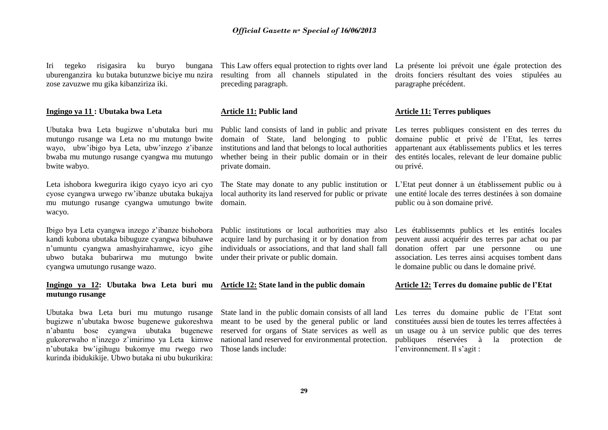#### **Article 11: Public land**

preceding paragraph.

Public land consists of land in public and private domain of State, land belonging to public institutions and land that belongs to local authorities whether being in their public domain or in their private domain.

The State may donate to any public institution or local authority its land reserved for public or private domain.

Public institutions or local authorities may also acquire land by purchasing it or by donation from individuals or associations, and that land shall fall

State land in the public domain consists of all land meant to be used by the general public or land reserved for organs of State services as well as national land reserved for environmental protection. Those lands include:

uburenganzira ku butaka butunzwe biciye mu nzira resulting from all channels stipulated in the droits fonciers résultant des voies stipulées au This Law offers equal protection to rights over land La présente loi prévoit une égale protection des paragraphe précédent.

#### **Article 11: Terres publiques**

Les terres publiques consistent en des terres du domaine public et privé de l'Etat, les terres appartenant aux établissements publics et les terres des entités locales, relevant de leur domaine public ou privé.

L'Etat peut donner à un établissement public ou à une entité locale des terres destinées à son domaine public ou à son domaine privé.

Les établissemnts publics et les entités locales peuvent aussi acquérir des terres par achat ou par donation offert par une personne ou une association. Les terres ainsi acquises tombent dans le domaine public ou dans le domaine privé.

#### **Article 12: Terres du domaine public de l'Etat**

Les terres du domaine public de l'Etat sont constituées aussi bien de toutes les terres affectées à un usage ou à un service public que des terres publiques réservées à la protection de l'environnement. Il s'agit :

### *Official Gazette n<sup>o</sup> Special of 16/06/2013*

Iri tegeko risigasira ku buryo zose zavuzwe mu gika kibanziriza iki.

#### **Ingingo ya 11 : Ubutaka bwa Leta**

Ubutaka bwa Leta bugizwe n'ubutaka buri mu mutungo rusange wa Leta no mu mutungo bwite wayo, ubw'ibigo bya Leta, ubw'inzego z'ibanze bwaba mu mutungo rusange cyangwa mu mutungo bwite wabyo.

Leta ishobora kwegurira ikigo cyayo icyo ari cyo cyose cyangwa urwego rw'ibanze ubutaka bukajya mu mutungo rusange cyangwa umutungo bwite wacyo.

Ibigo bya Leta cyangwa inzego z'ibanze bishobora kandi kubona ubutaka bibuguze cyangwa bibuhawe n'umuntu cyangwa amashyirahamwe, icyo gihe ubwo butaka bubarirwa mu mutungo bwite under their private or public domain. cyangwa umutungo rusange wazo.

#### **Ingingo ya 12: Ubutaka bwa Leta buri mu Article 12: State land in the public domain mutungo rusange**

Ubutaka bwa Leta buri mu mutungo rusange bugizwe n'ubutaka bwose bugenewe gukoreshwa n'abantu bose cyangwa ubutaka bugenewe gukorerwaho n'inzego z'imirimo ya Leta kimwe n'ubutaka bw'igihugu bukomye mu rwego rwo kurinda ibidukikije. Ubwo butaka ni ubu bukurikira: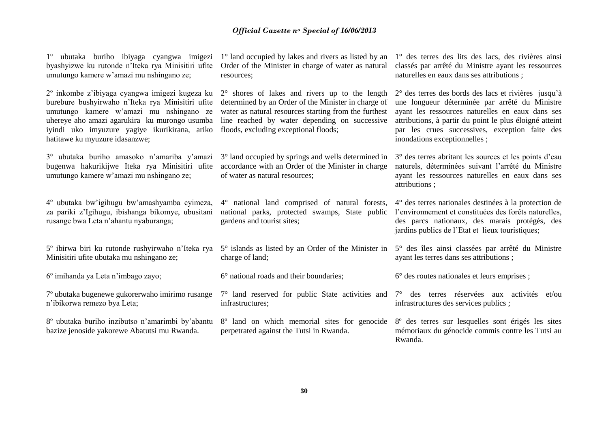| 1° ubutaka buriho ibiyaga cyangwa imigezi<br>byashyizwe ku rutonde n'Iteka rya Minisitiri ufite<br>umutungo kamere w'amazi mu nshingano ze;                                                                                                                                                    | 1° land occupied by lakes and rivers as listed by an<br>Order of the Minister in charge of water as natural<br>resources;                                                                                                                                         | 1° des terres des lits des lacs, des rivières ainsi<br>classés par arrêté du Ministre ayant les ressources<br>naturelles en eaux dans ses attributions;                                                                                                                                                 |
|------------------------------------------------------------------------------------------------------------------------------------------------------------------------------------------------------------------------------------------------------------------------------------------------|-------------------------------------------------------------------------------------------------------------------------------------------------------------------------------------------------------------------------------------------------------------------|---------------------------------------------------------------------------------------------------------------------------------------------------------------------------------------------------------------------------------------------------------------------------------------------------------|
| 2 <sup>°</sup> inkombe z'ibiyaga cyangwa imigezi kugeza ku<br>burebure bushyirwaho n'Iteka rya Minisitiri ufite<br>umutungo kamere w'amazi mu nshingano ze<br>uhereye aho amazi agarukira ku murongo usumba<br>iyindi uko imyuzure yagiye ikurikirana, ariko<br>hatitawe ku myuzure idasanzwe; | $2^{\circ}$ shores of lakes and rivers up to the length<br>determined by an Order of the Minister in charge of<br>water as natural resources starting from the furthest<br>line reached by water depending on successive<br>floods, excluding exceptional floods; | 2° des terres des bords des lacs et rivières jusqu'à<br>une longueur déterminée par arrêté du Ministre<br>ayant les ressources naturelles en eaux dans ses<br>attributions, à partir du point le plus éloigné atteint<br>par les crues successives, exception faite des<br>inondations exceptionnelles; |
| 3° ubutaka buriho amasoko n'amariba y'amazi<br>bugenwa hakurikijwe Iteka rya Minisitiri ufite<br>umutungo kamere w'amazi mu nshingano ze;                                                                                                                                                      | 3° land occupied by springs and wells determined in<br>accordance with an Order of the Minister in charge<br>of water as natural resources;                                                                                                                       | 3° des terres abritant les sources et les points d'eau<br>naturels, déterminées suivant l'arrêté du Ministre<br>ayant les ressources naturelles en eaux dans ses<br>attributions;                                                                                                                       |
| 4° ubutaka bw'igihugu bw'amashyamba cyimeza,<br>za pariki z'Igihugu, ibishanga bikomye, ubusitani<br>rusange bwa Leta n'ahantu nyaburanga;                                                                                                                                                     | 4° national land comprised of natural forests,<br>national parks, protected swamps, State public<br>gardens and tourist sites;                                                                                                                                    | 4° des terres nationales destinées à la protection de<br>l'environnement et constituées des forêts naturelles,<br>des parcs nationaux, des marais protégés, des<br>jardins publics de l'Etat et lieux touristiques;                                                                                     |
| 5° ibirwa biri ku rutonde rushyirwaho n'Iteka rya<br>Minisitiri ufite ubutaka mu nshingano ze;                                                                                                                                                                                                 | 5° islands as listed by an Order of the Minister in<br>charge of land;                                                                                                                                                                                            | 5° des îles ainsi classées par arrêté du Ministre<br>ayant les terres dans ses attributions;                                                                                                                                                                                                            |
| 6 <sup>°</sup> imihanda ya Leta n'imbago zayo;                                                                                                                                                                                                                                                 | 6° national roads and their boundaries;                                                                                                                                                                                                                           | 6° des routes nationales et leurs emprises ;                                                                                                                                                                                                                                                            |
| 7º ubutaka bugenewe gukorerwaho imirimo rusange<br>n'ibikorwa remezo bya Leta;                                                                                                                                                                                                                 | $7^{\circ}$ land reserved for public State activities and $7^{\circ}$ des terres réservées aux activités<br>infrastructures;                                                                                                                                      | et/ou<br>infrastructures des services publics;                                                                                                                                                                                                                                                          |
| 8° ubutaka buriho inzibutso n'amarimbi by'abantu<br>bazize jenoside yakorewe Abatutsi mu Rwanda.                                                                                                                                                                                               | 8° land on which memorial sites for genocide<br>perpetrated against the Tutsi in Rwanda.                                                                                                                                                                          | 8° des terres sur lesquelles sont érigés les sites<br>mémoriaux du génocide commis contre les Tutsi au<br>Rwanda.                                                                                                                                                                                       |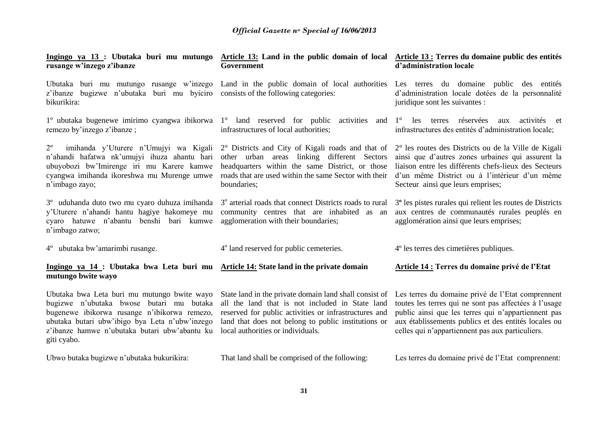| rusange w'inzego z'ibanze                                                                                                                                                                                                                                 | Ingingo ya 13 : Ubutaka buri mu mutungo Article 13: Land in the public domain of local Article 13 : Terres du domaine public des entités<br>Government                                                                                                         | d'administration locale                                                                                                                                                                                                                                                       |
|-----------------------------------------------------------------------------------------------------------------------------------------------------------------------------------------------------------------------------------------------------------|----------------------------------------------------------------------------------------------------------------------------------------------------------------------------------------------------------------------------------------------------------------|-------------------------------------------------------------------------------------------------------------------------------------------------------------------------------------------------------------------------------------------------------------------------------|
| Ubutaka buri mu mutungo rusange w'inzego Land in the public domain of local authorities<br>bugizwe n'ubutaka buri mu byiciro consists of the following categories:<br>z'ibanze<br>bikurikira:                                                             |                                                                                                                                                                                                                                                                | Les terres du domaine public des entités<br>d'administration locale dotées de la personnalité<br>juridique sont les suivantes :                                                                                                                                               |
| 1° ubutaka bugenewe imirimo cyangwa ibikorwa 1° land reserved for public activities<br>remezo by'inzego z'ibanze;                                                                                                                                         | and<br>infrastructures of local authorities;                                                                                                                                                                                                                   | les terres réservées<br>$1^{\circ}$<br>activités et<br>aux<br>infrastructures des entités d'administration locale;                                                                                                                                                            |
| $2^{\circ}$<br>imihanda y'Uturere n'Umujyi wa Kigali<br>n'ahandi hafatwa nk'umujyi ihuza ahantu hari<br>ubuyobozi bw'Imirenge iri mu Karere kamwe<br>cyangwa imihanda ikoreshwa mu Murenge umwe<br>n'imbago zayo;                                         | 2° Districts and City of Kigali roads and that of<br>other urban areas linking different Sectors<br>headquarters within the same District, or those<br>roads that are used within the same Sector with their<br>boundaries;                                    | 2° les routes des Districts ou de la Ville de Kigali<br>ainsi que d'autres zones urbaines qui assurent la<br>liaison entre les différents chefs-lieux des Secteurs<br>d'un même District ou à l'intérieur d'un même<br>Secteur ainsi que leurs emprises;                      |
| 3 <sup>°</sup> uduhanda duto two mu cyaro duhuza imihanda<br>y'Uturere n'ahandi hantu hagiye hakomeye mu<br>cyaro hatuwe n'abantu benshi<br>bari kumwe<br>n'imbago zatwo;                                                                                 | 3 <sup>°</sup> arterial roads that connect Districts roads to rural<br>community centres that are inhabited as an<br>agglomeration with their boundaries;                                                                                                      | 3 <sup>°</sup> les pistes rurales qui relient les routes de Districts<br>aux centres de communautés rurales peuplés en<br>agglomération ainsi que leurs emprises;                                                                                                             |
| 4° ubutaka bw'amarimbi rusange.                                                                                                                                                                                                                           | 4 <sup>°</sup> land reserved for public cemeteries.                                                                                                                                                                                                            | 4 <sup>°</sup> les terres des cimetières publiques.                                                                                                                                                                                                                           |
| Ingingo ya 14 : Ubutaka bwa Leta buri mu Article 14: State land in the private domain<br>mutungo bwite wayo                                                                                                                                               |                                                                                                                                                                                                                                                                | Article 14 : Terres du domaine privé de l'Etat                                                                                                                                                                                                                                |
| Ubutaka bwa Leta buri mu mutungo bwite wayo<br>bugizwe n'ubutaka bwose butari mu butaka<br>bugenewe ibikorwa rusange n'ibikorwa remezo,<br>ubutaka butari ubw'ibigo bya Leta n'ubw'inzego<br>z'ibanze hamwe n'ubutaka butari ubw'abantu ku<br>giti cyabo. | State land in the private domain land shall consist of<br>all the land that is not included in State land<br>reserved for public activities or infrastructures and<br>land that does not belong to public institutions or<br>local authorities or individuals. | Les terres du domaine privé de l'Etat comprennent<br>toutes les terres qui ne sont pas affectées à l'usage<br>public ainsi que les terres qui n'appartiennent pas<br>aux établissements publics et des entités locales ou<br>celles qui n'appartiennent pas aux particuliers. |
| Ubwo butaka bugizwe n'ubutaka bukurikira:                                                                                                                                                                                                                 | That land shall be comprised of the following:                                                                                                                                                                                                                 | Les terres du domaine privé de l'Etat comprennent:                                                                                                                                                                                                                            |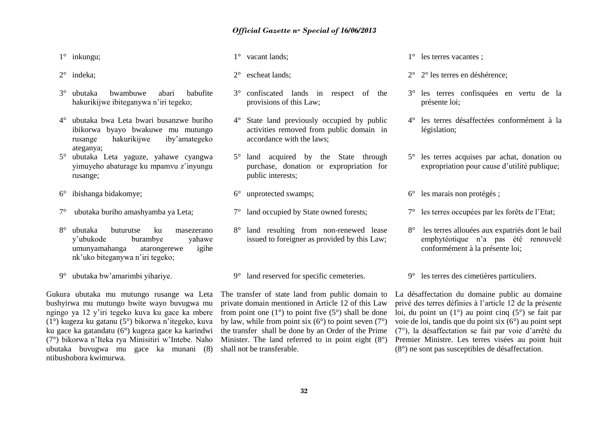1° inkungu;

- 2° indeka;
- 3° ubutaka bwambuwe abari babufite hakurikijwe ibiteganywa n'iri tegeko;
- 4° ubutaka bwa Leta bwari busanzwe buriho ibikorwa byayo bwakuwe mu mutungo rusange hakurikijwe iby'amategeko ateganya;
- 5° ubutaka Leta yaguze, yahawe cyangwa yimuyeho abaturage ku mpamvu z'inyungu rusange;
- 6° ibishanga bidakomye;
- 7° ubutaka buriho amashyamba ya Leta;
- 8° ubutaka buturutse ku masezerano y'ubukode burambye yahawe umunyamahanga atarongerewe igihe nk'uko biteganywa n'iri tegeko;
- 9° ubutaka bw'amarimbi yihariye.

Gukura ubutaka mu mutungo rusange wa Leta bushyirwa mu mutungo bwite wayo buvugwa mu ngingo ya 12 y'iri tegeko kuva ku gace ka mbere (1°) kugeza ku gatanu (5°) bikorwa n'itegeko, kuva ku gace ka gatandatu (6°) kugeza gace ka karindwi (7°) bikorwa n'Iteka rya Minisitiri w'Intebe. Naho ubutaka buvugwa mu gace ka munani (8) ntibushobora kwimurwa.

- 1° vacant lands;
- 2° escheat lands;
- 3° confiscated lands in respect of the provisions of this Law;
- 4° State land previously occupied by public activities removed from public domain in accordance with the laws;
- 5° land acquired by the State through purchase, donation or expropriation for public interests;
- 6° unprotected swamps;
- 7° land occupied by State owned forests;
- 8° land resulting from non-renewed lease issued to foreigner as provided by this Law;

9° land reserved for specific cemeteries.

The transfer of state land from public domain to private domain mentioned in Article 12 of this Law from point one  $(1^{\circ})$  to point five  $(5^{\circ})$  shall be done by law, while from point six  $(6^{\circ})$  to point seven  $(7^{\circ})$ the transfer shall be done by an Order of the Prime Minister. The land referred to in point eight  $(8^{\circ})$ shall not be transferable.

1° les terres vacantes ;

- 2° 2° les terres en déshérence;
- 3° les terres confisquées en vertu de la présente loi;
- 4° les terres désaffectées conformément à la législation;
- 5° les terres acquises par achat, donation ou expropriation pour cause d'utilité publique;
- 6° les marais non protégés ;
- 7° les terres occupées par les forêts de l'Etat;
- 8° les terres allouées aux expatriés dont le bail emphytéotique n'a pas été renouvelé conformément à la présente loi;

9° les terres des cimetières particuliers.

La désaffectation du domaine public au domaine privé des terres définies à l'article 12 de la présente loi, du point un (1°) au point cinq (5°) se fait par voie de loi, tandis que du point six (6°) au point sept (7°), la désaffectation se fait par voie d'arrêté du Premier Ministre. Les terres visées au point huit (8°) ne sont pas susceptibles de désaffectation.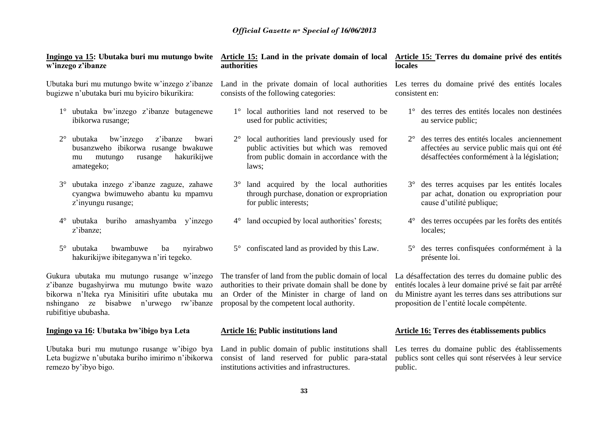| nzego z'ibanze                                                                                                                                        | authorities                                                                                                                                             | locales                                                                                     |
|-------------------------------------------------------------------------------------------------------------------------------------------------------|---------------------------------------------------------------------------------------------------------------------------------------------------------|---------------------------------------------------------------------------------------------|
| utaka buri mu mutungo bwite w'inzego z'ibanze                                                                                                         | Land in the private domain of local authorities                                                                                                         | Les terres du domaine privé                                                                 |
| izwe n'ubutaka buri mu byiciro bikurikira:                                                                                                            | consists of the following categories:                                                                                                                   | consistent en:                                                                              |
| 1° ubutaka bw'inzego z'ibanze butagenewe                                                                                                              | 1° local authorities land not reserved to be                                                                                                            | $1^\circ$ des terres des entités l                                                          |
| ibikorwa rusange;                                                                                                                                     | used for public activities;                                                                                                                             | au service public;                                                                          |
| $2^{\circ}$ ubutaka<br>bw'inzego<br>z'ibanze<br>bwari<br>busanzweho ibikorwa rusange bwakuwe<br>hakurikijwe<br>mutungo<br>rusange<br>mu<br>amategeko; | $2^{\circ}$ local authorities land previously used for<br>public activities but which was removed<br>from public domain in accordance with the<br>laws: | $2^{\circ}$ des terres des entités los<br>affectées au service pu<br>désaffectées conformér |
| 3° ubutaka inzego z'ibanze zaguze, zahawe                                                                                                             | 3° land acquired by the local authorities                                                                                                               | 3° des terres acquises pa                                                                   |
| cyangwa bwimuweho abantu ku mpamvu                                                                                                                    | through purchase, donation or expropriation                                                                                                             | par achat, donation or                                                                      |
| z'inyungu rusange;                                                                                                                                    | for public interests;                                                                                                                                   | cause d'utilité publique                                                                    |

- 4° des terres occupées par les forêts des entités locales;
- 5° des terres confisquées conformément à la présente loi.

La désaffectation des terres du domaine public des entités locales à leur domaine privé se fait par arrêté du Ministre ayant les terres dans ses attributions sur proposition de l'entité locale compétente.

#### **Article 16: Terres des établissements publics**

Les terres du domaine public des établissements publics sont celles qui sont réservées à leur service public.

## **w'inzego z'ibanze**

Ubutaka buri mu mutungo bwite w'inzego z'ibanze bugizwe n'ubutaka buri mu byiciro bikurikira:

- 4° ubutaka buriho amashyamba y'inzego z'ibanze;
- 5° ubutaka bwambuwe ba nyirabwo hakurikijwe ibiteganywa n'iri tegeko.

Gukura ubutaka mu mutungo rusange w'inzego z'ibanze bugashyirwa mu mutungo bwite wazo bikorwa n'Iteka rya Minisitiri ufite ubutaka mu nshingano ze bisabwe n'urwego rw'ibanze rubifitiye ububasha.

#### **Ingingo ya 16: Ubutaka bw'ibigo bya Leta**

Ubutaka buri mu mutungo rusange w'ibigo bya Land in public domain of public institutions shall Leta bugizwe n'ubutaka buriho imirimo n'ibikorwa remezo by'ibyo bigo.

The transfer of land from the public domain of local authorities to their private domain shall be done by an Order of the Minister in charge of land on proposal by the competent local authority.

4° land occupied by local authorities' forests;

#### **Article 16: Public institutions land**

consist of land reserved for public para-statal institutions activities and infrastructures.

#### **33**

#### **Ingingo ya 15: Ubutaka buri mu mutungo bwite Article 15: Land in the private domain of local Article 15: Terres du domaine privé des entités locales**

- locales non destinées
	- 2° des terres des entités locales anciennement ublic mais qui ont été ment à la législation;

des entités locales

- ar les entités locales u expropriation pour cause d'utilité publique;
- 

# 5° confiscated land as provided by this Law.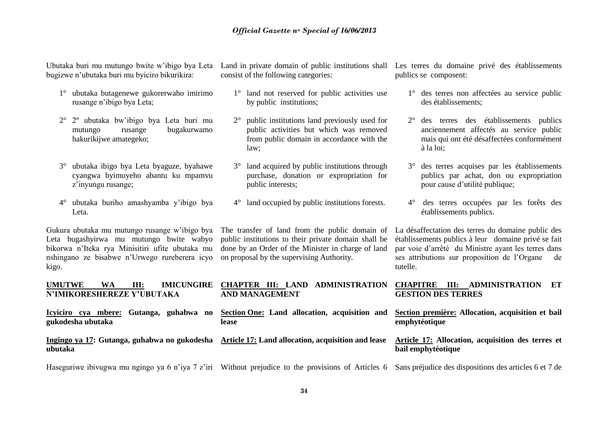Ubutaka buri mu mutungo bwite w'ibigo bya Leta bugizwe n'ubutaka buri mu byiciro bikurikira:

- 1° ubutaka butagenewe gukorerwaho imirimo rusange n'ibigo bya Leta;
- 2° 2º ubutaka bw'ibigo bya Leta buri mu mutungo rusange bugakurwamo hakurikijwe amategeko;
- 3° ubutaka ibigo bya Leta byaguze, byahawe cyangwa byimuyeho abantu ku mpamvu z'inyungu rusange;
- 4° ubutaka buriho amashyamba y'ibigo bya Leta.

Gukura ubutaka mu mutungo rusange w'ibigo bya Leta bugashyirwa mu mutungo bwite wabyo bikorwa n'Iteka rya Minisitiri ufite ubutaka mu nshingano ze bisabwe n'Urwego rureberera icyo kigo.

**gukodesha ubutaka**

consist of the following categories:

- 1° land not reserved for public activities use by public institutions;
- 2° public institutions land previously used for public activities but which was removed from public domain in accordance with the law;
- 3° land acquired by public institutions through purchase, donation or expropriation for public interests;
- 4° land occupied by public institutions forests.

The transfer of land from the public domain of public institutions to their private domain shall be done by an Order of the Minister in charge of land on proposal by the supervising Authority.

Land in private domain of public institutions shall Les terres du domaine privé des établissements publics se composent:

- 1° des terres non affectées au service public des établissements;
- 2° des terres des établissements publics anciennement affectés au service public mais qui ont été désaffectées conformément à la loi;
- 3° des terres acquises par les établissements publics par achat, don ou expropriation pour cause d'utilité publique;
- 4° des terres occupées par les forêts des établissements publics.

La désaffectation des terres du domaine public des établissements publics à leur domaine privé se fait par voie d'arrêté du Ministre ayant les terres dans ses attributions sur proposition de l'Organe de tutelle.

**Section première: Allocation, acquisition et bail** 

**Article 17: Allocation, acquisition des terres et** 

**emphytéotique** 

**bail emphytéotique**

#### **UMUTWE WA III: IMICUNGIRE N'IMIKORESHEREZE Y'UBUTAKA CHAPTER III: LAND ADMINISTRATION AND MANAGEMENT CHAPITRE III: ADMINISTRATION ET GESTION DES TERRES**

**Icyiciro cya mbere: Gutanga, guhabwa no Section One: [Land allocation, acquisition and](http://www.amategeko.net/display_rubrique.php?ActDo=all&Information_ID=692&Parent_ID=3068403&type=public&Langue_ID=An&rubID=3068406#a3068451)  [lease](http://www.amategeko.net/display_rubrique.php?ActDo=all&Information_ID=692&Parent_ID=3068403&type=public&Langue_ID=An&rubID=3068406#a3068451)** 

**Ingingo ya 17: Gutanga, guhabwa no gukodesha ubutaka Article 17: Land allocation, acquisition and lease** 

Haseguriwe ibivugwa mu ngingo ya 6 n'iya 7 z'iri Without prejudice to the provisions of Articles 6 Sans préjudice des dispositions des articles 6 et 7 de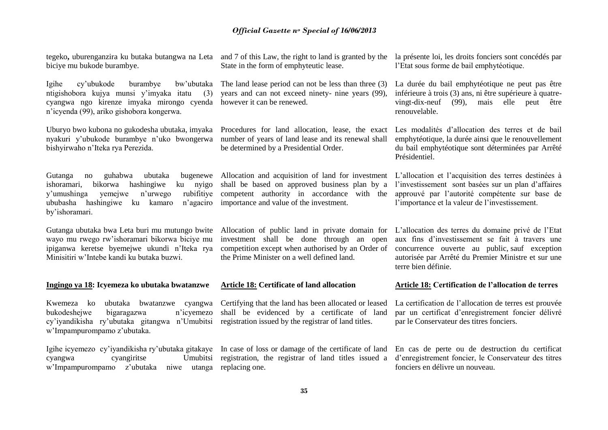tegeko**,** uburenganzira ku butaka butangwa na Leta and 7 of this Law, the right to land is granted by the biciye mu bukode burambye.

Igihe cy'ubukode burambye bw'ubutaka ntigishobora kujya munsi y'imyaka itatu (3) cyangwa ngo kirenze imyaka mirongo cyenda however it can be renewed. n'icyenda (99), ariko gishobora kongerwa.

Uburyo bwo kubona no gukodesha ubutaka, imyaka nyakuri y'ubukode burambye n'uko bwongerwa bishyirwaho n'Iteka rya Perezida.

Gutanga no guhabwa ubutaka bugenewe Allocation and acquisition of land for investment ishoramari, bikorwa hashingiwe ku nyigo y'umushinga yemejwe n'urwego ububasha hashingiwe ku kamaro n'agaciro importance and value of the investment. by'ishoramari.

Gutanga ubutaka bwa Leta buri mu mutungo bwite wayo mu rwego rw'ishoramari bikorwa biciye mu ipiganwa keretse byemejwe ukundi n'Iteka rya Minisitiri w'Intebe kandi ku butaka buzwi.

#### **Ingingo ya 18: Icyemeza ko ubutaka bwatanzwe**

Kwemeza ko ubutaka bwatanzwe cyangwa bukodeshejwe bigaragazwa n'icyemezo cy'iyandikisha ry'ubutaka gitangwa n'Umubitsi w'Impampurompamo z'ubutaka.

Igihe icyemezo cy'iyandikisha ry'ubutaka gitakaye In case of loss or damage of the certificate of land cyangwa cyangiritse w'Impampurompamo z'ubutaka niwe utanga replacing one.

State in the form of emphyteutic lease.

The land lease period can not be less than three (3) years and can not exceed ninety- nine years (99),

Procedures for land allocation, lease, the exact number of years of land lease and its renewal shall be determined by a Presidential Order.

shall be based on approved business plan by a rubifitive competent authority in accordance with the

> Allocation of public land in private domain for investment shall be done through an open competition except when authorised by an Order of the Prime Minister on a well defined land.

#### **Article 18: Certificate of land allocation**

Certifying that the land has been allocated or leased shall be evidenced by a certificate of land registration issued by the registrar of land titles.

Umubitsi registration, the registrar of land titles issued a

la présente loi, les droits fonciers sont concédés par l'Etat sous forme de bail emphytéotique.

La durée du bail emphytéotique ne peut pas être inférieure à trois (3) ans, ni être supérieure à quatrevingt-dix-neuf (99), mais elle peut être renouvelable.

Les modalités d'allocation des terres et de bail emphytéotique, la durée ainsi que le renouvellement du bail emphytéotique sont déterminées par Arrêté Présidentiel.

L'allocation et l'acquisition des terres destinées à l'investissement sont basées sur un plan d'affaires approuvé par l'autorité compétente sur base de l'importance et la valeur de l'investissement.

L'allocation des terres du domaine privé de l'Etat aux fins d'investissement se fait à travers une concurrence ouverte au public, sauf exception autorisée par Arrêté du Premier Ministre et sur une terre bien définie.

#### **Article 18: Certification de l'allocation de terres**

La certification de l'allocation de terres est prouvée par un certificat d'enregistrement foncier délivré par le Conservateur des titres fonciers.

En cas de perte ou de destruction du certificat d'enregistrement foncier, le Conservateur des titres fonciers en délivre un nouveau.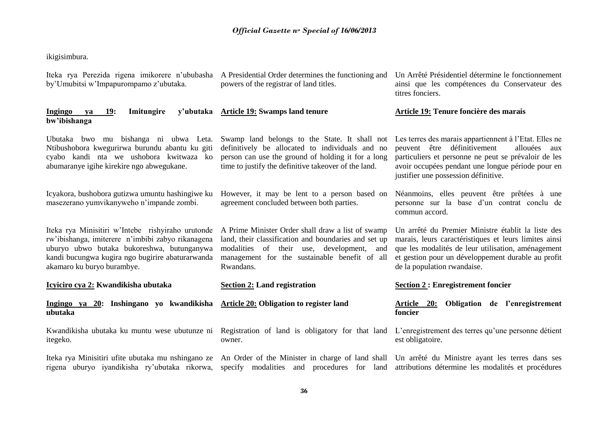### ikigisimbura.

| Iteka rya Perezida rigena imikorere n'ububasha<br>by'Umubitsi w'Impapurompamo z'ubutaka.                                                                                                                                               | A Presidential Order determines the functioning and<br>powers of the registrar of land titles.                                                                                                                                   | Un Arrêté Présidentiel détermine le fonctionnement<br>ainsi que les compétences du Conservateur des<br>titres fonciers.                                                                                                                                       |  |  |
|----------------------------------------------------------------------------------------------------------------------------------------------------------------------------------------------------------------------------------------|----------------------------------------------------------------------------------------------------------------------------------------------------------------------------------------------------------------------------------|---------------------------------------------------------------------------------------------------------------------------------------------------------------------------------------------------------------------------------------------------------------|--|--|
| <b>Ingingo</b><br>19:<br>Imitungire<br>ya<br>bw'ibishanga                                                                                                                                                                              | y'ubutaka Article 19: Swamps land tenure                                                                                                                                                                                         | Article 19: Tenure foncière des marais                                                                                                                                                                                                                        |  |  |
| Ubutaka bwo mu bishanga ni ubwa Leta.<br>Ntibushobora kwegurirwa burundu abantu ku giti<br>cyabo kandi nta we ushobora kwitwaza ko<br>abumaranye igihe kirekire ngo abwegukane.                                                        | Swamp land belongs to the State. It shall not<br>definitively be allocated to individuals and no<br>person can use the ground of holding it for a long<br>time to justify the definitive takeover of the land.                   | Les terres des marais appartiennent à l'Etat. Elles ne<br>peuvent être définitivement<br>allouées<br>aux<br>particuliers et personne ne peut se prévaloir de les<br>avoir occupées pendant une longue période pour en<br>justifier une possession définitive. |  |  |
| Icyakora, bushobora gutizwa umuntu hashingiwe ku<br>masezerano yumvikanyweho n'impande zombi.                                                                                                                                          | However, it may be lent to a person based on<br>Néanmoins, elles peuvent être prêtées à une<br>agreement concluded between both parties.<br>personne sur la base d'un contrat conclu de<br>commun accord.                        |                                                                                                                                                                                                                                                               |  |  |
| Iteka rya Minisitiri w'Intebe rishyiraho urutonde<br>rw'ibishanga, imiterere n'imbibi zabyo rikanagena<br>uburyo ubwo butaka bukoreshwa, butunganywa<br>kandi bucungwa kugira ngo bugirire abaturarwanda<br>akamaro ku buryo burambye. | A Prime Minister Order shall draw a list of swamp<br>land, their classification and boundaries and set up<br>use, development,<br>modalities<br>of<br>their<br>and<br>management for the sustainable benefit of all<br>Rwandans. | Un arrêté du Premier Ministre établit la liste des<br>marais, leurs caractéristiques et leurs limites ainsi<br>que les modalités de leur utilisation, aménagement<br>et gestion pour un développement durable au profit<br>de la population rwandaise.        |  |  |
| Icyiciro cya 2: Kwandikisha ubutaka                                                                                                                                                                                                    | <b>Section 2: Land registration</b>                                                                                                                                                                                              | <b>Section 2: Enregistrement foncier</b>                                                                                                                                                                                                                      |  |  |
| Ingingo ya 20: Inshingano yo kwandikisha<br>ubutaka                                                                                                                                                                                    | Article 20: Obligation to register land                                                                                                                                                                                          | Obligation de l'enregistrement<br>Article<br><b>20:</b><br>foncier                                                                                                                                                                                            |  |  |
| Kwandikisha ubutaka ku muntu wese ubutunze ni<br>itegeko.                                                                                                                                                                              | Registration of land is obligatory for that land<br>owner.                                                                                                                                                                       | L'enregistrement des terres qu'une personne détient<br>est obligatoire.                                                                                                                                                                                       |  |  |
| Iteka rya Minisitiri ufite ubutaka mu nshingano ze<br>rigena uburyo iyandikisha ry'ubutaka rikorwa,                                                                                                                                    | An Order of the Minister in charge of land shall<br>Un arrêté du Ministre ayant les terres dans ses<br>specify modalities and procedures for land<br>attributions détermine les modalités et procédures                          |                                                                                                                                                                                                                                                               |  |  |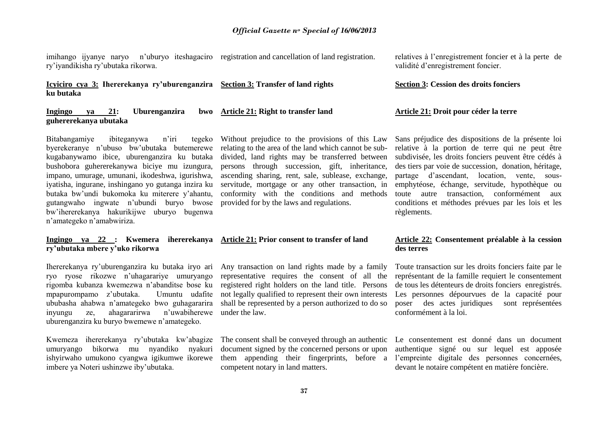imihango ijyanye naryo n'uburyo iteshagaciro registration and cancellation of land registration. ry'iyandikisha ry'ubutaka rikorwa.

**Icyiciro cya 3: Ihererekanya ry'uburenganzira Section 3: [Transfer of land rights](http://www.amategeko.net/display_rubrique.php?ActDo=all&Information_ID=692&Parent_ID=3068403&type=public&Langue_ID=An&rubID=3068406#a3068463) ku butaka**

**Ingingo ya 21: Uburenganzira bwo guhererekanya ubutaka Article 21: Right to transfer land**

Bitabangamiye ibiteganywa n'iri tegeko byerekeranye n'ubuso bw'ubutaka butemerewe kugabanywamo ibice, uburenganzira ku butaka bushobora guhererekanywa biciye mu izungura, impano, umurage, umunani, ikodeshwa, igurishwa, iyatisha, ingurane, inshingano yo gutanga inzira ku butaka bw'undi bukomoka ku miterere y'ahantu, gutangwaho ingwate n'ubundi buryo bwose bw'ihererekanya hakurikijwe uburyo bugenwa n'amategeko n'amabwiriza.

# **ry'ubutaka mbere y'uko rikorwa**

Ihererekanya ry'uburenganzira ku butaka iryo ari Any transaction on land rights made by a family ryo ryose rikozwe n'uhagarariye umuryango rigomba kubanza kwemezwa n'abanditse bose ku registered right holders on the land title. Persons mpapurompamo z'ubutaka. Umuntu udafite ububasha ahabwa n'amategeko bwo guhagararira shall be represented by a person authorized to do so inyungu ze, ahagararirwa n'uwabiherewe under the law. uburenganzira ku buryo bwemewe n'amategeko.

Kwemeza ihererekanya ry'ubutaka kw'abagize umuryango bikorwa mu nyandiko nyakuri ishyirwaho umukono cyangwa igikumwe ikorewe imbere ya Noteri ushinzwe iby'ubutaka.

Without prejudice to the provisions of this Law relating to the area of the land which cannot be subdivided, land rights may be transferred between persons through succession, gift, inheritance, ascending sharing, rent, sale, sublease, exchange, servitude, mortgage or any other transaction, in conformity with the conditions and methods provided for by the laws and regulations.

## **Ingingo ya 22 : Kwemera ihererekanya Article 21: Prior consent to transfer of land**

representative requires the consent of all the not legally qualified to represent their own interests

document signed by the concerned persons or upon competent notary in land matters.

relatives à l'enregistrement foncier et à la perte de validité d'enregistrement foncier.

#### **Section 3: Cession des droits fonciers**

#### **Article 21: Droit pour céder la terre**

Sans préjudice des dispositions de la présente loi relative à la portion de terre qui ne peut être subdivisée, les droits fonciers peuvent être cédés à des tiers par voie de succession, donation, héritage, partage d'ascendant, location, vente, sousemphytéose, échange, servitude, hypothèque ou toute autre transaction, conformément aux conditions et méthodes prévues par les lois et les règlements.

#### **Article 22: Consentement préalable à la cession des terres**

Toute transaction sur les droits fonciers faite par le représentant de la famille requiert le consentement de tous les détenteurs de droits fonciers enregistrés. Les personnes dépourvues de la capacité pour poser des actes juridiques sont représentées conformément à la loi.

The consent shall be conveyed through an authentic Le consentement est donné dans un document them appending their fingerprints, before a l'empreinte digitale des personnes concernées, authentique signé ou sur lequel est apposée devant le notaire compétent en matière foncière.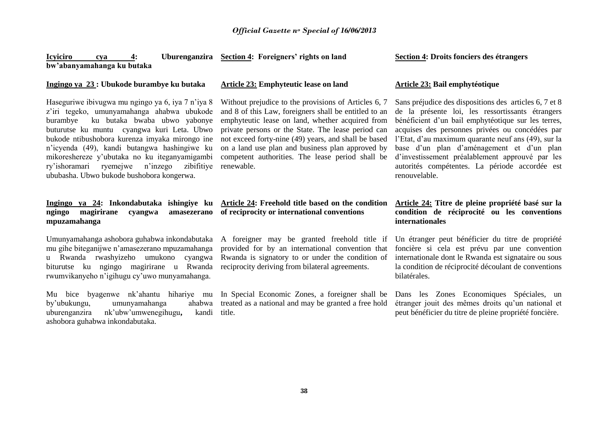**Icyiciro cya 4: Uburenganzira Section 4: Foreigners' rights on land bw'abanyamahanga ku butaka**

#### **Ingingo ya 23 : Ubukode burambye ku butaka**

Haseguriwe ibivugwa mu ngingo ya 6, iya 7 n'iya 8 z'iri tegeko, umunyamahanga ahabwa ubukode burambye ku butaka bwaba ubwo yabonye buturutse ku muntu cyangwa kuri Leta. Ubwo bukode ntibushobora kurenza imyaka mirongo ine n'icyenda (49), kandi butangwa hashingiwe ku mikoreshereze y'ubutaka no ku iteganyamigambi ry'ishoramari ryemejwe n'inzego zibifitiye renewable. ububasha. Ubwo bukode bushobora kongerwa.

#### **Ingingo ya 24: Inkondabutaka ishingiye ku ngingo magirirane cyangwa amasezerano mpuzamahanga**

Umunyamahanga ashobora guhabwa inkondabutaka mu gihe biteganijwe n'amasezerano mpuzamahanga u Rwanda rwashyizeho umukono cyangwa biturutse ku ngingo magirirane u Rwanda rwumvikanyeho n'igihugu cy'uwo munyamahanga.

Mu bice byagenwe nk'ahantu hihariye mu by'ubukungu, umunyamahanga ahabwa uburenganzira nk'ubw'umwenegihugu, ashobora guhabwa inkondabutaka. kandi title.

#### **Article 23: Emphyteutic lease on land**

Without prejudice to the provisions of Articles 6, 7 and 8 of this Law, foreigners shall be entitled to an emphyteutic lease on land, whether acquired from private persons or the State. The lease period can not exceed forty-nine (49) years, and shall be based on a land use plan and business plan approved by competent authorities. The lease period shall be

#### **Article 24: Freehold title based on the condition of reciprocity or international conventions**

A foreigner may be granted freehold title if provided for by an international convention that Rwanda is signatory to or under the condition of reciprocity deriving from bilateral agreements.

In Special Economic Zones, a foreigner shall be treated as a national and may be granted a free hold

### **Section 4: Droits fonciers des étrangers**

#### **Article 23: Bail emphytéotique**

Sans préjudice des dispositions des articles 6, 7 et 8 de la présente loi, les ressortissants étrangers bénéficient d'un bail emphytéotique sur les terres, acquises des personnes privées ou concédées par l'Etat, d'au maximum quarante neuf ans (49), sur la base d'un plan d'aménagement et d'un plan d'investissement préalablement approuvé par les autorités compétentes. La période accordée est renouvelable.

#### **Article 24: Titre de pleine propriété basé sur la condition de réciprocité ou les conventions internationales**

Un étranger peut bénéficier du titre de propriété foncière si cela est prévu par une convention internationale dont le Rwanda est signataire ou sous la condition de réciprocité découlant de conventions bilatérales.

Dans les Zones Economiques Spéciales, un étranger jouit des mêmes droits qu'un national et peut bénéficier du titre de pleine propriété foncière.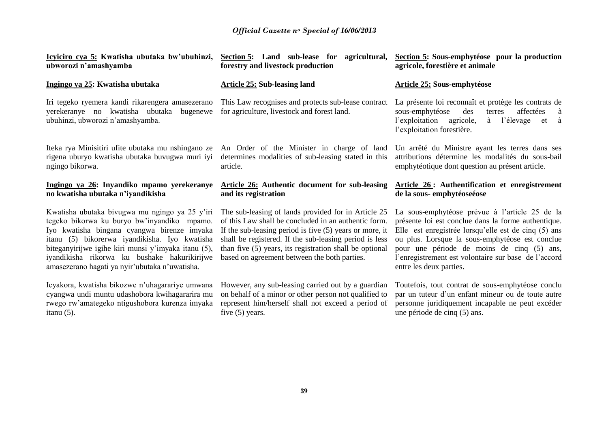| Icyiciro cya 5: Kwatisha ubutaka bw'ubuhinzi,<br>ubworozi n'amashyamba                                                                                                                                                                                                                                                                                 | Section 5: Land sub-lease for<br>agricultural,<br>forestry and livestock production                                                                                                                                                                                                                                                           | Section 5: Sous-emphytéose pour la production<br>agricole, forestière et animale                                                                                                                                                                                                                                                                  |
|--------------------------------------------------------------------------------------------------------------------------------------------------------------------------------------------------------------------------------------------------------------------------------------------------------------------------------------------------------|-----------------------------------------------------------------------------------------------------------------------------------------------------------------------------------------------------------------------------------------------------------------------------------------------------------------------------------------------|---------------------------------------------------------------------------------------------------------------------------------------------------------------------------------------------------------------------------------------------------------------------------------------------------------------------------------------------------|
| Ingingo ya 25: Kwatisha ubutaka                                                                                                                                                                                                                                                                                                                        | <b>Article 25: Sub-leasing land</b>                                                                                                                                                                                                                                                                                                           | Article 25: Sous-emphytéose                                                                                                                                                                                                                                                                                                                       |
| Iri tegeko ryemera kandi rikarengera amasezerano<br>yerekeranye no kwatisha ubutaka bugenewe<br>ubuhinzi, ubworozi n'amashyamba.                                                                                                                                                                                                                       | This Law recognises and protects sub-lease contract<br>for agriculture, livestock and forest land.                                                                                                                                                                                                                                            | La présente loi reconnaît et protège les contrats de<br>affectées<br>sous-emphytéose<br>des<br>terres<br>à<br>l'exploitation<br>l'élevage<br>agricole,<br>à<br>à<br>et<br>l'exploitation forestière.                                                                                                                                              |
| Iteka rya Minisitiri ufite ubutaka mu nshingano ze<br>rigena uburyo kwatisha ubutaka buvugwa muri iyi<br>ngingo bikorwa.                                                                                                                                                                                                                               | An Order of the Minister in charge of land<br>determines modalities of sub-leasing stated in this<br>article.                                                                                                                                                                                                                                 | Un arrêté du Ministre ayant les terres dans ses<br>attributions détermine les modalités du sous-bail<br>emphytéotique dont question au présent article.                                                                                                                                                                                           |
|                                                                                                                                                                                                                                                                                                                                                        |                                                                                                                                                                                                                                                                                                                                               |                                                                                                                                                                                                                                                                                                                                                   |
| Ingingo ya 26: Inyandiko mpamo yerekeranye<br>no kwatisha ubutaka n'iyandikisha                                                                                                                                                                                                                                                                        | <b>Article 26:</b> Authentic document for sub-leasing<br>and its registration                                                                                                                                                                                                                                                                 | Article 26: Authentification et enregistrement<br>de la sous-emphytéoseéose                                                                                                                                                                                                                                                                       |
| Kwatisha ubutaka bivugwa mu ngingo ya 25 y'iri<br>tegeko bikorwa ku buryo bw'inyandiko mpamo.<br>Iyo kwatisha bingana cyangwa birenze imyaka<br>itanu (5) bikorerwa iyandikisha. Iyo kwatisha<br>biteganyirijwe igihe kiri munsi y'imyaka itanu (5),<br>iyandikisha rikorwa ku bushake hakurikirijwe<br>amasezerano hagati ya nyir'ubutaka n'uwatisha. | The sub-leasing of lands provided for in Article 25<br>of this Law shall be concluded in an authentic form.<br>If the sub-leasing period is five $(5)$ years or more, it<br>shall be registered. If the sub-leasing period is less<br>than five (5) years, its registration shall be optional<br>based on agreement between the both parties. | La sous-emphytéose prévue à l'article 25 de la<br>présente loi est conclue dans la forme authentique.<br>Elle est enregistrée lorsqu'elle est de cinq (5) ans<br>ou plus. Lorsque la sous-emphytéose est conclue<br>pour une période de moins de cinq (5) ans,<br>l'enregistrement est volontaire sur base de l'accord<br>entre les deux parties. |

une période de cinq (5) ans.

five (5) years.

itanu (5).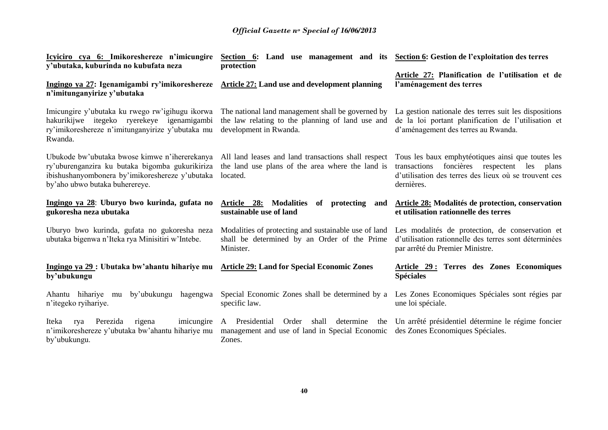| <u>Icyiciro cya 6: Imikoreshereze n'imicungire</u><br>y'ubutaka, kuburinda no kubufata neza                                                                                           | Section 6: Land use management and its Section 6: Gestion de l'exploitation des terres<br>protection                                                                  | Article 27: Planification de l'utilisation et de<br>l'aménagement des terres                                                                        |  |
|---------------------------------------------------------------------------------------------------------------------------------------------------------------------------------------|-----------------------------------------------------------------------------------------------------------------------------------------------------------------------|-----------------------------------------------------------------------------------------------------------------------------------------------------|--|
| Ingingo ya 27: Igenamigambi ry'imikoreshereze Article 27: Land use and development planning<br>n'imitunganyirize y'ubutaka                                                            |                                                                                                                                                                       |                                                                                                                                                     |  |
| Imicungire y'ubutaka ku rwego rw'igihugu ikorwa<br>hakurikijwe itegeko ryerekeye igenamigambi<br>ry'imikoreshereze n'imitunganyirize y'ubutaka mu<br>Rwanda.                          | The national land management shall be governed by<br>the law relating to the planning of land use and<br>development in Rwanda.                                       | La gestion nationale des terres suit les dispositions<br>de la loi portant planification de l'utilisation et<br>d'aménagement des terres au Rwanda. |  |
| Ubukode bw'ubutaka bwose kimwe n'ihererekanya<br>ry'uburenganzira ku butaka bigomba gukurikiriza<br>ibishushanyombonera by'imikoreshereze y'ubutaka<br>by'aho ubwo butaka buherereye. | All land leases and land transactions shall respect Tous les baux emphytéotiques ainsi que toutes les<br>the land use plans of the area where the land is<br>located. | foncières respectent les plans<br>transactions<br>d'utilisation des terres des lieux où se trouvent ces<br>dernières.                               |  |
| Ingingo ya 28: Uburyo bwo kurinda, gufata no<br>gukoresha neza ubutaka                                                                                                                | Article 28:<br><b>Modalities</b><br>of protecting<br>and<br>sustainable use of land                                                                                   | Article 28: Modalités de protection, conservation<br>et utilisation rationnelle des terres                                                          |  |
| Uburyo bwo kurinda, gufata no gukoresha neza<br>ubutaka bigenwa n'Iteka rya Minisitiri w'Intebe.                                                                                      | Modalities of protecting and sustainable use of land<br>shall be determined by an Order of the Prime<br>Minister.                                                     | Les modalités de protection, de conservation et<br>d'utilisation rationnelle des terres sont déterminées<br>par arrêté du Premier Ministre.         |  |
| Ingingo ya 29 : Ubutaka bw'ahantu hihariye mu<br>by'ubukungu                                                                                                                          | <b>Article 29: Land for Special Economic Zones</b>                                                                                                                    | Article 29: Terres des Zones Economiques<br><b>Spéciales</b>                                                                                        |  |
| Ahantu hihariye mu<br>by'ubukungu<br>hagengwa<br>n'itegeko ryihariye.                                                                                                                 | Special Economic Zones shall be determined by a<br>specific law.                                                                                                      | Les Zones Economiques Spéciales sont régies par<br>une loi spéciale.                                                                                |  |
| Perezida<br>imicungire<br>Iteka<br>rigena<br>rya<br>n'imikoreshereze y'ubutaka bw'ahantu hihariye mu<br>by'ubukungu.                                                                  | A Presidential<br>Order<br>shall<br>determine<br>management and use of land in Special Economic<br>Zones.                                                             | the Un arrêté présidentiel détermine le régime foncier<br>des Zones Economiques Spéciales.                                                          |  |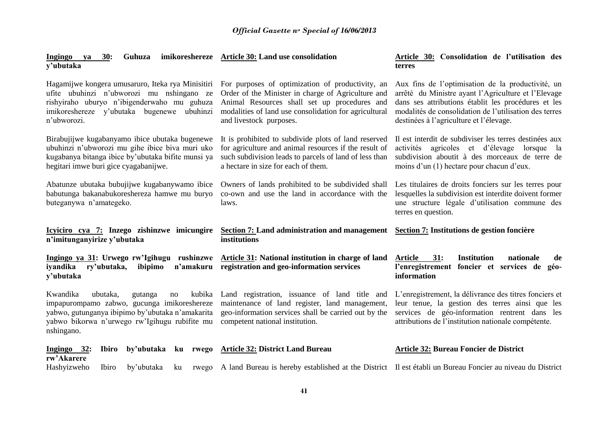| 30:<br>Guhuza<br>Ingingo<br>ya<br>y'ubutaka                                                                                                                                                                   | imikoreshereze Article 30: Land use consolidation                                                                                                                                                                                          | Article 30: Consolidation de l'utilisation des<br>terres                                                                                                                                                                                                             |
|---------------------------------------------------------------------------------------------------------------------------------------------------------------------------------------------------------------|--------------------------------------------------------------------------------------------------------------------------------------------------------------------------------------------------------------------------------------------|----------------------------------------------------------------------------------------------------------------------------------------------------------------------------------------------------------------------------------------------------------------------|
| Hagamijwe kongera umusaruro, Iteka rya Minisitiri<br>ufite ubuhinzi n'ubworozi mu nshingano ze<br>rishyiraho uburyo n'ibigenderwaho mu guhuza<br>imikoreshereze y'ubutaka bugenewe<br>ubuhinzi<br>n'ubworozi. | For purposes of optimization of productivity, an<br>Order of the Minister in charge of Agriculture and<br>Animal Resources shall set up procedures and<br>modalities of land use consolidation for agricultural<br>and livestock purposes. | Aux fins de l'optimisation de la productivité, un<br>arrêté du Ministre ayant l'Agriculture et l'Elevage<br>dans ses attributions établit les procédures et les<br>modalités de consolidation de l'utilisation des terres<br>destinées à l'agriculture et l'élevage. |
| Birabujijwe kugabanyamo ibice ubutaka bugenewe<br>ubuhinzi n'ubworozi mu gihe ibice biva muri uko<br>kugabanya bitanga ibice by'ubutaka bifite munsi ya<br>hegitari imwe buri gice cyagabanijwe.              | It is prohibited to subdivide plots of land reserved<br>for agriculture and animal resources if the result of<br>such subdivision leads to parcels of land of less than<br>a hectare in size for each of them.                             | Il est interdit de subdiviser les terres destinées aux<br>agricoles et d'élevage<br>activités<br>lorsque<br>la<br>subdivision aboutit à des morceaux de terre de<br>moins d'un (1) hectare pour chacun d'eux.                                                        |
| Abatunze ubutaka bubujijwe kugabanywamo ibice<br>babutunga bakanabukoreshereza hamwe mu buryo<br>buteganywa n'amategeko.                                                                                      | Owners of lands prohibited to be subdivided shall<br>co-own and use the land in accordance with the<br>laws.                                                                                                                               | Les titulaires de droits fonciers sur les terres pour<br>lesquelles la subdivision est interdite doivent former<br>une structure légale d'utilisation commune des<br>terres en question.                                                                             |
| Icyiciro cya 7: Inzego zishinzwe imicungire<br>n'imitunganyirize y'ubutaka                                                                                                                                    | Section 7: Land administration and management Section 7: Institutions de gestion foncière<br>institutions                                                                                                                                  |                                                                                                                                                                                                                                                                      |
| Ingingo ya 31: Urwego rw'Igihugu rushinzwe<br>n'amakuru<br>iyandika<br>ry'ubutaka,<br>ibipimo<br>y'ubutaka                                                                                                    | <b>Article 31:</b> National institution in charge of land<br>registration and geo-information services                                                                                                                                     | <b>Article</b><br>31:<br><b>Institution</b><br>nationale<br>de<br>l'enregistrement foncier et services de<br>géo-<br>information                                                                                                                                     |
| Kwandika<br>ubutaka,<br>gutanga<br>no<br>impapurompamo zabwo, gucunga imikoreshereze<br>yabwo, gutunganya ibipimo by'ubutaka n'amakarita<br>yabwo bikorwa n'urwego rw'Igihugu rubifite mu                     | kubika Land registration, issuance of land title and<br>maintenance of land register, land management,<br>geo-information services shall be carried out by the                                                                             | L'enregistrement, la délivrance des titres fonciers et<br>leur tenue, la gestion des terres ainsi que les<br>services de géo-information rentrent dans les                                                                                                           |
| nshingano.                                                                                                                                                                                                    | competent national institution.                                                                                                                                                                                                            | attributions de l'institution nationale compétente.                                                                                                                                                                                                                  |
| $Ingingo 32:$<br>by'ubutaka<br>ku rwego<br><b>Ibiro</b><br>rw'Akarere                                                                                                                                         | <b>Article 32: District Land Bureau</b>                                                                                                                                                                                                    | <b>Article 32: Bureau Foncier de District</b>                                                                                                                                                                                                                        |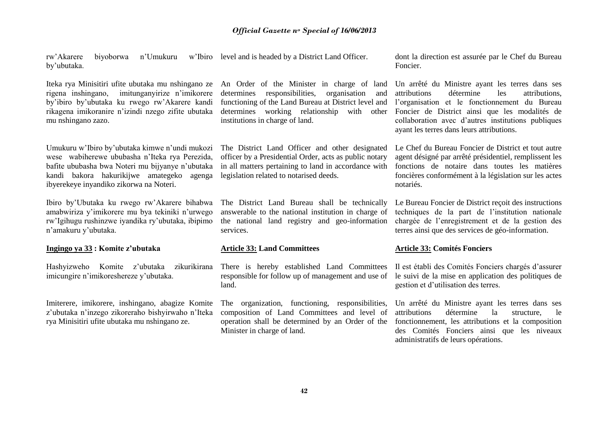rw'Akarere biyoborwa n'Umukuru w'Ibiro level and is headed by a District Land Officer. by'ubutaka.

Iteka rya Minisitiri ufite ubutaka mu nshingano ze rigena inshingano, imitunganyirize n'imikorere by'ibiro by'ubutaka ku rwego rw'Akarere kandi rikagena imikoranire n'izindi nzego zifite ubutaka mu nshingano zazo.

Umukuru w'Ibiro by'ubutaka kimwe n'undi mukozi wese wabiherewe ububasha n'Iteka rya Perezida, bafite ububasha bwa Noteri mu bijyanye n'ubutaka kandi bakora hakurikijwe amategeko agenga ibyerekeye inyandiko zikorwa na Noteri.

Ibiro by'Ubutaka ku rwego rw'Akarere bihabwa amabwiriza y'imikorere mu bya tekiniki n'urwego rw'Igihugu rushinzwe iyandika ry'ubutaka, ibipimo n'amakuru y'ubutaka.

#### **Ingingo ya 33 : Komite z'ubutaka**

Hashyizweho Komite z'ubutaka zikurikirana imicungire n'imikoreshereze y'ubutaka.

Imiterere, imikorere, inshingano, abagize Komite z'ubutaka n'inzego zikoreraho bishyirwaho n'Iteka rya Minisitiri ufite ubutaka mu nshingano ze.

An Order of the Minister in charge of land determines responsibilities, organisation and functioning of the Land Bureau at District level and determines working relationship with other institutions in charge of land.

The District Land Officer and other designated officer by a Presidential Order, acts as public notary in all matters pertaining to land in accordance with legislation related to notarised deeds.

The District Land Bureau shall be technically answerable to the national institution in charge of the national land registry and geo-information services.

#### **Article 33: Land Committees**

There is hereby established Land Committees responsible for follow up of management and use of land.

The organization, functioning, responsibilities, composition of Land Committees and level of operation shall be determined by an Order of the Minister in charge of land.

dont la direction est assurée par le Chef du Bureau Foncier.

Un arrêté du Ministre ayant les terres dans ses attributions détermine les attributions, l'organisation et le fonctionnement du Bureau Foncier de District ainsi que les modalités de collaboration avec d'autres institutions publiques ayant les terres dans leurs attributions.

Le Chef du Bureau Foncier de District et tout autre agent désigné par arrêté présidentiel, remplissent les fonctions de notaire dans toutes les matières foncières conformément à la législation sur les actes notariés.

Le Bureau Foncier de District reçoit des instructions techniques de la part de l'institution nationale chargée de l'enregistrement et de la gestion des terres ainsi que des services de géo-information.

#### **Article 33: Comités Fonciers**

Il est établi des Comités Fonciers chargés d'assurer le suivi de la mise en application des politiques de gestion et d'utilisation des terres.

Un arrêté du Ministre ayant les terres dans ses attributions détermine la structure, le fonctionnement, les attributions et la composition des Comités Fonciers ainsi que les niveaux administratifs de leurs opérations.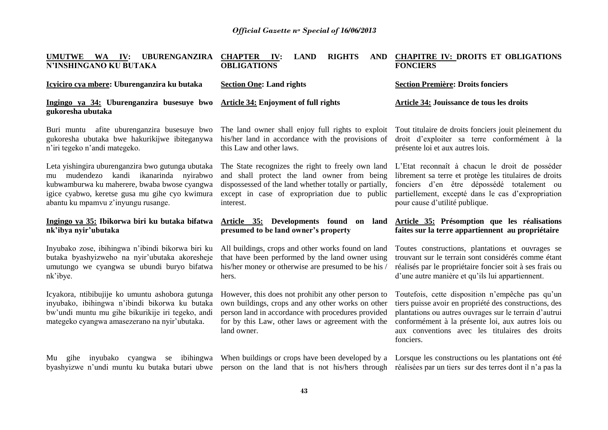| UMUTWE WA IV:<br>UBURENGANZIRA<br>N'INSHINGANO KU BUTAKA                                                                                                                                                                                | <b>CHAPTER</b><br><b>RIGHTS</b><br><b>LAND</b><br>IV:<br><b>OBLIGATIONS</b>                                                                                                                                                        | AND CHAPITRE IV: DROITS ET OBLIGATIONS<br><b>FONCIERS</b>                                                                                                                                                                                                                                 |
|-----------------------------------------------------------------------------------------------------------------------------------------------------------------------------------------------------------------------------------------|------------------------------------------------------------------------------------------------------------------------------------------------------------------------------------------------------------------------------------|-------------------------------------------------------------------------------------------------------------------------------------------------------------------------------------------------------------------------------------------------------------------------------------------|
| Icyiciro cya mbere: Uburenganzira ku butaka                                                                                                                                                                                             | <b>Section One: Land rights</b>                                                                                                                                                                                                    | <b>Section Première: Droits fonciers</b>                                                                                                                                                                                                                                                  |
| Ingingo ya 34: Uburenganzira busesuye bwo<br>gukoresha ubutaka                                                                                                                                                                          | <b>Article 34: Enjoyment of full rights</b>                                                                                                                                                                                        | Article 34: Jouissance de tous les droits                                                                                                                                                                                                                                                 |
| Buri muntu afite uburenganzira busesuye bwo<br>gukoresha ubutaka bwe hakurikijwe ibiteganywa<br>n'iri tegeko n'andi mategeko.                                                                                                           | The land owner shall enjoy full rights to exploit Tout titulaire de droits fonciers jouit pleinement du<br>his/her land in accordance with the provisions of<br>this Law and other laws.                                           | droit d'exploiter sa terre conformément à la<br>présente loi et aux autres lois.                                                                                                                                                                                                          |
| Leta yishingira uburenganzira bwo gutunga ubutaka<br>mudendezo kandi ikanarinda nyirabwo<br>mu<br>kubwamburwa ku maherere, bwaba bwose cyangwa<br>igice cyabwo, keretse gusa mu gihe cyo kwimura<br>abantu ku mpamvu z'inyungu rusange. | The State recognizes the right to freely own land<br>and shall protect the land owner from being<br>dispossessed of the land whether totally or partially,<br>except in case of expropriation due to public<br>interest.           | L'Etat reconnaît à chacun le droit de posséder<br>librement sa terre et protège les titulaires de droits<br>fonciers d'en être dépossédé totalement ou<br>partiellement, excepté dans le cas d'expropriation<br>pour cause d'utilité publique.                                            |
| Ingingo ya 35: Ibikorwa biri ku butaka bifatwa<br>nk'ibya nyir'ubutaka                                                                                                                                                                  | Article 35: Developments found<br>land<br>on<br>presumed to be land owner's property                                                                                                                                               | Article 35: Présomption que les réalisations<br>faites sur la terre appartiennent au propriétaire                                                                                                                                                                                         |
| Inyubako zose, ibihingwa n'ibindi bikorwa biri ku<br>butaka byashyizweho na nyir'ubutaka akoresheje<br>umutungo we cyangwa se ubundi buryo bifatwa<br>nk'ibye.                                                                          | All buildings, crops and other works found on land<br>that have been performed by the land owner using<br>his/her money or otherwise are presumed to be his /<br>hers.                                                             | Toutes constructions, plantations et ouvrages se<br>trouvant sur le terrain sont considérés comme étant<br>réalisés par le propriétaire foncier soit à ses frais ou<br>d'une autre manière et qu'ils lui appartiennent.                                                                   |
| Icyakora, ntibibujije ko umuntu ashobora gutunga<br>inyubako, ibihingwa n'ibindi bikorwa ku butaka<br>bw'undi muntu mu gihe bikurikije iri tegeko, andi<br>mategeko cyangwa amasezerano na nyir'ubutaka.                                | However, this does not prohibit any other person to<br>own buildings, crops and any other works on other<br>person land in accordance with procedures provided<br>for by this Law, other laws or agreement with the<br>land owner. | Toutefois, cette disposition n'empêche pas qu'un<br>tiers puisse avoir en propriété des constructions, des<br>plantations ou autres ouvrages sur le terrain d'autrui<br>conformément à la présente loi, aux autres lois ou<br>aux conventions avec les titulaires des droits<br>fonciers. |
| inyubako<br>gihe<br>Mu<br>byashyizwe n'undi muntu ku butaka butari ubwe                                                                                                                                                                 | cyangwa se ibihingwa When buildings or crops have been developed by a<br>person on the land that is not his/hers through                                                                                                           | Lorsque les constructions ou les plantations ont été<br>réalisées par un tiers sur des terres dont il n'a pas la                                                                                                                                                                          |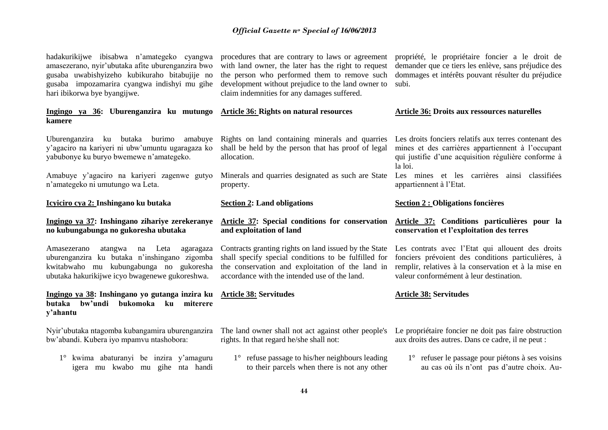hadakurikijwe ibisabwa n'amategeko cyangwa amasezerano, nyir'ubutaka afite uburenganzira bwo gusaba uwabishyizeho kubikuraho bitabujije no gusaba impozamarira cyangwa indishyi mu gihe hari ibikorwa bye byangijwe.

#### **Ingingo ya 36: Uburenganzira ku mutungo kamere**

Uburenganzira ku butaka burimo amabuye y'agaciro na kariyeri ni ubw'umuntu ugaragaza ko yabubonye ku buryo bwemewe n'amategeko.

Amabuye y'agaciro na kariyeri zagenwe gutyo n'amategeko ni umutungo wa Leta.

#### **Icyiciro cya 2: Inshingano ku butaka**

#### **Ingingo ya 37: Inshingano zihariye zerekeranye no kubungabunga no gukoresha ubutaka**

Amasezerano atangwa na Leta agaragaza uburenganzira ku butaka n'inshingano zigomba kwitabwaho mu kubungabunga no gukoresha ubutaka hakurikijwe icyo bwagenewe gukoreshwa.

**Ingingo ya 38: Inshingano yo gutanga inzira ku butaka bw'undi bukomoka ku miterere y'ahantu**

Nyir'ubutaka ntagomba kubangamira uburenganzira bw'abandi. Kubera iyo mpamvu ntashobora:

1° kwima abaturanyi be inzira y'amaguru igera mu kwabo mu gihe nta handi procedures that are contrary to laws or agreement with land owner, the later has the right to request the person who performed them to remove such development without prejudice to the land owner to claim indemnities for any damages suffered.

**Article 36: Rights on natural resources**

Rights on land containing minerals and quarries shall be held by the person that has proof of legal allocation.

Minerals and quarries designated as such are State property.

#### **Section 2: Land obligations**

#### **Article 37: Special conditions for conservation and exploitation of land**

Contracts granting rights on land issued by the State shall specify special conditions to be fulfilled for the conservation and exploitation of the land in accordance with the intended use of the land.

#### **Article 38: Servitudes**

The land owner shall not act against other people's rights. In that regard he/she shall not:

1° refuse passage to his/her neighbours leading to their parcels when there is not any other propriété, le propriétaire foncier a le droit de demander que ce tiers les enlève, sans préjudice des dommages et intérêts pouvant résulter du préjudice subi.

#### **Article 36: Droits aux ressources naturelles**

Les droits fonciers relatifs aux terres contenant des mines et des carrières appartiennent à l'occupant qui justifie d'une acquisition régulière conforme à la loi.

Les mines et les carrières ainsi classifiées appartiennent à l'Etat.

#### **Section 2 : Obligations foncières**

#### **Article 37: Conditions particulières pour la conservation et l'exploitation des terres**

Les contrats avec l'Etat qui allouent des droits fonciers prévoient des conditions particulières, à remplir, relatives à la conservation et à la mise en valeur conformément à leur destination.

#### **Article 38: Servitudes**

Le propriétaire foncier ne doit pas faire obstruction aux droits des autres. Dans ce cadre, il ne peut :

1° refuser le passage pour piétons à ses voisins au cas où ils n'ont pas d'autre choix. Au-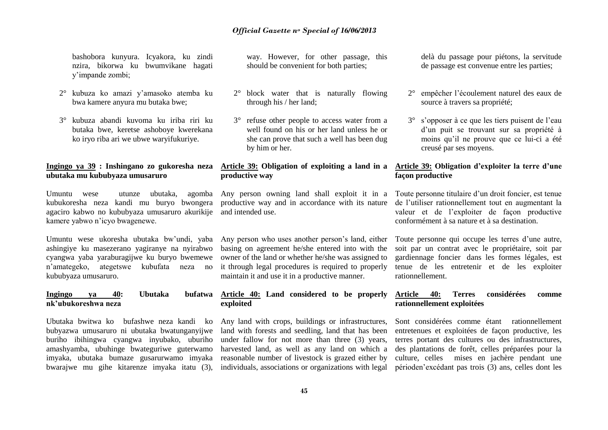bashobora kunyura. Icyakora, ku zindi nzira, bikorwa ku bwumvikane hagati y'impande zombi;

- 2° kubuza ko amazi y'amasoko atemba ku bwa kamere anyura mu butaka bwe;
- 3° kubuza abandi kuvoma ku iriba riri ku butaka bwe, keretse ashoboye kwerekana ko iryo riba ari we ubwe waryifukuriye.

#### **Ingingo ya 39 : Inshingano zo gukoresha neza Article 39: Obligation of exploiting a land in a ubutaka mu kububyaza umusaruro**

Umuntu wese utunze ubutaka, agomba kubukoresha neza kandi mu buryo bwongera agaciro kabwo no kububyaza umusaruro akurikije and intended use. kamere yabwo n'icyo bwagenewe.

Umuntu wese ukoresha ubutaka bw'undi, yaba ashingiye ku masezerano yagiranye na nyirabwo cyangwa yaba yaraburagijwe ku buryo bwemewe n'amategeko, ategetswe kubufata neza no kububyaza umusaruro.

#### **Ingingo ya 40: Ubutaka bufatwa nk'ubukoreshwa neza**

Ubutaka bwitwa ko bufashwe neza kandi ko bubyazwa umusaruro ni ubutaka bwatunganyijwe buriho ibihingwa cyangwa inyubako, uburiho amashyamba, ubuhinge bwateguriwe guterwamo imyaka, ubutaka bumaze gusarurwamo imyaka bwarajwe mu gihe kitarenze imyaka itatu (3), way. However, for other passage, this should be convenient for both parties;

- 2° block water that is naturally flowing through his / her land;
- 3° refuse other people to access water from a well found on his or her land unless he or she can prove that such a well has been dug by him or her.

# **productive way**

Any person owning land shall exploit it in a productive way and in accordance with its nature

Any person who uses another person's land, either basing on agreement he/she entered into with the owner of the land or whether he/she was assigned to it through legal procedures is required to properly maintain it and use it in a productive manner.

#### **Article 40: Land considered to be properly exploited**

Any land with crops, buildings or infrastructures, land with forests and seedling, land that has been under fallow for not more than three (3) years, harvested land, as well as any land on which a reasonable number of livestock is grazed either by individuals, associations or organizations with legal delà du passage pour piétons, la servitude de passage est convenue entre les parties;

- 2° empêcher l'écoulement naturel des eaux de source à travers sa propriété;
- 3° s'opposer à ce que les tiers puisent de l'eau d'un puit se trouvant sur sa propriété à moins qu'il ne prouve que ce lui-ci a été creusé par ses moyens.

#### **Article 39: Obligation d'exploiter la terre d'une façon productive**

Toute personne titulaire d'un droit foncier, est tenue de l'utiliser rationnellement tout en augmentant la valeur et de l'exploiter de façon productive conformément à sa nature et à sa destination.

Toute personne qui occupe les terres d'une autre, soit par un contrat avec le propriétaire, soit par gardiennage foncier dans les formes légales, est tenue de les entretenir et de les exploiter rationnellement.

#### **Article 40: Terres considérées comme rationnellement exploitées**

Sont considérées comme étant rationnellement entretenues et exploitées de façon productive, les terres portant des cultures ou des infrastructures, des plantations de forêt, celles préparées pour la culture, celles mises en jachère pendant une périoden'excédant pas trois (3) ans, celles dont les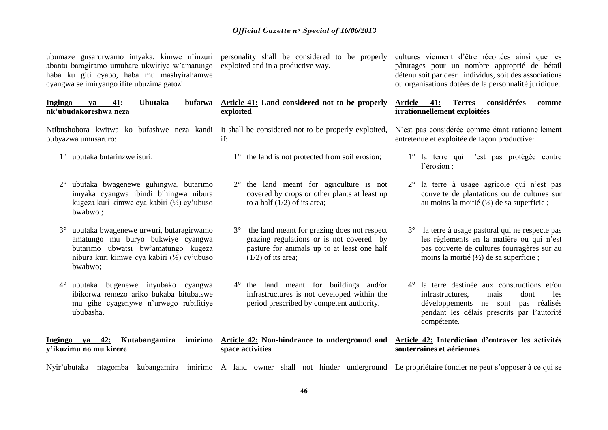ubumaze gusarurwamo imyaka, kimwe n'inzuri personality shall be considered to be properly abantu baragiramo umubare ukwiriye w'amatungo exploited and in a productive way. haba ku giti cyabo, haba mu mashyirahamwe cyangwa se imiryango ifite ubuzima gato

2° ubutaka bwagenewe guhingwa, butarimo imyaka cyangwa ibindi bihingwa nibura kugeza kuri kimwe cya kabiri (½) cy'ubuso

3° ubutaka bwagenewe urwuri, butaragirwamo amatungo mu buryo bukwiye cyangwa butarimo ubwatsi bw'amatungo kugeza nibura kuri kimwe cya kabiri (½) cy'ubuso

4° ubutaka bugenewe inyubako cyangwa ibikorwa remezo ariko bukaba bitubatswe mu gihe cyagenywe n'urwego rubifitiye

bubyazwa umusaruro:

bwabwo ;

bwabwo;

ububasha.

**y'ikuzimu no mu kirere**

**Ingingo ya 42: Kutabangamira** 

1° ubutaka butarinzwe isuri;

| <sub>.</sub> , |  |  |  |
|----------------|--|--|--|
| ٠<br>OZ1.      |  |  |  |
|                |  |  |  |

| Ingingo               | va | 41: | <b>Ubutaka</b> |  | bufatwa Article 41: Land considered not to be properly                                           |
|-----------------------|----|-----|----------------|--|--------------------------------------------------------------------------------------------------|
| nk'ubudakoreshwa neza |    |     |                |  | exploited                                                                                        |
|                       |    |     |                |  | Nitibushobora kwitwa ko bufashwe neza kandi It shall be considered not to be properly exploited, |

- if:
	- 1° the land is not protected from soil erosion;
	- 2° the land meant for agriculture is not covered by crops or other plants at least up to a half (1/2) of its area;
	- 3° the land meant for grazing does not respect grazing regulations or is not covered by pasture for animals up to at least one half  $(1/2)$  of its area;
	- 4° the land meant for buildings and/or infrastructures is not developed within the period prescribed by competent authority.

#### **Article 42: Non-hindrance to underground and space activities**

cultures viennent d'être récoltées ainsi que les pâturages pour un nombre approprié de bétail détenu soit par desr individus, soit des associations ou organisations dotées de la personnalité juridique.

#### **Article 41: Terres considérées comme irrationnellement exploitées**

N'est pas considérée comme étant rationnellement entretenue et exploitée de façon productive:

- 1° la terre qui n'est pas protégée contre l'érosion ;
- 2° la terre à usage agricole qui n'est pas couverte de plantations ou de cultures sur au moins la moitié (½) de sa superficie ;
- 3° la terre à usage pastoral qui ne respecte pas les règlements en la matière ou qui n'est pas couverte de cultures fourragères sur au moins la moitié (½) de sa superficie ;
- 4° la terre destinée aux constructions et/ou infrastructures, mais dont les développements ne sont pas réalisés pendant les délais prescrits par l'autorité compétente.

#### **Article 42: Interdiction d'entraver les activités souterraines et aériennes**

Nyir'ubutaka ntagomba kubangamira imirimo A land owner shall not hinder underground Le propriétaire foncier ne peut s'opposer à ce qui se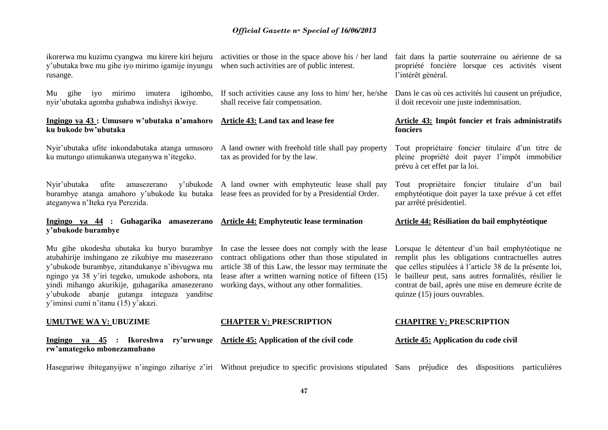| ikorerwa mu kuzimu cyangwa mu kirere kiri hejuru<br>y'ubutaka bwe mu gihe iyo mirimo igamije inyungu<br>rusange.                                                                                                                                                                                                                             | activities or those in the space above his / her land<br>when such activities are of public interest.                                                                                                                                                                    | fait dans la partie souterraine ou aérienne de sa<br>propriété foncière lorsque ces activités visent<br>l'intérêt général.                                                                                                                                                                                        |
|----------------------------------------------------------------------------------------------------------------------------------------------------------------------------------------------------------------------------------------------------------------------------------------------------------------------------------------------|--------------------------------------------------------------------------------------------------------------------------------------------------------------------------------------------------------------------------------------------------------------------------|-------------------------------------------------------------------------------------------------------------------------------------------------------------------------------------------------------------------------------------------------------------------------------------------------------------------|
| gihe iyo mirimo imutera igihombo,<br>Mu<br>nyir'ubutaka agomba guhabwa indishyi ikwiye.                                                                                                                                                                                                                                                      | If such activities cause any loss to him/her, he/she<br>shall receive fair compensation.                                                                                                                                                                                 | Dans le cas où ces activités lui causent un préjudice,<br>il doit recevoir une juste indemnisation.                                                                                                                                                                                                               |
| Ingingo ya 43 : Umusoro w'ubutaka n'amahoro<br>ku bukode bw'ubutaka                                                                                                                                                                                                                                                                          | Article 43: Land tax and lease fee                                                                                                                                                                                                                                       | Article 43: Impôt foncier et frais administratifs<br>fonciers                                                                                                                                                                                                                                                     |
| Nyir'ubutaka ufite inkondabutaka atanga umusoro<br>ku mutungo utimukanwa uteganywa n'itegeko.                                                                                                                                                                                                                                                | A land owner with freehold title shall pay property<br>tax as provided for by the law.                                                                                                                                                                                   | Tout propriétaire foncier titulaire d'un titre de<br>pleine propriété doit payer l'impôt immobilier<br>prévu à cet effet par la loi.                                                                                                                                                                              |
| Nyir'ubutaka<br>ufite<br>y'ubukode<br>amasezerano<br>burambye atanga amahoro y'ubukode ku butaka<br>ateganywa n'Iteka rya Perezida.                                                                                                                                                                                                          | A land owner with emphyteutic lease shall pay<br>lease fees as provided for by a Presidential Order.                                                                                                                                                                     | Tout propriétaire foncier titulaire d'un bail<br>emphytéotique doit payer la taxe prévue à cet effet<br>par arrêté présidentiel.                                                                                                                                                                                  |
|                                                                                                                                                                                                                                                                                                                                              |                                                                                                                                                                                                                                                                          |                                                                                                                                                                                                                                                                                                                   |
| Ingingo ya 44 : Guhagarika<br>amasezerano<br>y'ubukode burambye                                                                                                                                                                                                                                                                              | <b>Article 44: Emphyteutic lease termination</b>                                                                                                                                                                                                                         | Article 44: Résiliation du bail emphytéotique                                                                                                                                                                                                                                                                     |
| Mu gihe ukodesha ubutaka ku buryo burambye<br>atubahirije inshingano ze zikubiye mu masezerano<br>y'ubukode burambye, zitandukanye n'ibivugwa mu<br>ngingo ya 38 y'iri tegeko, umukode ashobora, nta<br>yindi mihango akurikije, guhagarika amasezerano<br>y'ubukode abanje gutanga integuza yanditse<br>y'iminsi cumi n'itanu (15) y'akazi. | In case the lessee does not comply with the lease<br>contract obligations other than those stipulated in<br>article 38 of this Law, the lessor may terminate the<br>lease after a written warning notice of fifteen (15)<br>working days, without any other formalities. | Lorsque le détenteur d'un bail emphytéotique ne<br>remplit plus les obligations contractuelles autres<br>que celles stipulées à l'article 38 de la présente loi,<br>le bailleur peut, sans autres formalités, résilier le<br>contrat de bail, après une mise en demeure écrite de<br>quinze (15) jours ouvrables. |
| <b>UMUTWE WA V: UBUZIME</b>                                                                                                                                                                                                                                                                                                                  | <b>CHAPTER V: PRESCRIPTION</b>                                                                                                                                                                                                                                           | <b>CHAPITRE V: PRESCRIPTION</b>                                                                                                                                                                                                                                                                                   |
| Ingingo ya 45 : Ikoreshwa<br>ry'urwunge<br>rw'amategeko mbonezamubano                                                                                                                                                                                                                                                                        | <b>Article 45: Application of the civil code</b>                                                                                                                                                                                                                         | <b>Article 45: Application du code civil</b>                                                                                                                                                                                                                                                                      |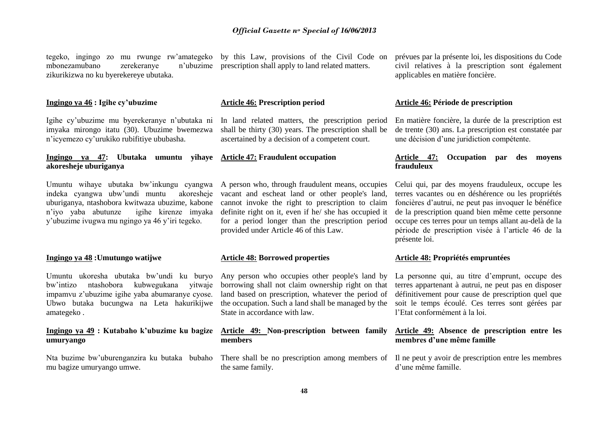tegeko, ingingo zo mu rwunge rw'amategeko by this Law, provisions of the Civil Code on mbonezamubano zerekeranye zikurikizwa no ku byerekereye ubutaka.

#### **Ingingo ya 46 : Igihe cy'ubuzime**

Igihe cy'ubuzime mu byerekeranye n'ubutaka ni imyaka mirongo itatu (30). Ubuzime bwemezwa n'icyemezo cy'urukiko rubifitiye ububasha.

#### **Ingingo ya 47: Ubutaka umuntu yihaye Article 47: Fraudulent occupation akoresheje uburiganya**

Umuntu wihaye ubutaka bw'inkungu cyangwa indeka cyangwa ubw'undi muntu akoresheje uburiganya, ntashobora kwitwaza ubuzime, kabone n'iyo yaba abutunze igihe kirenze imyaka y'ubuzime ivugwa mu ngingo ya 46 y'iri tegeko.

#### **Ingingo ya 48 :Umutungo watijwe**

Umuntu ukoresha ubutaka bw'undi ku buryo bw'intizo ntashobora kubwegukana yitwaje impamvu z'ubuzime igihe yaba abumaranye cyose. Ubwo butaka bucungwa na Leta hakurikijwe the occupation. Such a land shall be managed by the amategeko .

#### **Ingingo ya 49 : Kutabaho k'ubuzime ku bagize umuryango**

Nta buzime bw'uburenganzira ku butaka bubaho mu bagize umuryango umwe.

n'ubuzime prescription shall apply to land related matters.

#### **Article 46: Prescription period**

In land related matters, the prescription period shall be thirty (30) years. The prescription shall be ascertained by a decision of a competent court.

A person who, through fraudulent means, occupies vacant and escheat land or other people's land, cannot invoke the right to prescription to claim definite right on it, even if he/ she has occupied it for a period longer than the prescription period provided under Article 46 of this Law.

#### **Article 48: Borrowed properties**

Any person who occupies other people's land by borrowing shall not claim ownership right on that land based on prescription, whatever the period of State in accordance with law.

#### **Article 49: Non-prescription between family members**

There shall be no prescription among members of Il ne peut y avoir de prescription entre les membres the same family.

prévues par la présente loi, les dispositions du Code civil relatives à la prescription sont également applicables en matière foncière.

#### **Article 46: Période de prescription**

En matière foncière, la durée de la prescription est de trente (30) ans. La prescription est constatée par une décision d'une juridiction compétente.

#### **Article 47: Occupation par des moyens frauduleux**

Celui qui, par des moyens frauduleux, occupe les terres vacantes ou en déshérence ou les propriétés foncières d'autrui, ne peut pas invoquer le bénéfice de la prescription quand bien même cette personne occupe ces terres pour un temps allant au-delà de la période de prescription visée à l'article 46 de la présente loi.

#### **Article 48: Propriétés empruntées**

La personne qui, au titre d'emprunt, occupe des terres appartenant à autrui, ne peut pas en disposer définitivement pour cause de prescription quel que soit le temps écoulé. Ces terres sont gérées par l'Etat conformément à la loi.

#### **Article 49: Absence de prescription entre les membres d'une même famille**

d'une même famille.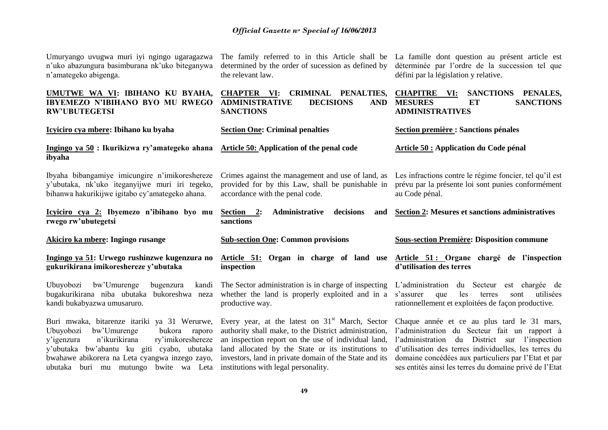|                       |  |  | Umuryango uvugwa muri iyi ngingo ugaragazwa    |  |
|-----------------------|--|--|------------------------------------------------|--|
|                       |  |  | n'uko abazungura basimburana nk'uko biteganywa |  |
| n'amategeko abigenga. |  |  |                                                |  |

determined by the order of sucession as defined by the relevant law.

The family referred to in this Article shall be La famille dont question au présent article est déterminée par l'ordre de la succession tel que défini par la législation y relative.

| UMUTWE WA VI: IBIHANO KU BYAHA,<br>IBYEMEZO N'IBIHANO BYO MU RWEGO<br><b>RW'UBUTEGETSI</b>                                                          | <b>CHAPTER VI:</b><br>CRIMINAL PENALTIES,<br><b>ADMINISTRATIVE</b><br><b>DECISIONS</b><br><b>AND</b><br><b>SANCTIONS</b>                 | <b>CHAPITRE</b><br><b>SANCTIONS</b><br>PENALES,<br>VI:<br><b>MESURES</b><br><b>SANCTIONS</b><br>ET<br><b>ADMINISTRATIVES</b>                                     |
|-----------------------------------------------------------------------------------------------------------------------------------------------------|------------------------------------------------------------------------------------------------------------------------------------------|------------------------------------------------------------------------------------------------------------------------------------------------------------------|
| Icyiciro cya mbere: Ibihano ku byaha                                                                                                                | <b>Section One: Criminal penalties</b>                                                                                                   | <b>Section première : Sanctions pénales</b>                                                                                                                      |
| Ingingo ya 50 : Ikurikizwa ry'amategeko ahana<br>ibyaha                                                                                             | <b>Article 50: Application of the penal code</b>                                                                                         | Article 50 : Application du Code pénal                                                                                                                           |
| Ibyaha bibangamiye imicungire n'imikoreshereze<br>y'ubutaka, nk'uko iteganyijwe muri iri tegeko,<br>bihanwa hakurikijwe igitabo cy'amategeko ahana. | Crimes against the management and use of land, as<br>provided for by this Law, shall be punishable in<br>accordance with the penal code. | Les infractions contre le régime foncier, tel qu'il est<br>prévu par la présente loi sont punies conformément<br>au Code pénal.                                  |
| Icyiciro cya 2: Ibyemezo n'ibihano byo mu<br>rwego rw'ubutegetsi                                                                                    | Administrative<br>decisions<br>Section 2:<br>and<br>sanctions                                                                            | <b>Section 2: Mesures et sanctions administratives</b>                                                                                                           |
|                                                                                                                                                     |                                                                                                                                          |                                                                                                                                                                  |
| Akiciro ka mbere: Ingingo rusange                                                                                                                   | <b>Sub-section One: Common provisions</b>                                                                                                | <b>Sous-section Première: Disposition commune</b>                                                                                                                |
| Ingingo ya 51: Urwego rushinzwe kugenzura no<br>gukurikirana imikoreshereze y'ubutaka                                                               | Article 51: Organ in charge of land use<br>inspection                                                                                    | Article 51: Organe chargé de l'inspection<br>d'utilisation des terres                                                                                            |
| Ubuyobozi bw'Umurenge<br>bugenzura<br>kandi<br>bugakurikirana niba ubutaka<br>bukoreshwa neza<br>kandi bukabyazwa umusaruro.                        | The Sector administration is in charge of inspecting<br>whether the land is properly exploited and in a<br>productive way.               | L'administration<br>du Secteur<br>est chargée de<br>s'assurer<br>utilisées<br>que<br>les<br>terres<br>sont<br>rationnellement et exploitées de façon productive. |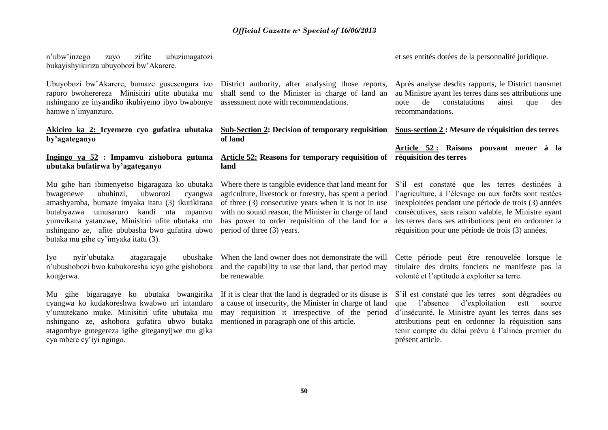n'ubw'inzego zayo zifite ubuzimagatozi bukayishyikiriza ubuyobozi bw'Akarere.

Ubuyobozi bw'Akarere, bumaze gusesengura izo raporo bwoherereza Minisitiri ufite ubutaka mu nshingano ze inyandiko ikubiyemo ibyo bwabonye hamwe n'imyanzuro.

#### **Akiciro ka 2: Icyemezo cyo gufatira ubutaka by'agateganyo**

#### **Ingingo ya 52 : Impamvu zishobora gutuma ubutaka bufatirwa by'agateganyo**

Mu gihe hari ibimenyetso bigaragaza ko ubutaka bwagenewe ubuhinzi, ubworozi cyangwa amashyamba, bumaze imyaka itatu (3) ikurikirana butabyazwa umusaruro kandi nta mpamvu yumvikana yatanzwe, Minisitiri ufite ubutaka mu nshingano ze, afite ububasha bwo gufatira ubwo butaka mu gihe cy'imyaka itatu (3).

Iyo nyir'ubutaka atagaragaje ubushake n'ubushobozi bwo kubukoresha icyo gihe gishobora kongerwa.

Mu gihe bigaragaye ko ubutaka bwangirika cyangwa ko kudakoreshwa kwabwo ari intandaro y'umutekano muke, Minisitiri ufite ubutaka mu nshingano ze, ashobora gufatira ubwo butaka atagombye gutegereza igihe giteganyijwe mu gika cya mbere cy'iyi ngingo.

District authority, after analysing those reports, shall send to the Minister in charge of land an assessment note with recommendations.

**Sub-Section 2: Decision of temporary requisition of land**

#### **Article 52: Reasons for temporary requisition of land**

Where there is tangible evidence that land meant for agriculture, livestock or forestry, has spent a period of three (3) consecutive years when it is not in use with no sound reason, the Minister in charge of land has power to order requisition of the land for a period of three (3) years.

When the land owner does not demonstrate the will and the capability to use that land, that period may be renewable.

If it is clear that the land is degraded or its disuse is a cause of insecurity, the Minister in charge of land may requisition it irrespective of the period mentioned in paragraph one of this article.

et ses entités dotées de la personnalité juridique.

Après analyse desdits rapports, le District transmet au Ministre ayant les terres dans ses attributions une note de constatations ainsi que des recommandations.

**Sous-section 2 : Mesure de réquisition des terres**

**Article 52 : Raisons pouvant mener à la réquisition des terres**

S'il est constaté que les terres destinées à l'agriculture, à l'élevage ou aux forêts sont restées inexploitées pendant une période de trois (3) années consécutives, sans raison valable, le Ministre ayant les terres dans ses attributions peut en ordonner la réquisition pour une période de trois (3) années.

Cette période peut être renouvelée lorsque le titulaire des droits fonciers ne manifeste pas la volonté et l'aptitude à exploiter sa terre.

S'il est constaté que les terres sont dégradées ou que l'absence d'exploitation estt source d'insécurité, le Ministre ayant les terres dans ses attributions peut en ordonner la réquisition sans tenir compte du délai prévu à l'alinéa premier du présent article.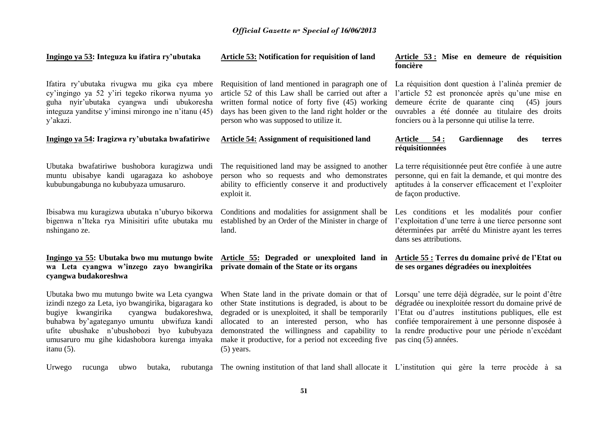| Ingingo ya 53: Integuza ku ifatira ry'ubutaka                                                                                                                                                                                                                                                                        | Article 53: Notification for requisition of land                                                                                                                                                                                                                                                                                       | Article 53 : Mise en demeure de réquisition<br>foncière                                                                                                                                                                                                                                            |
|----------------------------------------------------------------------------------------------------------------------------------------------------------------------------------------------------------------------------------------------------------------------------------------------------------------------|----------------------------------------------------------------------------------------------------------------------------------------------------------------------------------------------------------------------------------------------------------------------------------------------------------------------------------------|----------------------------------------------------------------------------------------------------------------------------------------------------------------------------------------------------------------------------------------------------------------------------------------------------|
| Ifatira ry'ubutaka rivugwa mu gika cya mbere<br>cy'ingingo ya 52 y'iri tegeko rikorwa nyuma yo<br>guha nyir'ubutaka cyangwa undi ubukoresha<br>integuza yanditse y'iminsi mirongo ine n'itanu (45)<br>y'akazi.                                                                                                       | Requisition of land mentioned in paragraph one of<br>article 52 of this Law shall be carried out after a<br>written formal notice of forty five (45) working<br>days has been given to the land right holder or the<br>person who was supposed to utilize it.                                                                          | La réquisition dont question à l'alinéa premier de<br>l'article 52 est prononcée après qu'une mise en<br>demeure écrite de quarante cinq<br>$(45)$ jours<br>ouvrables a été donnée au titulaire des droits<br>fonciers ou à la personne qui utilise la terre.                                      |
| Ingingo ya 54: Iragizwa ry'ubutaka bwafatiriwe                                                                                                                                                                                                                                                                       | <b>Article 54: Assignment of requisitioned land</b>                                                                                                                                                                                                                                                                                    | 54:<br>Gardiennage<br>Article<br>des<br>terres<br>réquisitionnées                                                                                                                                                                                                                                  |
| Ubutaka bwafatiriwe bushobora kuragizwa undi<br>muntu ubisabye kandi ugaragaza ko ashoboye<br>kububungabunga no kububyaza umusaruro.                                                                                                                                                                                 | The requisitioned land may be assigned to another<br>person who so requests and who demonstrates<br>ability to efficiently conserve it and productively<br>exploit it.                                                                                                                                                                 | La terre réquisitionnée peut être confiée à une autre<br>personne, qui en fait la demande, et qui montre des<br>aptitudes à la conserver efficacement et l'exploiter<br>de façon productive.                                                                                                       |
| Ibisabwa mu kuragizwa ubutaka n'uburyo bikorwa<br>bigenwa n'Iteka rya Minisitiri ufite ubutaka mu<br>nshingano ze.                                                                                                                                                                                                   | Conditions and modalities for assignment shall be<br>established by an Order of the Minister in charge of<br>land.                                                                                                                                                                                                                     | Les conditions et les modalités pour confier<br>l'exploitation d'une terre à une tierce personne sont<br>déterminées par arrêté du Ministre ayant les terres<br>dans ses attributions.                                                                                                             |
| Ingingo ya 55: Ubutaka bwo mu mutungo bwite<br>wa Leta cyangwa w'inzego zayo bwangirika<br>cyangwa budakoreshwa                                                                                                                                                                                                      | Article 55: Degraded or unexploited land in<br>private domain of the State or its organs                                                                                                                                                                                                                                               | Article 55 : Terres du domaine privé de l'Etat ou<br>de ses organes dégradées ou inexploitées                                                                                                                                                                                                      |
| Ubutaka bwo mu mutungo bwite wa Leta cyangwa<br>izindi nzego za Leta, iyo bwangirika, bigaragara ko<br>bugiye kwangirika<br>cyangwa budakoreshwa,<br>buhabwa by'agateganyo umuntu<br>ubwifuza kandi<br>ufite ubushake n'ubushobozi<br>byo kububyaza<br>umusaruro mu gihe kidashobora kurenga imyaka<br>itanu $(5)$ . | When State land in the private domain or that of<br>other State institutions is degraded, is about to be<br>degraded or is unexploited, it shall be temporarily<br>allocated to an interested person, who has<br>demonstrated the willingness and capability to<br>make it productive, for a period not exceeding five<br>$(5)$ years. | Lorsqu' une terre déjà dégradée, sur le point d'être<br>dégradée ou inexploitée ressort du domaine privé de<br>l'Etat ou d'autres institutions publiques, elle est<br>confiée temporairement à une personne disposée à<br>la rendre productive pour une période n'excédant<br>pas cinq (5) années. |
| Urwego<br>butaka,<br>ubwo<br>rubutanga<br>rucunga                                                                                                                                                                                                                                                                    | The owning institution of that land shall allocate it L'institution qui gère la terre procède à sa                                                                                                                                                                                                                                     |                                                                                                                                                                                                                                                                                                    |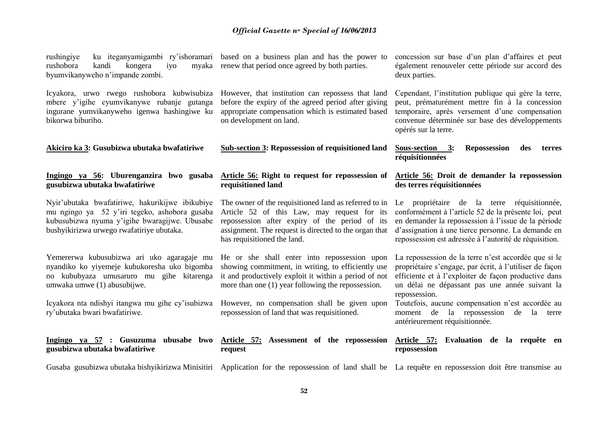| rushingiye<br>rushobora<br>kongera<br>kandi<br>iyo<br>byumvikanyweho n'impande zombi.                                                                                                          | ku iteganyamigambi ry'ishoramari based on a business plan and has the power to<br>myaka renew that period once agreed by both parties.                                                                                                         | concession sur base d'un plan d'affaires et peut<br>également renouveler cette période sur accord des<br>deux parties.                                                                                                                                                     |
|------------------------------------------------------------------------------------------------------------------------------------------------------------------------------------------------|------------------------------------------------------------------------------------------------------------------------------------------------------------------------------------------------------------------------------------------------|----------------------------------------------------------------------------------------------------------------------------------------------------------------------------------------------------------------------------------------------------------------------------|
| Icyakora, urwo rwego rushobora kubwisubiza<br>mbere y'igihe cyumvikanywe rubanje gutanga<br>ingurane yumvikanyweho igenwa hashingiwe ku<br>bikorwa biburiho.                                   | However, that institution can repossess that land<br>before the expiry of the agreed period after giving<br>appropriate compensation which is estimated based<br>on development on land.                                                       | Cependant, l'institution publique qui gère la terre,<br>peut, prématurément mettre fin à la concession<br>temporaire, après versement d'une compensation<br>convenue déterminée sur base des développements<br>opérés sur la terre.                                        |
| Akiciro ka 3: Gusubizwa ubutaka bwafatiriwe                                                                                                                                                    | <b>Sub-section 3: Repossession of requisitioned land</b>                                                                                                                                                                                       | Sous-section 3:<br>Repossession<br>des<br>terres<br>réquisitionnées                                                                                                                                                                                                        |
| Ingingo ya 56: Uburenganzira bwo gusaba<br>gusubizwa ubutaka bwafatiriwe                                                                                                                       | Article 56: Right to request for repossession of<br>requisitioned land                                                                                                                                                                         | Article 56: Droit de demander la repossession<br>des terres réquisitionnées                                                                                                                                                                                                |
| Nyir'ubutaka bwafatiriwe, hakurikijwe ibikubiye<br>mu ngingo ya 52 y'iri tegeko, ashobora gusaba<br>kubusubizwa nyuma y'igihe bwaragijwe. Ubusabe<br>bushyikirizwa urwego rwafatiriye ubutaka. | The owner of the requisitioned land as referred to in<br>Article 52 of this Law, may request for its<br>repossession after expiry of the period of its<br>assignment. The request is directed to the organ that<br>has requisitioned the land. | Le propriétaire de la terre réquisitionnée,<br>conformément à l'article 52 de la présente loi, peut<br>en demander la repossession à l'issue de la période<br>d'assignation à une tierce personne. La demande en<br>repossession est adressée à l'autorité de réquisition. |
| Yemererwa kubusubizwa ari uko agaragaje mu<br>nyandiko ko yiyemeje kubukoresha uko bigomba<br>no kububyaza umusaruro mu gihe kitarenga<br>umwaka umwe (1) abusubijwe.                          | He or she shall enter into repossession upon<br>showing commitment, in writing, to efficiently use<br>it and productively exploit it within a period of not<br>more than one (1) year following the repossession.                              | La repossession de la terre n'est accordée que si le<br>propriétaire s'engage, par écrit, à l'utiliser de façon<br>efficiente et à l'exploiter de façon productive dans<br>un délai ne dépassant pas une année suivant la<br>repossession.                                 |
| Icyakora nta ndishyi itangwa mu gihe cy'isubizwa<br>ry'ubutaka bwari bwafatiriwe.                                                                                                              | However, no compensation shall be given upon<br>repossession of land that was requisitioned.                                                                                                                                                   | Toutefois, aucune compensation n'est accordée au<br>moment de la repossession de la terre<br>antérieurement réquisitionnée.                                                                                                                                                |
| gusubizwa ubutaka bwafatiriwe                                                                                                                                                                  | Ingingo ya 57 : Gusuzuma ubusabe bwo Article 57: Assessment of the repossession<br>request                                                                                                                                                     | Article 57: Evaluation de la requête en<br>repossession                                                                                                                                                                                                                    |
|                                                                                                                                                                                                | Gusaba gusubizwa ubutaka bishyikirizwa Minisitiri Application for the repossession of land shall be La requête en repossession doit être transmise au                                                                                          |                                                                                                                                                                                                                                                                            |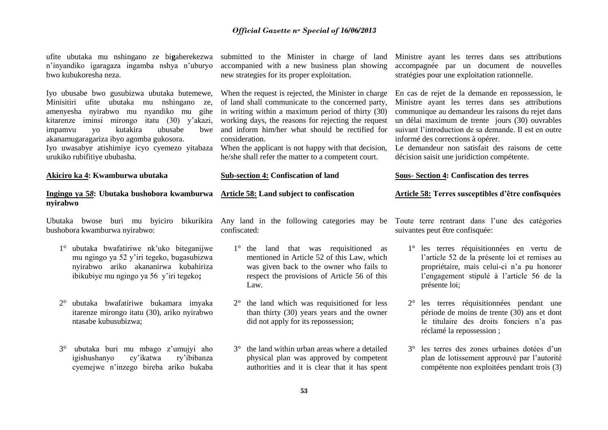ufite ubutaka mu nshingano ze bi**g**aherekezwa n'inyandiko igaragaza ingamba nshya n'uburyo bwo kubukoresha neza. Iyo ubusabe bwo gusubizwa ubutaka butemewe, Minisitiri ufite ubutaka mu nshingano ze, amenyesha nyirabwo mu nyandiko mu gihe kitarenze iminsi mirongo itatu (30) y'akazi, impamvu yo kutakira ubusabe bwe akanamugaragariza ibyo agomba gukosora. Iyo uwasabye atishimiye icyo cyemezo yitabaza When the applicant is not happy with that decision, urukiko rubifitiye ububasha. **Akiciro ka 4: Kwamburwa ubutaka Ingingo ya 5***8***: Ubutaka bushobora kwamburwa Article 58: Land subject to confiscation nyirabwo** Ubutaka bwose buri mu byiciro bikurikira Any land in the following categories may be Toute terre rentrant dans l'une des catégories bushobora kwamburwa nyirabwo: 1° ubutaka bwafatiriwe nk'uko biteganijwe mu ngingo ya 52 y'iri tegeko, bugasubizwa nyirabwo ariko akananirwa kubahiriza ibikubiye mu ngingo ya 56 y'iri tegeko**;** 2° ubutaka bwafatiriwe bukamara imyaka itarenze mirongo itatu (30), ariko nyirabwo submitted to the Minister in charge of land accompanied with a new business plan showing new strategies for its proper exploitation. When the request is rejected, the Minister in charge of land shall communicate to the concerned party, in writing within a maximum period of thirty (30) working days, the reasons for rejecting the request and inform him/her what should be rectified for consideration. he/she shall refer the matter to a competent court. **Sub-section 4: Confiscation of land** confiscated: 1° the land that was requisitioned as mentioned in Article 52 of this Law, which was given back to the owner who fails to respect the provisions of Article 56 of this Law. 2° the land which was requisitioned for less than thirty (30) years years and the owner Ministre ayant les terres dans ses attributions accompagnée par un document de nouvelles stratégies pour une exploitation rationnelle. En cas de rejet de la demande en repossession, le Ministre ayant les terres dans ses attributions communique au demandeur les raisons du rejet dans un délai maximum de trente jours (30) ouvrables suivant l'introduction de sa demande. Il est en outre informé des corrections à opérer. Le demandeur non satisfait des raisons de cette décision saisit une juridiction compétente. **Sous- Section 4: Confiscation des terres Article 58: Terres susceptibles d'être confisquées** suivantes peut être confisquée: 1° les terres réquisitionnées en vertu de l'article 52 de la présente loi et remises au propriétaire, mais celui-ci n'a pu honorer l'engagement stipulé à l'article 56 de la présente loi; 2° les terres réquisitionnées pendant une période de moins de trente (30) ans et dont

> 3° les terres des zones urbaines dotées d'un plan de lotissement approuvé par l'autorité compétente non exploitées pendant trois (3)

- ntasabe kubusubizwa;
- 3° ubutaka buri mu mbago z'umujyi aho igishushanyo cy'ikatwa ry'ibibanza cyemejwe n'inzego bireba ariko bukaba
- did not apply for its repossession;
- 3° the land within urban areas where a detailed physical plan was approved by competent authorities and it is clear that it has spent

le titulaire des droits fonciers n'a pas réclamé la repossession ;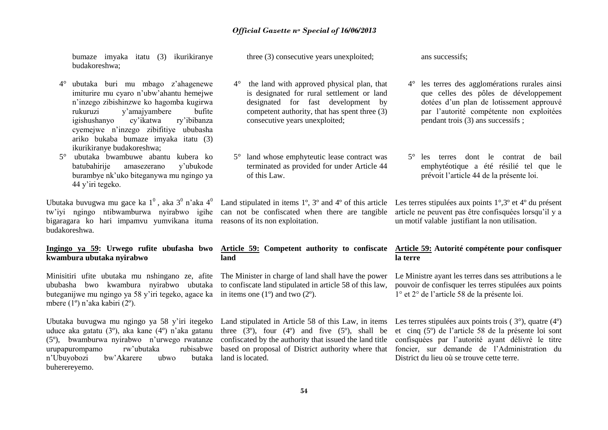bumaze imyaka itatu (3) ikurikiranye budakoreshwa;

- 4° ubutaka buri mu mbago z'ahagenewe imiturire mu cyaro n'ubw'ahantu hemejwe n'inzego zibishinzwe ko hagomba kugirwa rukuruzi y'amajyambere bufite igishushanyo cyemejwe n'inzego zibifitiye ububasha ariko bukaba bumaze imyaka itatu (3) ikurikiranye budakoreshwa;
- 5° ubutaka bwambuwe abantu kubera ko batubahirije amasezerano y'ubukode burambye nk'uko biteganywa mu ngingo ya 44 y'iri tegeko.

Ubutaka buvugwa mu gace ka  $1^0$ , aka  $3^0$  n'aka  $4^0$ bigaragara ko hari impamvu yumvikana ituma reasons of its non exploitation. budakoreshwa.

# **kwambura ubutaka nyirabwo**

Minisitiri ufite ubutaka mu nshingano ze, afite ububasha bwo kwambura nyirabwo ubutaka buteganijwe mu ngingo ya 58 y'iri tegeko, agace ka in items one (1º) and two (2º). mbere (1º) n'aka kabiri (2º).

Ubutaka buvugwa mu ngingo ya 58 y'iri itegeko uduce aka gatatu (3º), aka kane (4º) n'aka gatanu (5º), bwamburwa nyirabwo n'urwego rwatanze urupapurompamo rw'ubutaka n'Ubuyobozi bw'Akarere ubwo buherereyemo.

three (3) consecutive years unexploited;

- 4° the land with approved physical plan, that is designated for rural settlement or land designated for fast development by competent authority, that has spent three (3) consecutive years unexploited;
- 5° land whose emphyteutic lease contract was terminated as provided for under Article 44 of this Law.

ans successifs;

- 4° les terres des agglomérations rurales ainsi que celles des pôles de développement dotées d'un plan de lotissement approuvé par l'autorité compétente non exploitées pendant trois (3) ans successifs ;
- 5° les terres dont le contrat de bail emphytéotique a été résilié tel que le prévoit l'article 44 de la présente loi.

Land stipulated in items 1º, 3º and 4º of this article

## **land**

The Minister in charge of land shall have the power to confiscate land stipulated in article 58 of this law,

three  $(3^{\circ})$ , four  $(4^{\circ})$  and five  $(5^{\circ})$ , shall be confiscated by the authority that issued the land title hutaka land is located.

tw'iyi ngingo ntibwamburwa nyirabwo igihe can not be confiscated when there are tangible article ne peuvent pas être confisquées lorsqu'il y a Les terres stipulées aux points 1°,3º et 4º du présent un motif valable justifiant la non utilisation.

#### Ingingo ya 59: Urwego rufite ubufasha bwo Article 59: Competent authority to confiscate Article 59: Autorité compétente pour confisquer **la terre**

Le Ministre ayant les terres dans ses attributions a le pouvoir de confisquer les terres stipulées aux points 1° et 2° de l'article 58 de la présente loi.

Land stipulated in Article 58 of this Law, in items Les terres stipulées aux points trois (3°), quatre (4°) based on proposal of District authority where that foncier, sur demande de l'Administration du et cinq (5º) de l'article 58 de la présente loi sont confisquées par l'autorité ayant délivré le titre District du lieu où se trouve cette terre.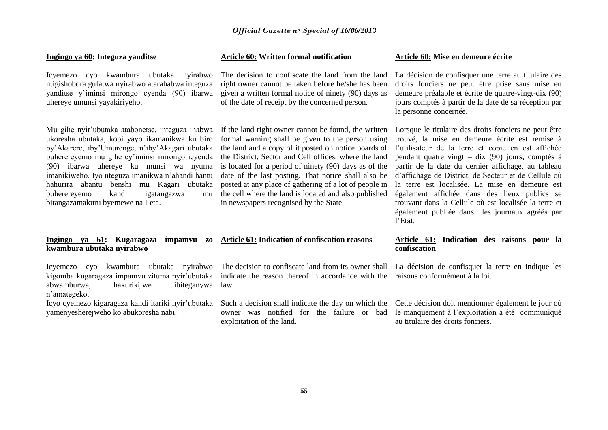#### **Ingingo ya 60: Integuza yanditse**

Icyemezo cyo kwambura ubutaka nyirabwo ntigishobora gufatwa nyirabwo atarahabwa integuza yanditse y'iminsi mirongo cyenda (90) ibarwa uhereye umunsi yayakiriyeho.

Mu gihe nyir'ubutaka atabonetse, integuza ihabwa ukoresha ubutaka, kopi yayo ikamanikwa ku biro by'Akarere, iby'Umurenge, n'iby'Akagari ubutaka buherereyemo mu gihe cy'iminsi mirongo icyenda (90) ibarwa uhereye ku munsi wa nyuma imanikiweho. Iyo nteguza imanikwa n'ahandi hantu hahurira abantu benshi mu Kagari ubutaka buherereyemo kandi igatangazwa mu bitangazamakuru byemewe na Leta.

#### **Ingingo ya 61: Kugaragaza impamvu zo Article 61: Indication of confiscation reasons kwambura ubutaka nyirabwo**

Icyemezo cyo kwambura ubutaka nyirabwo kigomba kugaragaza impamvu zituma nyir'ubutaka indicate the reason thereof in accordance with the abwamburwa, hakurikijwe ibiteganywa law. n'amategeko.

yamenyesherejweho ko abukoresha nabi.

#### **Article 60: Written formal notification**

The decision to confiscate the land from the land right owner cannot be taken before he/she has been given a written formal notice of ninety (90) days as of the date of receipt by the concerned person.

If the land right owner cannot be found, the written formal warning shall be given to the person using the land and a copy of it posted on notice boards of the District, Sector and Cell offices, where the land is located for a period of ninety (90) days as of the date of the last posting. That notice shall also be posted at any place of gathering of a lot of people in the cell where the land is located and also published in newspapers recognised by the State.

The decision to confiscate land from its owner shall

owner was notified for the failure or bad exploitation of the land.

#### **Article 60: Mise en demeure écrite**

La décision de confisquer une terre au titulaire des droits fonciers ne peut être prise sans mise en demeure préalable et écrite de quatre-vingt-dix (90) jours comptés à partir de la date de sa réception par la personne concernée.

Lorsque le titulaire des droits fonciers ne peut être trouvé, la mise en demeure écrite est remise à l'utilisateur de la terre et copie en est affichée pendant quatre vingt – dix (90) jours, comptés à partir de la date du dernier affichage, au tableau d'affichage de District, de Secteur et de Cellule où la terre est localisée. La mise en demeure est également affichée dans des lieux publics se trouvant dans la Cellule où est localisée la terre et également publiée dans les journaux agréés par l'Etat.

#### **Article 61: Indication des raisons pour la confiscation**

La décision de confisquer la terre en indique les raisons conformément à la loi.

Icyo cyemezo kigaragaza kandi itariki nyir'ubutaka Such a decision shall indicate the day on which the Cette décision doit mentionner également le jour où le manquement à l'exploitation a été communiqué au titulaire des droits fonciers.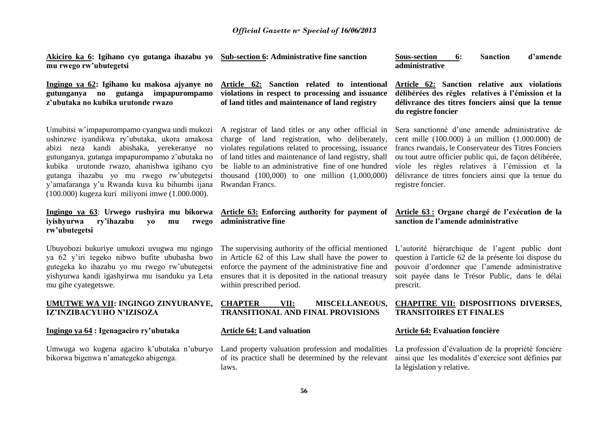**Akiciro ka 6: Igihano cyo gutanga ihazabu yo Sub-section 6: Administrative fine sanction mu rwego rw'ubutegetsi**

**Ingingo ya 62: Igihano ku makosa ajyanye no gutunganya no gutanga impapurompamo z'ubutaka no kubika urutonde rwazo**

Umubitsi w'impapurompamo cyangwa undi mukozi ushinzwe iyandikwa ry'ubutaka, ukora amakosa abizi neza kandi abishaka, yerekeranye no gutunganya, gutanga impapurompamo z'ubutaka no kubika urutonde rwazo, ahanishwa igihano cyo gutanga ihazabu yo mu rwego rw'ubutegetsi y'amafaranga y'u Rwanda kuva ku bihumbi ijana (100.000) kugeza kuri miliyoni imwe (1.000.000).

**Ingingo ya 63**: **Urwego rushyira mu bikorwa iyishyurwa ry'ihazabu yo mu rwego rw'ubutegetsi**

Ubuyobozi bukuriye umukozi uvugwa mu ngingo ya 62 y'iri tegeko nibwo bufite ububasha bwo gutegeka ko ihazabu yo mu rwego rw'ubutegetsi yishyurwa kandi igashyirwa mu isanduku ya Leta mu gihe cyategetswe.

#### **UMUTWE WA VII: INGINGO ZINYURANYE, IZ'INZIBACYUHO N'IZISOZA**

#### **Ingingo ya 64 : Igenagaciro ry'ubutaka**

Umwuga wo kugena agaciro k'ubutaka n'uburyo bikorwa bigenwa n'amategeko abigenga.

**Article 62: Sanction related to intentional violations in respect to processing and issuance of land titles and maintenance of land registry**

A registrar of land titles or any other official in charge of land registration, who deliberately, violates regulations related to processing, issuance of land titles and maintenance of land registry, shall be liable to an administrative fine of one hundred thousand (100,000) to one million (1,000,000) Rwandan Francs.

#### **Article 63: Enforcing authority for payment of administrative fine**

The supervising authority of the official mentioned in Article 62 of this Law shall have the power to enforce the payment of the administrative fine and ensures that it is deposited in the national treasury within prescribed period.

#### **CHAPTER VII: MISCELLANEOUS, TRANSITIONAL AND FINAL PROVISIONS**

#### **Article 64: Land valuation**

Land property valuation profession and modalities of its practice shall be determined by the relevant laws.

**Sous-section 6: Sanction d'amende administrative**

**Article 62: Sanction relative aux violations délibérées des règles relatives à l'émission et la délivrance des titres fonciers ainsi que la tenue du registre foncier** 

Sera sanctionné d'une amende administrative de cent mille (100.000) à un million (1.000.000) de francs rwandais, le Conservateur des Titres Fonciers ou tout autre officier public qui, de façon délibérée, viole les règles relatives à l'émission et la délivrance de titres fonciers ainsi que la tenue du registre foncier.

#### **Article 63 : Organe chargé de l'exécution de la sanction de l'amende administrative**

L'autorité hiérarchique de l'agent public dont question à l'article 62 de la présente loi dispose du pouvoir d'ordonner que l'amende administrative soit payée dans le Trésor Public, dans le délai prescrit.

#### **CHAPITRE VII: DISPOSITIONS DIVERSES, TRANSITOIRES ET FINALES**

#### **Article 64: Evaluation foncière**

La profession d'évaluation de la propriété foncière ainsi que les modalités d'exercice sont définies par la législation y relative.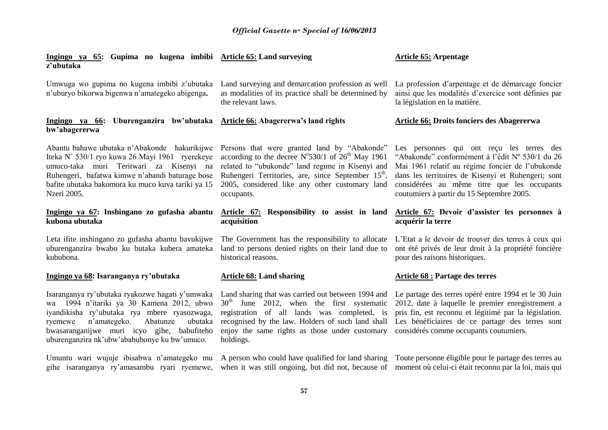| Ingingo ya 65: Gupima no kugena imbibi Article 65: Land surveying<br>z'ubutaka                                                                                                                                                                                                               |                                                                                                                                                                                                                                                                                                             | <b>Article 65: Arpentage</b>                                                                                                                                                                                                                                                                       |
|----------------------------------------------------------------------------------------------------------------------------------------------------------------------------------------------------------------------------------------------------------------------------------------------|-------------------------------------------------------------------------------------------------------------------------------------------------------------------------------------------------------------------------------------------------------------------------------------------------------------|----------------------------------------------------------------------------------------------------------------------------------------------------------------------------------------------------------------------------------------------------------------------------------------------------|
| Umwuga wo gupima no kugena imbibi z'ubutaka<br>n'uburyo bikorwa bigenwa n'amategeko abigenga.                                                                                                                                                                                                | Land surveying and demarcation profession as well<br>as modalities of its practice shall be determined by<br>the relevant laws.                                                                                                                                                                             | La profession d'arpentage et de démarcage foncier<br>ainsi que les modalités d'exercice sont définies par<br>la législation en la matière.                                                                                                                                                         |
| Ingingo ya 66: Uburenganzira bw'ubutaka Article 66: Abagererwa's land rights<br>bw'abagererwa                                                                                                                                                                                                |                                                                                                                                                                                                                                                                                                             | Article 66: Droits fonciers des Abagererwa                                                                                                                                                                                                                                                         |
| Abantu bahawe ubutaka n'Abakonde hakurikijwe<br>Iteka N° 530/1 ryo kuwa 26 Mayi 1961 ryerekeye<br>umuco-taka muri Teritwari za Kisenyi na<br>Ruhengeri, bafatwa kimwe n'abandi baturage bose<br>bafite ubutaka bakomora ku muco kuva tariki ya 15<br>Nzeri 2005.                             | Persons that were granted land by "Abakonde"<br>according to the decree $N^{\circ}530/1$ of $26^{\text{th}}$ May 1961<br>related to "ubukonde" land regime in Kisenyi and<br>Ruhengeri Territories, are, since September 15 <sup>th</sup> ,<br>2005, considered like any other customary land<br>occupants. | Les personnes qui ont reçu les terres des<br>"Abakonde" conformément à l'édit Nº 530/1 du 26<br>Mai 1961 relatif au régime foncier de l'ubukonde<br>dans les territoires de Kisenyi et Ruhengeri; sont<br>considérées au même titre que les occupants<br>coutumiers à partir du 15 Septembre 2005. |
| Ingingo ya 67: Inshingano zo gufasha abantu<br>kubona ubutaka                                                                                                                                                                                                                                | Article 67: Responsibility to assist in land<br>acquisition                                                                                                                                                                                                                                                 | Article 67: Devoir d'assister les personnes à<br>acquérir la terre                                                                                                                                                                                                                                 |
| Leta ifite inshingano zo gufasha abantu bavukijwe<br>uburenganzira bwabo ku butaka kubera amateka<br>kububona.                                                                                                                                                                               | The Government has the responsibility to allocate<br>land to persons denied rights on their land due to<br>historical reasons.                                                                                                                                                                              | L'Etat a le devoir de trouver des terres à ceux qui<br>ont été privés de leur droit à la propriété foncière<br>pour des raisons historiques.                                                                                                                                                       |
| Ingingo ya 68: Isaranganya ry'ubutaka                                                                                                                                                                                                                                                        | <b>Article 68: Land sharing</b>                                                                                                                                                                                                                                                                             | <b>Article 68 : Partage des terres</b>                                                                                                                                                                                                                                                             |
| Isaranganya ry'ubutaka ryakozwe hagati y'umwaka<br>wa 1994 n'itariki ya 30 Kamena 2012, ubwo<br>iyandikisha ry'ubutaka rya mbere ryasozwaga,<br>Abatunze<br>n'amategeko.<br>ubutaka<br>ryemewe<br>bwasaranganijwe muri icyo gihe, babufiteho<br>uburenganzira nk'ubw'ababubonye ku bw'umuco. | Land sharing that was carried out between 1994 and<br>$30th$ June 2012, when the first systematic<br>registration of all lands was completed, is<br>recognised by the law. Holders of such land shall<br>enjoy the same rights as those under customary<br>holdings.                                        | Le partage des terres opéré entre 1994 et le 30 Juin<br>2012, date à laquelle le premier enregistrement a<br>pris fin, est reconnu et légitimé par la législation.<br>Les bénéficiaires de ce partage des terres sont<br>considérés comme occupants coutumiers.                                    |
| Umuntu wari wujuje ibisabwa n'amategeko mu<br>gihe isaranganya ry'amasambu ryari ryemewe,                                                                                                                                                                                                    |                                                                                                                                                                                                                                                                                                             | A person who could have qualified for land sharing Toute personne eligible pour le partage des terres au<br>when it was still ongoing, but did not, because of moment où celui-ci était reconnu par la loi, mais qui                                                                               |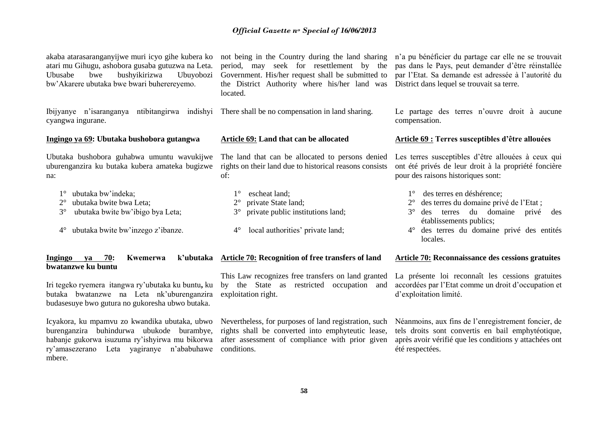akaba atarasaranganyijwe muri icyo gihe kubera ko atari mu Gihugu, ashobora gusaba gutuzwa na Leta. Ubusabe bwe bushyikirizwa Ubuyobozi bw'Akarere ubutaka bwe bwari buherereyemo.

Ibijyanye n'isaranganya ntibitangirwa indishyi There shall be no compensation in land sharing. cyangwa ingurane.

#### **Ingingo ya 69: Ubutaka bushobora gutangwa**

Ubutaka bushobora guhabwa umuntu wavukijwe uburenganzira ku butaka kubera amateka bugizwe na:

- 1° ubutaka bw'indeka;
- 2° ubutaka bwite bwa Leta;
- 3° ubutaka bwite bw'ibigo bya Leta;
- 4° ubutaka bwite bw'inzego z'ibanze.

#### **Ingingo ya 70: Kwemerwa bwatanzwe ku buntu**

Iri tegeko ryemera itangwa ry'ubutaka ku buntu**,** ku butaka bwatanzwe na Leta nk'uburenganzira budasesuye bwo gutura no gukoresha ubwo butaka.

Icyakora, ku mpamvu zo kwandika ubutaka, ubwo burenganzira buhindurwa ubukode burambye, habanje gukorwa isuzuma ry'ishyirwa mu bikorwa ry'amasezerano Leta yagiranye n'ababuhawe conditions. mbere.

not being in the Country during the land sharing period, may seek for resettlement by the Government. His/her request shall be submitted to the District Authority where his/her land was located.

#### **Article 69: Land that can be allocated**

The land that can be allocated to persons denied rights on their land due to historical reasons consists of:

- 1° escheat land; 2° private State land;
- 3° private public institutions land;
- 4° local authorities' private land;

#### **Article 70: Recognition of free transfers of land**

This Law recognizes free transfers on land granted by the State as restricted occupation and exploitation right.

Nevertheless, for purposes of land registration, such rights shall be converted into emphyteutic lease, after assessment of compliance with prior given

n'a pu bénéficier du partage car elle ne se trouvait pas dans le Pays, peut demander d'être réinstallée par l'Etat. Sa demande est adressée à l'autorité du District dans lequel se trouvait sa terre.

Le partage des terres n'ouvre droit à aucune compensation.

#### **Article 69 : Terres susceptibles d'être allouées**

Les terres susceptibles d'être allouées à ceux qui ont été privés de leur droit à la propriété foncière pour des raisons historiques sont:

- 1° des terres en déshérence;
- 2° des terres du domaine privé de l'Etat ;
- 3° des terres du domaine privé des établissements publics;
- 4° des terres du domaine privé des entités locales.

#### **Article 70: Reconnaissance des cessions gratuites**

La présente loi reconnaît les cessions gratuites accordées par l'Etat comme un droit d'occupation et d'exploitation limité.

Néanmoins, aux fins de l'enregistrement foncier, de tels droits sont convertis en bail emphytéotique, après avoir vérifié que les conditions y attachées ont été respectées.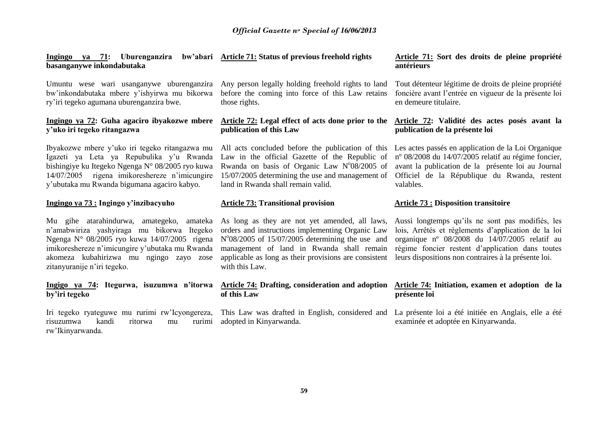**Ingingo ya 71: Uburenganzira bw'abari Article 71: Status of previous freehold rights basanganywe inkondabutaka**

Umuntu wese wari usanganywe uburenganzira Any person legally holding freehold rights to land bw'inkondabutaka mbere y'ishyirwa mu bikorwa ry'iri tegeko agumana uburenganzira bwe.

#### **Ingingo ya 72: Guha agaciro ibyakozwe mbere y'uko iri tegeko ritangazwa**

Ibyakozwe mbere y'uko iri tegeko ritangazwa mu Igazeti ya Leta ya Repubulika y'u Rwanda bishingiye ku Itegeko Ngenga N° 08/2005 ryo kuwa 14/07/2005 rigena imikoreshereze n'imicungire y'ubutaka mu Rwanda bigumana agaciro kabyo.

#### **Ingingo ya 73 : Ingingo y'inzibacyuho**

Mu gihe atarahindurwa, amategeko, amateka As long as they are not yet amended, all laws, n'amabwiriza yashyiraga mu bikorwa Itegeko Ngenga N° 08/2005 ryo kuwa 14/07/2005 rigena imikoreshereze n'imicungire y'ubutaka mu Rwanda akomeza kubahirizwa mu ngingo zayo zose zitanyuranije n'iri tegeko.

#### **Ingigo ya 74: Itegurwa, isuzumwa n'itorwa by'iri tegeko**

Iri tegeko ryateguwe mu rurimi rw'Icyongereza, risuzumwa kandi ritorwa mu rw'Ikinyarwanda.

before the coming into force of this Law retains those rights.

#### **Article 72: Legal effect of acts done prior to the publication of this Law**

All acts concluded before the publication of this Law in the official Gazette of the Republic of Rwanda on basis of Organic Law  $N^0$ 08/2005 of 15/07/2005 determining the use and management of land in Rwanda shall remain valid.

#### **Article 73: Transitional provision**

orders and instructions implementing Organic Law N°08/2005 of 15/07/2005 determining the use and management of land in Rwanda shall remain applicable as long as their provisions are consistent with this Law.

#### **Article 74: Drafting, consideration and adoption of this Law**

adopted in Kinyarwanda.

#### **Article 71: Sort des droits de pleine propriété antérieurs**

Tout détenteur légitime de droits de pleine propriété foncière avant l'entrée en vigueur de la présente loi en demeure titulaire.

#### **Article 72: Validité des actes posés avant la publication de la présente loi**

Les actes passés en application de la Loi Organique nº 08/2008 du 14/07/2005 relatif au régime foncier, avant la publication de la présente loi au Journal Officiel de la République du Rwanda, restent valables.

#### **Article 73 : Disposition transitoire**

Aussi longtemps qu'ils ne sont pas modifiés, les lois, Arrêtés et règlements d'application de la loi organique nº 08/2008 du 14/07/2005 relatif au régime foncier restent d'application dans toutes leurs dispositions non contraires à la présente loi.

#### **Article 74: Initiation, examen et adoption de la présente loi**

This Law was drafted in English, considered and La présente loi a été initiée en Anglais, elle a été examinée et adoptée en Kinyarwanda.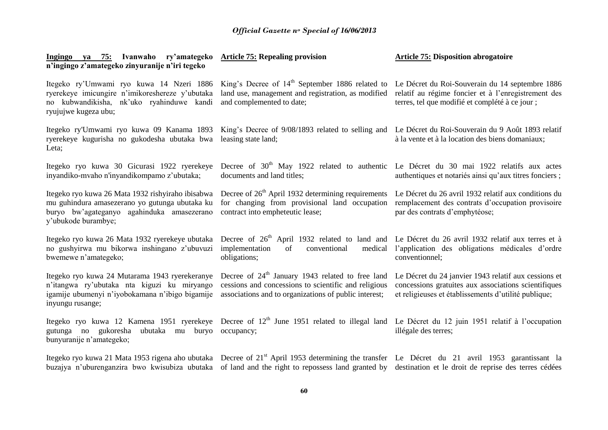| Ingingo ya 75: Ivanwaho ry'amategeko<br>n'ingingo z'amategeko zinyuranije n'iri tegeko                                                                                   | <b>Article 75: Repealing provision</b>                                                                                                                                                                                                                                                                              | <b>Article 75: Disposition abrogatoire</b>                                                                                                                           |
|--------------------------------------------------------------------------------------------------------------------------------------------------------------------------|---------------------------------------------------------------------------------------------------------------------------------------------------------------------------------------------------------------------------------------------------------------------------------------------------------------------|----------------------------------------------------------------------------------------------------------------------------------------------------------------------|
| Itegeko ry'Umwami ryo kuwa 14 Nzeri 1886<br>ryerekeye imicungire n'imikoreshereze y'ubutaka<br>no kubwandikisha, nk'uko ryahinduwe kandi<br>ryujujwe kugeza ubu;         | King's Decree of $14th$ September 1886 related to<br>land use, management and registration, as modified<br>and complemented to date;                                                                                                                                                                                | Le Décret du Roi-Souverain du 14 septembre 1886<br>relatif au régime foncier et à l'enregistrement des<br>terres, tel que modifié et complété à ce jour ;            |
| ryerekeye kugurisha no gukodesha ubutaka bwa<br>Leta;                                                                                                                    | Itegeko ry'Umwami ryo kuwa 09 Kanama 1893 King's Decree of 9/08/1893 related to selling and Le Décret du Roi-Souverain du 9 Août 1893 relatif<br>leasing state land;                                                                                                                                                | à la vente et à la location des biens domaniaux;                                                                                                                     |
| Itegeko ryo kuwa 30 Gicurasi 1922 ryerekeye<br>inyandiko-mvaho n'inyandikompamo z'ubutaka;                                                                               | Decree of 30 <sup>th</sup> May 1922 related to authentic Le Décret du 30 mai 1922 relatifs aux actes<br>documents and land titles;                                                                                                                                                                                  | authentiques et notariés ainsi qu'aux titres fonciers ;                                                                                                              |
| Itegeko ryo kuwa 26 Mata 1932 rishyiraho ibisabwa<br>mu guhindura amasezerano yo gutunga ubutaka ku<br>buryo bw'agateganyo agahinduka amasezerano<br>y'ubukode burambye; | Decree of 26 <sup>th</sup> April 1932 determining requirements<br>for changing from provisional land occupation<br>contract into empheteutic lease;                                                                                                                                                                 | Le Décret du 26 avril 1932 relatif aux conditions du<br>remplacement des contrats d'occupation provisoire<br>par des contrats d'emphytéose;                          |
| Itegeko ryo kuwa 26 Mata 1932 ryerekeye ubutaka<br>no gushyirwa mu bikorwa inshingano z'ubuvuzi<br>bwemewe n'amategeko;                                                  | Decree of 26 <sup>th</sup> April 1932 related to land and Le Décret du 26 avril 1932 relatif aux terres et à<br>implementation<br>conventional<br>medical<br>of<br>obligations;                                                                                                                                     | l'application des obligations médicales d'ordre<br>conventionnel;                                                                                                    |
| Itegeko ryo kuwa 24 Mutarama 1943 ryerekeranye<br>n'itangwa ry'ubutaka nta kiguzi ku miryango<br>igamije ubumenyi n'iyobokamana n'ibigo bigamije<br>inyungu rusange;     | Decree of $24th$ January 1943 related to free land<br>cessions and concessions to scientific and religious<br>associations and to organizations of public interest;                                                                                                                                                 | Le Décret du 24 janvier 1943 relatif aux cessions et<br>concessions gratuites aux associations scientifiques<br>et religieuses et établissements d'utilité publique; |
| gutunga no gukoresha<br>ubutaka mu<br>buryo<br>bunyuranije n'amategeko;                                                                                                  | Itegeko ryo kuwa 12 Kamena 1951 ryerekeye Decree of $12th$ June 1951 related to illegal land Le Décret du 12 juin 1951 relatif à l'occupation<br>occupancy;                                                                                                                                                         | illégale des terres;                                                                                                                                                 |
|                                                                                                                                                                          | Itegeko ryo kuwa 21 Mata 1953 rigena aho ubutaka Decree of 21 <sup>st</sup> April 1953 determining the transfer Le Décret du 21 avril 1953 garantissant la<br>buzajya n'uburenganzira bwo kwisubiza ubutaka of land and the right to repossess land granted by destination et le droit de reprise des terres cédées |                                                                                                                                                                      |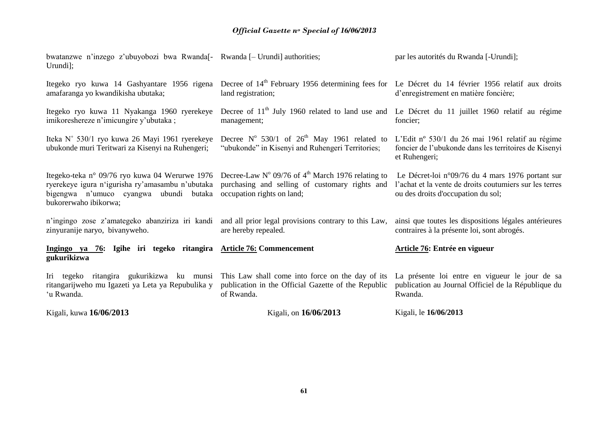| Kigali, kuwa 16/06/2013                                                                                             | Kigali, on 16/06/2013                                                                                                                                                                        | Kigali, le 16/06/2013                                                                                                                             |
|---------------------------------------------------------------------------------------------------------------------|----------------------------------------------------------------------------------------------------------------------------------------------------------------------------------------------|---------------------------------------------------------------------------------------------------------------------------------------------------|
| Iri tegeko ritangira gukurikizwa ku munsi<br>ritangarijweho mu Igazeti ya Leta ya Repubulika y<br>'u Rwanda.        | This Law shall come into force on the day of its<br>publication in the Official Gazette of the Republic<br>of Rwanda.                                                                        | La présente loi entre en vigueur le jour de sa<br>publication au Journal Officiel de la République du<br>Rwanda.                                  |
| Ingingo ya 76: Igihe iri tegeko ritangira Article 76: Commencement<br>gukurikizwa                                   |                                                                                                                                                                                              | Article 76: Entrée en vigueur                                                                                                                     |
| zinyuranije naryo, bivanyweho.                                                                                      | n'ingingo zose z'amategeko abanziriza iri kandi and all prior legal provisions contrary to this Law,<br>are hereby repealed.                                                                 | ainsi que toutes les dispositions légales antérieures<br>contraires à la présente loi, sont abrogés.                                              |
| ryerekeye igura n'igurisha ry'amasambu n'ubutaka<br>bigengwa n'umuco cyangwa ubundi butaka<br>bukorerwaho ibikorwa; | Itegeko-teka nº 09/76 ryo kuwa 04 Werurwe 1976 Decree-Law Nº 09/76 of 4 <sup>th</sup> March 1976 relating to<br>purchasing and selling of customary rights and<br>occupation rights on land; | Le Décret-loi n°09/76 du 4 mars 1976 portant sur<br>l'achat et la vente de droits coutumiers sur les terres<br>ou des droits d'occupation du sol; |
| Iteka N° 530/1 ryo kuwa 26 Mayi 1961 ryerekeye<br>ubukonde muri Teritwari za Kisenyi na Ruhengeri;                  | Decree $N^{\circ}$ 530/1 of 26 <sup>th</sup> May 1961 related to<br>"ubukonde" in Kisenyi and Ruhengeri Territories;                                                                         | L'Edit nº 530/1 du 26 mai 1961 relatif au régime<br>foncier de l'ubukonde dans les territoires de Kisenyi<br>et Ruhengeri;                        |
| Itegeko ryo kuwa 11 Nyakanga 1960 ryerekeye<br>imikoreshereze n'imicungire y'ubutaka;                               | Decree of 11 <sup>th</sup> July 1960 related to land use and Le Décret du 11 juillet 1960 relatif au régime<br>management;                                                                   | foncier;                                                                                                                                          |
| Itegeko ryo kuwa 14 Gashyantare 1956 rigena<br>amafaranga yo kwandikisha ubutaka;                                   | Decree of 14 <sup>th</sup> February 1956 determining fees for Le Décret du 14 février 1956 relatif aux droits<br>land registration;                                                          | d'enregistrement en matière foncière;                                                                                                             |
| bwatanzwe n'inzego z'ubuyobozi bwa Rwanda <sup>[-</sup> Rwanda [- Urundi] authorities;<br>Urundi];                  |                                                                                                                                                                                              | par les autorités du Rwanda [-Urundi];                                                                                                            |